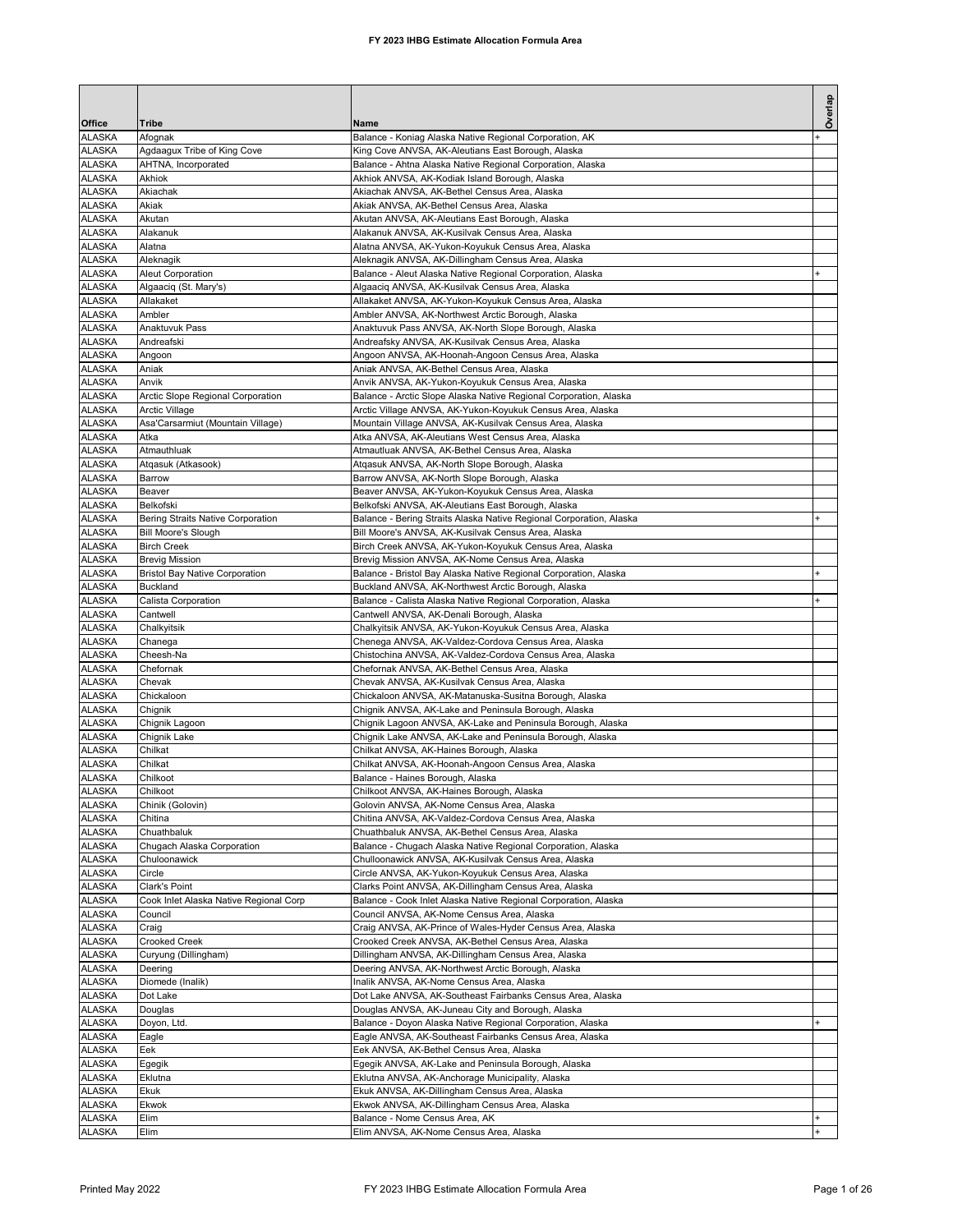|                                |                                                          |                                                                                                                         | Overlap   |
|--------------------------------|----------------------------------------------------------|-------------------------------------------------------------------------------------------------------------------------|-----------|
| Office<br><b>ALASKA</b>        | Tribe<br>Afognak                                         | Name<br>Balance - Koniag Alaska Native Regional Corporation, AK                                                         |           |
| <b>ALASKA</b>                  | Agdaagux Tribe of King Cove                              | King Cove ANVSA, AK-Aleutians East Borough, Alaska                                                                      |           |
| <b>ALASKA</b>                  | AHTNA, Incorporated                                      | Balance - Ahtna Alaska Native Regional Corporation, Alaska                                                              |           |
| <b>ALASKA</b>                  | Akhiok                                                   | Akhiok ANVSA, AK-Kodiak Island Borough, Alaska                                                                          |           |
| <b>ALASKA</b>                  | Akiachak                                                 | Akiachak ANVSA, AK-Bethel Census Area, Alaska                                                                           |           |
| <b>ALASKA</b><br><b>ALASKA</b> | Akiak<br>Akutan                                          | Akiak ANVSA, AK-Bethel Census Area, Alaska<br>Akutan ANVSA, AK-Aleutians East Borough, Alaska                           |           |
| <b>ALASKA</b>                  | Alakanuk                                                 | Alakanuk ANVSA, AK-Kusilvak Census Area, Alaska                                                                         |           |
| <b>ALASKA</b>                  | Alatna                                                   | Alatna ANVSA, AK-Yukon-Koyukuk Census Area, Alaska                                                                      |           |
| <b>ALASKA</b>                  | Aleknagik                                                | Aleknagik ANVSA, AK-Dillingham Census Area, Alaska                                                                      |           |
| <b>ALASKA</b>                  | <b>Aleut Corporation</b>                                 | Balance - Aleut Alaska Native Regional Corporation, Alaska                                                              |           |
| <b>ALASKA</b><br><b>ALASKA</b> | Algaaciq (St. Mary's)<br>Allakaket                       | Algaaciq ANVSA, AK-Kusilvak Census Area, Alaska<br>Allakaket ANVSA, AK-Yukon-Koyukuk Census Area, Alaska                |           |
| <b>ALASKA</b>                  | Ambler                                                   | Ambler ANVSA, AK-Northwest Arctic Borough, Alaska                                                                       |           |
| <b>ALASKA</b>                  | Anaktuvuk Pass                                           | Anaktuvuk Pass ANVSA, AK-North Slope Borough, Alaska                                                                    |           |
| <b>ALASKA</b>                  | Andreafski                                               | Andreafsky ANVSA, AK-Kusilvak Census Area, Alaska                                                                       |           |
| <b>ALASKA</b>                  | Angoon                                                   | Angoon ANVSA, AK-Hoonah-Angoon Census Area, Alaska                                                                      |           |
| <b>ALASKA</b>                  | Aniak                                                    | Aniak ANVSA, AK-Bethel Census Area, Alaska                                                                              |           |
| <b>ALASKA</b><br><b>ALASKA</b> | Anvik<br>Arctic Slope Regional Corporation               | Anvik ANVSA, AK-Yukon-Koyukuk Census Area, Alaska<br>Balance - Arctic Slope Alaska Native Regional Corporation, Alaska  |           |
| <b>ALASKA</b>                  | Arctic Village                                           | Arctic Village ANVSA, AK-Yukon-Koyukuk Census Area, Alaska                                                              |           |
| <b>ALASKA</b>                  | Asa'Carsarmiut (Mountain Village)                        | Mountain Village ANVSA, AK-Kusilvak Census Area, Alaska                                                                 |           |
| <b>ALASKA</b>                  | Atka                                                     | Atka ANVSA, AK-Aleutians West Census Area, Alaska                                                                       |           |
| <b>ALASKA</b>                  | Atmauthluak                                              | Atmautluak ANVSA, AK-Bethel Census Area, Alaska                                                                         |           |
| <b>ALASKA</b>                  | Atgasuk (Atkasook)                                       | Atgasuk ANVSA, AK-North Slope Borough, Alaska                                                                           |           |
| <b>ALASKA</b><br><b>ALASKA</b> | Barrow<br>Beaver                                         | Barrow ANVSA, AK-North Slope Borough, Alaska<br>Beaver ANVSA, AK-Yukon-Koyukuk Census Area, Alaska                      |           |
| <b>ALASKA</b>                  | Belkofski                                                | Belkofski ANVSA, AK-Aleutians East Borough, Alaska                                                                      |           |
| <b>ALASKA</b>                  | Bering Straits Native Corporation                        | Balance - Bering Straits Alaska Native Regional Corporation, Alaska                                                     |           |
| <b>ALASKA</b>                  | <b>Bill Moore's Slough</b>                               | Bill Moore's ANVSA, AK-Kusilvak Census Area, Alaska                                                                     |           |
| <b>ALASKA</b>                  | <b>Birch Creek</b>                                       | Birch Creek ANVSA, AK-Yukon-Koyukuk Census Area, Alaska                                                                 |           |
| <b>ALASKA</b>                  | <b>Brevig Mission</b>                                    | Brevig Mission ANVSA, AK-Nome Census Area, Alaska                                                                       | $\ddot{}$ |
| <b>ALASKA</b><br><b>ALASKA</b> | <b>Bristol Bay Native Corporation</b><br><b>Buckland</b> | Balance - Bristol Bay Alaska Native Regional Corporation, Alaska<br>Buckland ANVSA, AK-Northwest Arctic Borough, Alaska |           |
| <b>ALASKA</b>                  | Calista Corporation                                      | Balance - Calista Alaska Native Regional Corporation, Alaska                                                            |           |
| <b>ALASKA</b>                  | Cantwell                                                 | Cantwell ANVSA, AK-Denali Borough, Alaska                                                                               |           |
| <b>ALASKA</b>                  | Chalkyitsik                                              | Chalkyitsik ANVSA, AK-Yukon-Koyukuk Census Area, Alaska                                                                 |           |
| <b>ALASKA</b>                  | Chanega                                                  | Chenega ANVSA, AK-Valdez-Cordova Census Area, Alaska                                                                    |           |
| <b>ALASKA</b><br><b>ALASKA</b> | Cheesh-Na<br>Chefornak                                   | Chistochina ANVSA, AK-Valdez-Cordova Census Area, Alaska<br>Chefornak ANVSA, AK-Bethel Census Area, Alaska              |           |
| <b>ALASKA</b>                  | Chevak                                                   | Chevak ANVSA, AK-Kusilvak Census Area, Alaska                                                                           |           |
| <b>ALASKA</b>                  | Chickaloon                                               | Chickaloon ANVSA, AK-Matanuska-Susitna Borough, Alaska                                                                  |           |
| <b>ALASKA</b>                  | Chignik                                                  | Chignik ANVSA, AK-Lake and Peninsula Borough, Alaska                                                                    |           |
| <b>ALASKA</b>                  | Chignik Lagoon                                           | Chignik Lagoon ANVSA, AK-Lake and Peninsula Borough, Alaska                                                             |           |
| <b>ALASKA</b>                  | Chignik Lake<br>Chilkat                                  | Chignik Lake ANVSA, AK-Lake and Peninsula Borough, Alaska                                                               |           |
| <b>ALASKA</b><br><b>ALASKA</b> | Chilkat                                                  | Chilkat ANVSA, AK-Haines Borough, Alaska<br>Chilkat ANVSA, AK-Hoonah-Angoon Census Area, Alaska                         |           |
| <b>ALASKA</b>                  | Chilkoot                                                 | Balance - Haines Borough, Alaska                                                                                        |           |
| <b>ALASKA</b>                  | Chilkoot                                                 | Chilkoot ANVSA, AK-Haines Borough, Alaska                                                                               |           |
| <b>ALASKA</b>                  | Chinik (Golovin)                                         | Golovin ANVSA, AK-Nome Census Area, Alaska                                                                              |           |
| <b>ALASKA</b>                  | Chitina                                                  | Chitina ANVSA, AK-Valdez-Cordova Census Area, Alaska                                                                    |           |
| <b>ALASKA</b><br><b>ALASKA</b> | Chuathbaluk<br>Chugach Alaska Corporation                | Chuathbaluk ANVSA, AK-Bethel Census Area, Alaska<br>Balance - Chugach Alaska Native Regional Corporation, Alaska        |           |
| <b>ALASKA</b>                  | Chuloonawick                                             | Chulloonawick ANVSA, AK-Kusilvak Census Area, Alaska                                                                    |           |
| <b>ALASKA</b>                  | Circle                                                   | Circle ANVSA, AK-Yukon-Koyukuk Census Area, Alaska                                                                      |           |
| <b>ALASKA</b>                  | Clark's Point                                            | Clarks Point ANVSA, AK-Dillingham Census Area, Alaska                                                                   |           |
| <b>ALASKA</b>                  | Cook Inlet Alaska Native Regional Corp                   | Balance - Cook Inlet Alaska Native Regional Corporation, Alaska                                                         |           |
| <b>ALASKA</b>                  | Council                                                  | Council ANVSA, AK-Nome Census Area, Alaska                                                                              |           |
| <b>ALASKA</b><br><b>ALASKA</b> | Craig<br><b>Crooked Creek</b>                            | Craig ANVSA, AK-Prince of Wales-Hyder Census Area, Alaska<br>Crooked Creek ANVSA, AK-Bethel Census Area, Alaska         |           |
| <b>ALASKA</b>                  | Curyung (Dillingham)                                     | Dillingham ANVSA, AK-Dillingham Census Area, Alaska                                                                     |           |
| <b>ALASKA</b>                  | Deering                                                  | Deering ANVSA, AK-Northwest Arctic Borough, Alaska                                                                      |           |
| <b>ALASKA</b>                  | Diomede (Inalik)                                         | Inalik ANVSA, AK-Nome Census Area, Alaska                                                                               |           |
| <b>ALASKA</b>                  | Dot Lake                                                 | Dot Lake ANVSA, AK-Southeast Fairbanks Census Area, Alaska                                                              |           |
| <b>ALASKA</b><br><b>ALASKA</b> | Douglas                                                  | Douglas ANVSA, AK-Juneau City and Borough, Alaska<br>Balance - Doyon Alaska Native Regional Corporation, Alaska         |           |
| <b>ALASKA</b>                  | Doyon, Ltd.<br>Eagle                                     | Eagle ANVSA, AK-Southeast Fairbanks Census Area, Alaska                                                                 |           |
| <b>ALASKA</b>                  | Eek                                                      | Eek ANVSA, AK-Bethel Census Area, Alaska                                                                                |           |
| <b>ALASKA</b>                  | Egegik                                                   | Egegik ANVSA, AK-Lake and Peninsula Borough, Alaska                                                                     |           |
| <b>ALASKA</b>                  | Eklutna                                                  | Eklutna ANVSA, AK-Anchorage Municipality, Alaska                                                                        |           |
| <b>ALASKA</b>                  | Ekuk                                                     | Ekuk ANVSA, AK-Dillingham Census Area, Alaska                                                                           |           |
| <b>ALASKA</b><br><b>ALASKA</b> | Ekwok<br>Elim                                            | Ekwok ANVSA, AK-Dillingham Census Area, Alaska<br>Balance - Nome Census Area, AK                                        |           |
| <b>ALASKA</b>                  | Elim                                                     | Elim ANVSA, AK-Nome Census Area, Alaska                                                                                 | $+$       |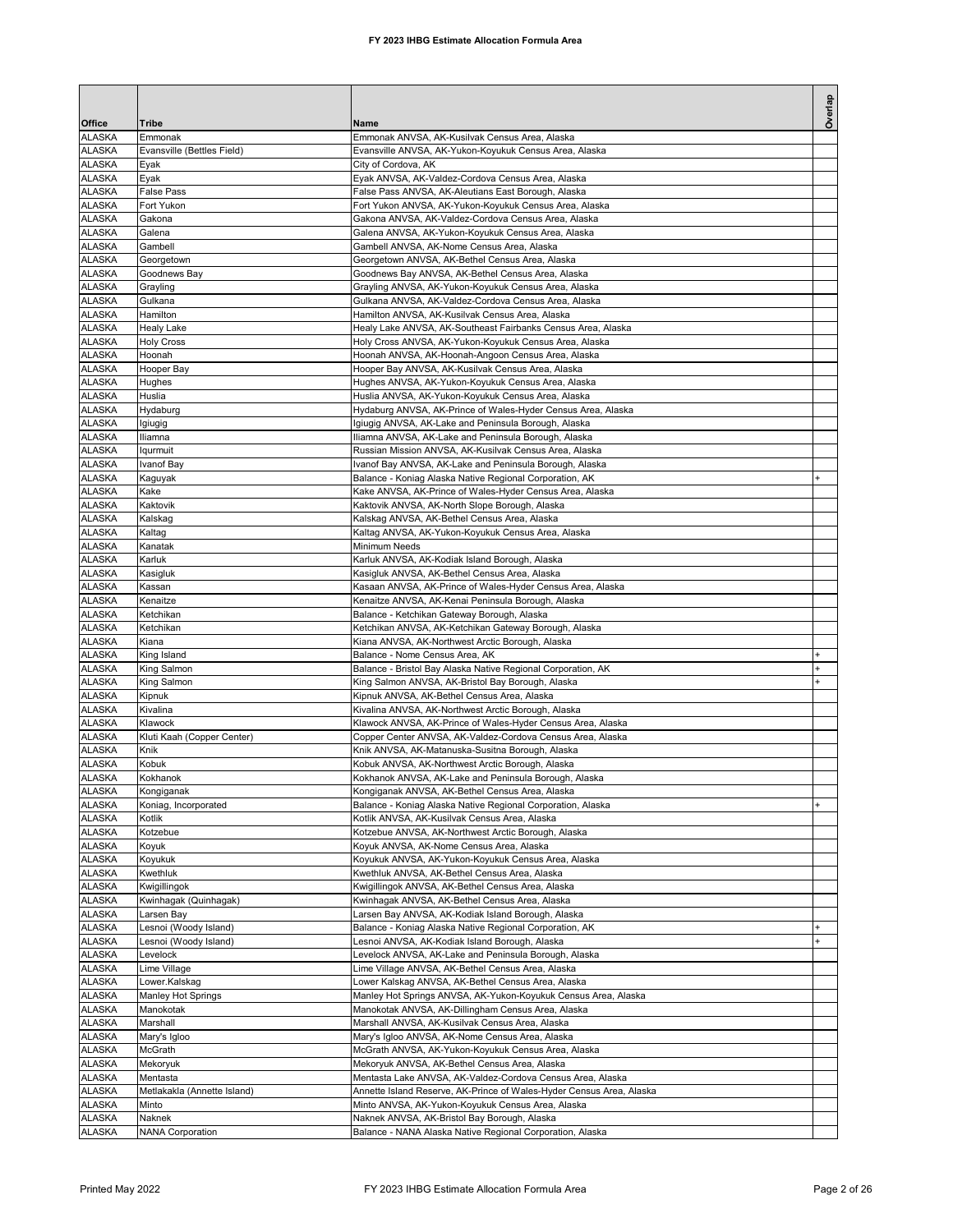| Office                         | Tribe                                          | Name                                                                                                                               | Overlap   |
|--------------------------------|------------------------------------------------|------------------------------------------------------------------------------------------------------------------------------------|-----------|
| <b>ALASKA</b>                  | Emmonak                                        | Emmonak ANVSA, AK-Kusilvak Census Area, Alaska                                                                                     |           |
| <b>ALASKA</b>                  | Evansville (Bettles Field)                     | Evansville ANVSA, AK-Yukon-Koyukuk Census Area, Alaska                                                                             |           |
| <b>ALASKA</b>                  | Eyak                                           | City of Cordova, AK                                                                                                                |           |
| <b>ALASKA</b><br><b>ALASKA</b> | Eyak<br><b>False Pass</b>                      | Eyak ANVSA, AK-Valdez-Cordova Census Area, Alaska<br>False Pass ANVSA, AK-Aleutians East Borough, Alaska                           |           |
| <b>ALASKA</b>                  | Fort Yukon                                     | Fort Yukon ANVSA, AK-Yukon-Koyukuk Census Area, Alaska                                                                             |           |
| <b>ALASKA</b>                  | Gakona                                         | Gakona ANVSA, AK-Valdez-Cordova Census Area, Alaska                                                                                |           |
| <b>ALASKA</b>                  | Galena                                         | Galena ANVSA, AK-Yukon-Koyukuk Census Area, Alaska                                                                                 |           |
| <b>ALASKA</b><br><b>ALASKA</b> | Gambell<br>Georgetown                          | Gambell ANVSA, AK-Nome Census Area, Alaska<br>Georgetown ANVSA, AK-Bethel Census Area, Alaska                                      |           |
| <b>ALASKA</b>                  | Goodnews Bay                                   | Goodnews Bay ANVSA, AK-Bethel Census Area, Alaska                                                                                  |           |
| <b>ALASKA</b>                  | Grayling                                       | Grayling ANVSA, AK-Yukon-Koyukuk Census Area, Alaska                                                                               |           |
| <b>ALASKA</b>                  | Gulkana                                        | Gulkana ANVSA, AK-Valdez-Cordova Census Area, Alaska                                                                               |           |
| <b>ALASKA</b>                  | Hamilton                                       | Hamilton ANVSA, AK-Kusilvak Census Area, Alaska                                                                                    |           |
| <b>ALASKA</b><br><b>ALASKA</b> | <b>Healy Lake</b><br><b>Holy Cross</b>         | Healy Lake ANVSA, AK-Southeast Fairbanks Census Area, Alaska<br>Holy Cross ANVSA, AK-Yukon-Koyukuk Census Area, Alaska             |           |
| <b>ALASKA</b>                  | Hoonah                                         | Hoonah ANVSA, AK-Hoonah-Angoon Census Area, Alaska                                                                                 |           |
| <b>ALASKA</b>                  | Hooper Bay                                     | Hooper Bay ANVSA, AK-Kusilvak Census Area, Alaska                                                                                  |           |
| <b>ALASKA</b>                  | Hughes                                         | Hughes ANVSA, AK-Yukon-Koyukuk Census Area, Alaska                                                                                 |           |
| <b>ALASKA</b><br><b>ALASKA</b> | Huslia<br>Hydaburg                             | Huslia ANVSA, AK-Yukon-Koyukuk Census Area, Alaska<br>Hydaburg ANVSA, AK-Prince of Wales-Hyder Census Area, Alaska                 |           |
| <b>ALASKA</b>                  | Igiugig                                        | Igiugig ANVSA, AK-Lake and Peninsula Borough, Alaska                                                                               |           |
| <b>ALASKA</b>                  | Iliamna                                        | Iliamna ANVSA, AK-Lake and Peninsula Borough, Alaska                                                                               |           |
| <b>ALASKA</b>                  | Iqurmuit                                       | Russian Mission ANVSA, AK-Kusilvak Census Area, Alaska                                                                             |           |
| <b>ALASKA</b>                  | Ivanof Bay                                     | Ivanof Bay ANVSA, AK-Lake and Peninsula Borough, Alaska                                                                            |           |
| <b>ALASKA</b><br><b>ALASKA</b> | Kaguyak<br>Kake                                | Balance - Koniag Alaska Native Regional Corporation, AK<br>Kake ANVSA, AK-Prince of Wales-Hyder Census Area, Alaska                |           |
| <b>ALASKA</b>                  | Kaktovik                                       | Kaktovik ANVSA, AK-North Slope Borough, Alaska                                                                                     |           |
| <b>ALASKA</b>                  | Kalskag                                        | Kalskag ANVSA, AK-Bethel Census Area, Alaska                                                                                       |           |
| <b>ALASKA</b>                  | Kaltag                                         | Kaltag ANVSA, AK-Yukon-Koyukuk Census Area, Alaska                                                                                 |           |
| <b>ALASKA</b>                  | Kanatak<br>Karluk                              | Minimum Needs                                                                                                                      |           |
| <b>ALASKA</b><br><b>ALASKA</b> | Kasigluk                                       | Karluk ANVSA, AK-Kodiak Island Borough, Alaska<br>Kasigluk ANVSA, AK-Bethel Census Area, Alaska                                    |           |
| <b>ALASKA</b>                  | Kassan                                         | Kasaan ANVSA, AK-Prince of Wales-Hyder Census Area, Alaska                                                                         |           |
| <b>ALASKA</b>                  | Kenaitze                                       | Kenaitze ANVSA, AK-Kenai Peninsula Borough, Alaska                                                                                 |           |
| <b>ALASKA</b>                  | Ketchikan                                      | Balance - Ketchikan Gateway Borough, Alaska                                                                                        |           |
| <b>ALASKA</b><br><b>ALASKA</b> | Ketchikan<br>Kiana                             | Ketchikan ANVSA, AK-Ketchikan Gateway Borough, Alaska<br>Kiana ANVSA, AK-Northwest Arctic Borough, Alaska                          |           |
| <b>ALASKA</b>                  | King Island                                    | Balance - Nome Census Area, AK                                                                                                     |           |
| <b>ALASKA</b>                  | King Salmon                                    | Balance - Bristol Bay Alaska Native Regional Corporation, AK                                                                       |           |
| <b>ALASKA</b>                  | King Salmon                                    | King Salmon ANVSA, AK-Bristol Bay Borough, Alaska                                                                                  |           |
| <b>ALASKA</b><br><b>ALASKA</b> | Kipnuk<br>Kivalina                             | Kipnuk ANVSA, AK-Bethel Census Area, Alaska<br>Kivalina ANVSA, AK-Northwest Arctic Borough, Alaska                                 |           |
| <b>ALASKA</b>                  | Klawock                                        | Klawock ANVSA, AK-Prince of Wales-Hyder Census Area, Alaska                                                                        |           |
| <b>ALASKA</b>                  | Kluti Kaah (Copper Center)                     | Copper Center ANVSA, AK-Valdez-Cordova Census Area, Alaska                                                                         |           |
| <b>ALASKA</b>                  | Knik                                           | Knik ANVSA, AK-Matanuska-Susitna Borough, Alaska                                                                                   |           |
| <b>ALASKA</b>                  | Kobuk                                          | Kobuk ANVSA, AK-Northwest Arctic Borough, Alaska                                                                                   |           |
| <b>ALASKA</b><br><b>ALASKA</b> | Kokhanok<br>Kongiganak                         | Kokhanok ANVSA, AK-Lake and Peninsula Borough, Alaska<br>Kongiganak ANVSA, AK-Bethel Census Area, Alaska                           |           |
| <b>ALASKA</b>                  | Koniag, Incorporated                           | Balance - Koniag Alaska Native Regional Corporation, Alaska                                                                        | $\ddot{}$ |
| <b>ALASKA</b>                  | Kotlik                                         | Kotlik ANVSA, AK-Kusilvak Census Area, Alaska                                                                                      |           |
| <b>ALASKA</b>                  | Kotzebue                                       | Kotzebue ANVSA, AK-Northwest Arctic Borough, Alaska                                                                                |           |
| <b>ALASKA</b><br><b>ALASKA</b> | Koyuk<br>Koyukuk                               | Koyuk ANVSA, AK-Nome Census Area, Alaska<br>Koyukuk ANVSA, AK-Yukon-Koyukuk Census Area, Alaska                                    |           |
| <b>ALASKA</b>                  | Kwethluk                                       | Kwethluk ANVSA, AK-Bethel Census Area, Alaska                                                                                      |           |
| <b>ALASKA</b>                  | Kwigillingok                                   | Kwigillingok ANVSA, AK-Bethel Census Area, Alaska                                                                                  |           |
| <b>ALASKA</b>                  | Kwinhagak (Quinhagak)                          | Kwinhagak ANVSA, AK-Bethel Census Area, Alaska                                                                                     |           |
| <b>ALASKA</b>                  | Larsen Bay                                     | Larsen Bay ANVSA, AK-Kodiak Island Borough, Alaska                                                                                 |           |
| <b>ALASKA</b><br><b>ALASKA</b> | Lesnoi (Woody Island)<br>Lesnoi (Woody Island) | Balance - Koniag Alaska Native Regional Corporation, AK<br>Lesnoi ANVSA, AK-Kodiak Island Borough, Alaska                          | $\ddot{}$ |
| <b>ALASKA</b>                  | Levelock                                       | Levelock ANVSA, AK-Lake and Peninsula Borough, Alaska                                                                              |           |
| <b>ALASKA</b>                  | Lime Village                                   | Lime Village ANVSA, AK-Bethel Census Area, Alaska                                                                                  |           |
| <b>ALASKA</b>                  | Lower.Kalskag                                  | Lower Kalskag ANVSA, AK-Bethel Census Area, Alaska                                                                                 |           |
| <b>ALASKA</b><br><b>ALASKA</b> | Manley Hot Springs                             | Manley Hot Springs ANVSA, AK-Yukon-Koyukuk Census Area, Alaska                                                                     |           |
| <b>ALASKA</b>                  | Manokotak<br>Marshall                          | Manokotak ANVSA, AK-Dillingham Census Area, Alaska<br>Marshall ANVSA, AK-Kusilvak Census Area, Alaska                              |           |
| <b>ALASKA</b>                  | Mary's Igloo                                   | Mary's Igloo ANVSA, AK-Nome Census Area, Alaska                                                                                    |           |
| <b>ALASKA</b>                  | McGrath                                        | McGrath ANVSA, AK-Yukon-Koyukuk Census Area, Alaska                                                                                |           |
| <b>ALASKA</b>                  | Mekoryuk                                       | Mekoryuk ANVSA, AK-Bethel Census Area, Alaska                                                                                      |           |
| <b>ALASKA</b><br><b>ALASKA</b> | Mentasta<br>Metlakakla (Annette Island)        | Mentasta Lake ANVSA, AK-Valdez-Cordova Census Area, Alaska<br>Annette Island Reserve, AK-Prince of Wales-Hyder Census Area, Alaska |           |
| <b>ALASKA</b>                  | Minto                                          | Minto ANVSA, AK-Yukon-Koyukuk Census Area, Alaska                                                                                  |           |
| <b>ALASKA</b>                  | Naknek                                         | Naknek ANVSA, AK-Bristol Bay Borough, Alaska                                                                                       |           |
| <b>ALASKA</b>                  | <b>NANA Corporation</b>                        | Balance - NANA Alaska Native Regional Corporation, Alaska                                                                          |           |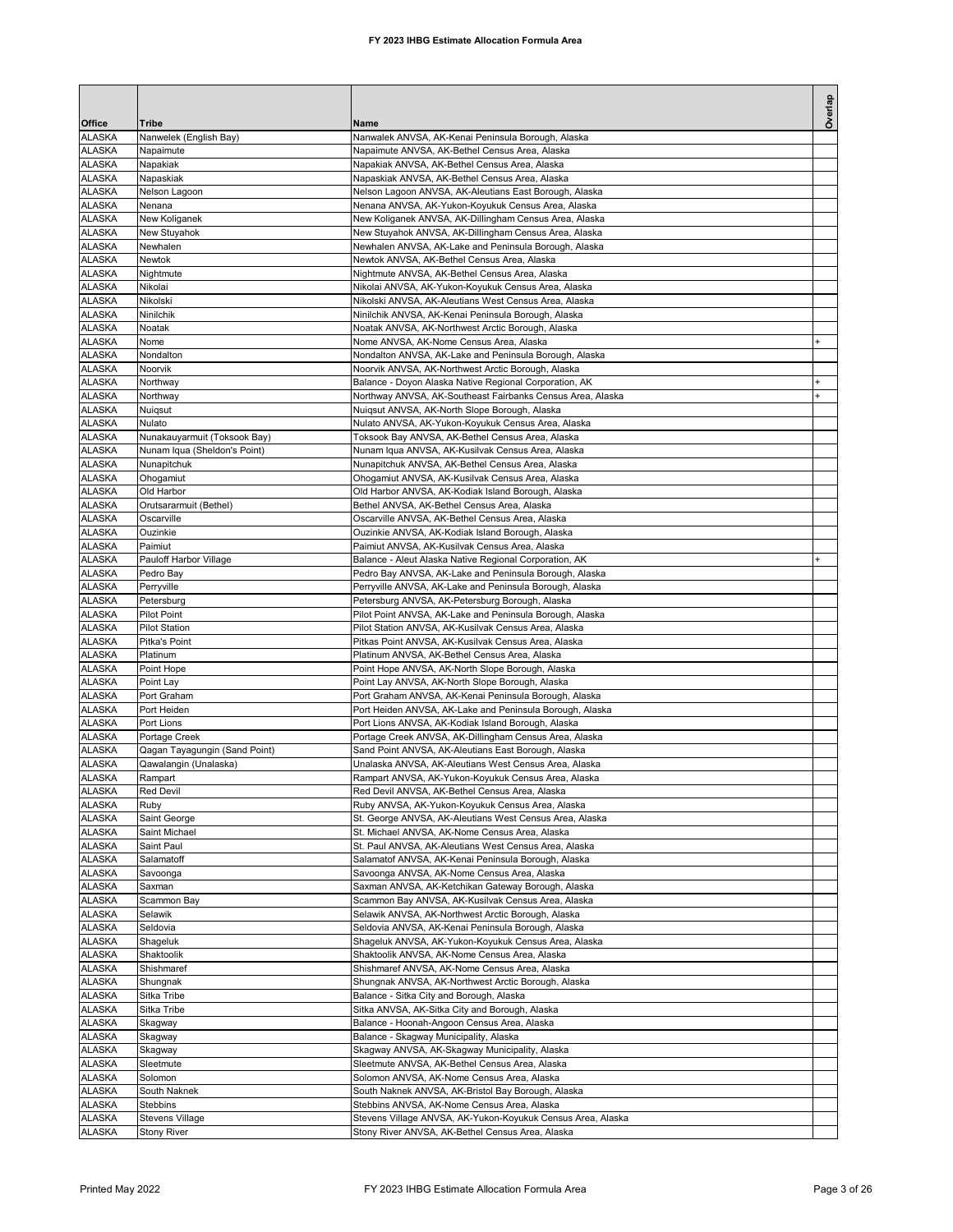| Office                         | Tribe                                  | Name                                                                                                         | Overlap |
|--------------------------------|----------------------------------------|--------------------------------------------------------------------------------------------------------------|---------|
| <b>ALASKA</b>                  | Nanwelek (English Bay)                 | Nanwalek ANVSA, AK-Kenai Peninsula Borough, Alaska                                                           |         |
| <b>ALASKA</b>                  | Napaimute                              | Napaimute ANVSA, AK-Bethel Census Area, Alaska                                                               |         |
| <b>ALASKA</b>                  | Napakiak                               | Napakiak ANVSA, AK-Bethel Census Area, Alaska                                                                |         |
| <b>ALASKA</b><br><b>ALASKA</b> | Napaskiak<br>Nelson Lagoon             | Napaskiak ANVSA, AK-Bethel Census Area, Alaska<br>Nelson Lagoon ANVSA, AK-Aleutians East Borough, Alaska     |         |
| <b>ALASKA</b>                  | Nenana                                 | Nenana ANVSA, AK-Yukon-Koyukuk Census Area, Alaska                                                           |         |
| <b>ALASKA</b>                  | New Koliganek                          | New Koliganek ANVSA, AK-Dillingham Census Area, Alaska                                                       |         |
| <b>ALASKA</b>                  | New Stuyahok                           | New Stuyahok ANVSA, AK-Dillingham Census Area, Alaska                                                        |         |
| <b>ALASKA</b>                  | Newhalen                               | Newhalen ANVSA, AK-Lake and Peninsula Borough, Alaska                                                        |         |
| <b>ALASKA</b><br><b>ALASKA</b> | Newtok<br>Nightmute                    | Newtok ANVSA, AK-Bethel Census Area, Alaska<br>Nightmute ANVSA, AK-Bethel Census Area, Alaska                |         |
| <b>ALASKA</b>                  | Nikolai                                | Nikolai ANVSA, AK-Yukon-Koyukuk Census Area, Alaska                                                          |         |
| <b>ALASKA</b>                  | Nikolski                               | Nikolski ANVSA, AK-Aleutians West Census Area, Alaska                                                        |         |
| <b>ALASKA</b>                  | Ninilchik                              | Ninilchik ANVSA, AK-Kenai Peninsula Borough, Alaska                                                          |         |
| <b>ALASKA</b>                  | Noatak                                 | Noatak ANVSA, AK-Northwest Arctic Borough, Alaska                                                            |         |
| <b>ALASKA</b><br>ALASKA        | Nome<br>Nondalton                      | Nome ANVSA, AK-Nome Census Area, Alaska<br>Nondalton ANVSA, AK-Lake and Peninsula Borough, Alaska            |         |
| <b>ALASKA</b>                  | Noorvik                                | Noorvik ANVSA, AK-Northwest Arctic Borough, Alaska                                                           |         |
| <b>ALASKA</b>                  | Northway                               | Balance - Doyon Alaska Native Regional Corporation, AK                                                       |         |
| <b>ALASKA</b>                  | Northway                               | Northway ANVSA, AK-Southeast Fairbanks Census Area, Alaska                                                   |         |
| <b>ALASKA</b>                  | Nuigsut                                | Nuiqsut ANVSA, AK-North Slope Borough, Alaska                                                                |         |
| <b>ALASKA</b><br><b>ALASKA</b> | Nulato<br>Nunakauyarmuit (Toksook Bay) | Nulato ANVSA, AK-Yukon-Koyukuk Census Area, Alaska<br>Toksook Bay ANVSA, AK-Bethel Census Area, Alaska       |         |
| <b>ALASKA</b>                  | Nunam Iqua (Sheldon's Point)           | Nunam Iqua ANVSA, AK-Kusilvak Census Area, Alaska                                                            |         |
| <b>ALASKA</b>                  | Nunapitchuk                            | Nunapitchuk ANVSA, AK-Bethel Census Area, Alaska                                                             |         |
| <b>ALASKA</b>                  | Ohogamiut                              | Ohogamiut ANVSA, AK-Kusilvak Census Area, Alaska                                                             |         |
| <b>ALASKA</b>                  | Old Harbor                             | Old Harbor ANVSA, AK-Kodiak Island Borough, Alaska                                                           |         |
| <b>ALASKA</b><br><b>ALASKA</b> | Orutsararmuit (Bethel)                 | Bethel ANVSA, AK-Bethel Census Area, Alaska                                                                  |         |
| <b>ALASKA</b>                  | Oscarville<br>Ouzinkie                 | Oscarville ANVSA, AK-Bethel Census Area, Alaska<br>Ouzinkie ANVSA, AK-Kodiak Island Borough, Alaska          |         |
| <b>ALASKA</b>                  | Paimiut                                | Paimiut ANVSA, AK-Kusilvak Census Area, Alaska                                                               |         |
| <b>ALASKA</b>                  | Pauloff Harbor Village                 | Balance - Aleut Alaska Native Regional Corporation, AK                                                       |         |
| <b>ALASKA</b>                  | Pedro Bay                              | Pedro Bay ANVSA, AK-Lake and Peninsula Borough, Alaska                                                       |         |
| <b>ALASKA</b>                  | Perryville                             | Perryville ANVSA, AK-Lake and Peninsula Borough, Alaska                                                      |         |
| <b>ALASKA</b><br><b>ALASKA</b> | Petersburg<br><b>Pilot Point</b>       | Petersburg ANVSA, AK-Petersburg Borough, Alaska<br>Pilot Point ANVSA, AK-Lake and Peninsula Borough, Alaska  |         |
| <b>ALASKA</b>                  | <b>Pilot Station</b>                   | Pilot Station ANVSA, AK-Kusilvak Census Area, Alaska                                                         |         |
| <b>ALASKA</b>                  | Pitka's Point                          | Pitkas Point ANVSA, AK-Kusilvak Census Area, Alaska                                                          |         |
| <b>ALASKA</b>                  | Platinum                               | Platinum ANVSA, AK-Bethel Census Area, Alaska                                                                |         |
| <b>ALASKA</b>                  | Point Hope                             | Point Hope ANVSA, AK-North Slope Borough, Alaska                                                             |         |
| <b>ALASKA</b><br><b>ALASKA</b> | Point Lay<br>Port Graham               | Point Lay ANVSA, AK-North Slope Borough, Alaska<br>Port Graham ANVSA, AK-Kenai Peninsula Borough, Alaska     |         |
| <b>ALASKA</b>                  | Port Heiden                            | Port Heiden ANVSA, AK-Lake and Peninsula Borough, Alaska                                                     |         |
| <b>ALASKA</b>                  | Port Lions                             | Port Lions ANVSA, AK-Kodiak Island Borough, Alaska                                                           |         |
| <b>ALASKA</b>                  | Portage Creek                          | Portage Creek ANVSA, AK-Dillingham Census Area, Alaska                                                       |         |
| <b>ALASKA</b>                  | Qagan Tayagungin (Sand Point)          | Sand Point ANVSA, AK-Aleutians East Borough, Alaska                                                          |         |
| <b>ALASKA</b><br><b>ALASKA</b> | Qawalangin (Unalaska)<br>Rampart       | Unalaska ANVSA, AK-Aleutians West Census Area, Alaska<br>Rampart ANVSA, AK-Yukon-Koyukuk Census Area, Alaska |         |
| <b>ALASKA</b>                  | <b>Red Devil</b>                       | Red Devil ANVSA, AK-Bethel Census Area, Alaska                                                               |         |
| <b>ALASKA</b>                  | Ruby                                   | Ruby ANVSA, AK-Yukon-Koyukuk Census Area, Alaska                                                             |         |
| <b>ALASKA</b>                  | Saint George                           | St. George ANVSA, AK-Aleutians West Census Area, Alaska                                                      |         |
| <b>ALASKA</b><br><b>ALASKA</b> | Saint Michael                          | St. Michael ANVSA, AK-Nome Census Area, Alaska<br>St. Paul ANVSA, AK-Aleutians West Census Area, Alaska      |         |
| <b>ALASKA</b>                  | Saint Paul<br>Salamatoff               | Salamatof ANVSA, AK-Kenai Peninsula Borough, Alaska                                                          |         |
| <b>ALASKA</b>                  | Savoonga                               | Savoonga ANVSA, AK-Nome Census Area, Alaska                                                                  |         |
| <b>ALASKA</b>                  | Saxman                                 | Saxman ANVSA, AK-Ketchikan Gateway Borough, Alaska                                                           |         |
| <b>ALASKA</b>                  | Scammon Bay                            | Scammon Bay ANVSA, AK-Kusilvak Census Area, Alaska                                                           |         |
| <b>ALASKA</b>                  | Selawik<br>Seldovia                    | Selawik ANVSA, AK-Northwest Arctic Borough, Alaska                                                           |         |
| ALASKA<br><b>ALASKA</b>        | Shageluk                               | Seldovia ANVSA, AK-Kenai Peninsula Borough, Alaska<br>Shageluk ANVSA, AK-Yukon-Koyukuk Census Area, Alaska   |         |
| <b>ALASKA</b>                  | Shaktoolik                             | Shaktoolik ANVSA, AK-Nome Census Area, Alaska                                                                |         |
| <b>ALASKA</b>                  | Shishmaref                             | Shishmaref ANVSA, AK-Nome Census Area, Alaska                                                                |         |
| <b>ALASKA</b>                  | Shungnak                               | Shungnak ANVSA, AK-Northwest Arctic Borough, Alaska                                                          |         |
| <b>ALASKA</b>                  | Sitka Tribe                            | Balance - Sitka City and Borough, Alaska                                                                     |         |
| <b>ALASKA</b><br><b>ALASKA</b> | Sitka Tribe<br>Skagway                 | Sitka ANVSA, AK-Sitka City and Borough, Alaska<br>Balance - Hoonah-Angoon Census Area, Alaska                |         |
| <b>ALASKA</b>                  | Skagway                                | Balance - Skagway Municipality, Alaska                                                                       |         |
| <b>ALASKA</b>                  | Skagway                                | Skagway ANVSA, AK-Skagway Municipality, Alaska                                                               |         |
| <b>ALASKA</b>                  | Sleetmute                              | Sleetmute ANVSA, AK-Bethel Census Area, Alaska                                                               |         |
| <b>ALASKA</b>                  | Solomon                                | Solomon ANVSA, AK-Nome Census Area, Alaska                                                                   |         |
| <b>ALASKA</b><br><b>ALASKA</b> | South Naknek<br>Stebbins               | South Naknek ANVSA, AK-Bristol Bay Borough, Alaska<br>Stebbins ANVSA, AK-Nome Census Area, Alaska            |         |
| ALASKA                         | Stevens Village                        | Stevens Village ANVSA, AK-Yukon-Koyukuk Census Area, Alaska                                                  |         |
| <b>ALASKA</b>                  | <b>Stony River</b>                     | Stony River ANVSA, AK-Bethel Census Area, Alaska                                                             |         |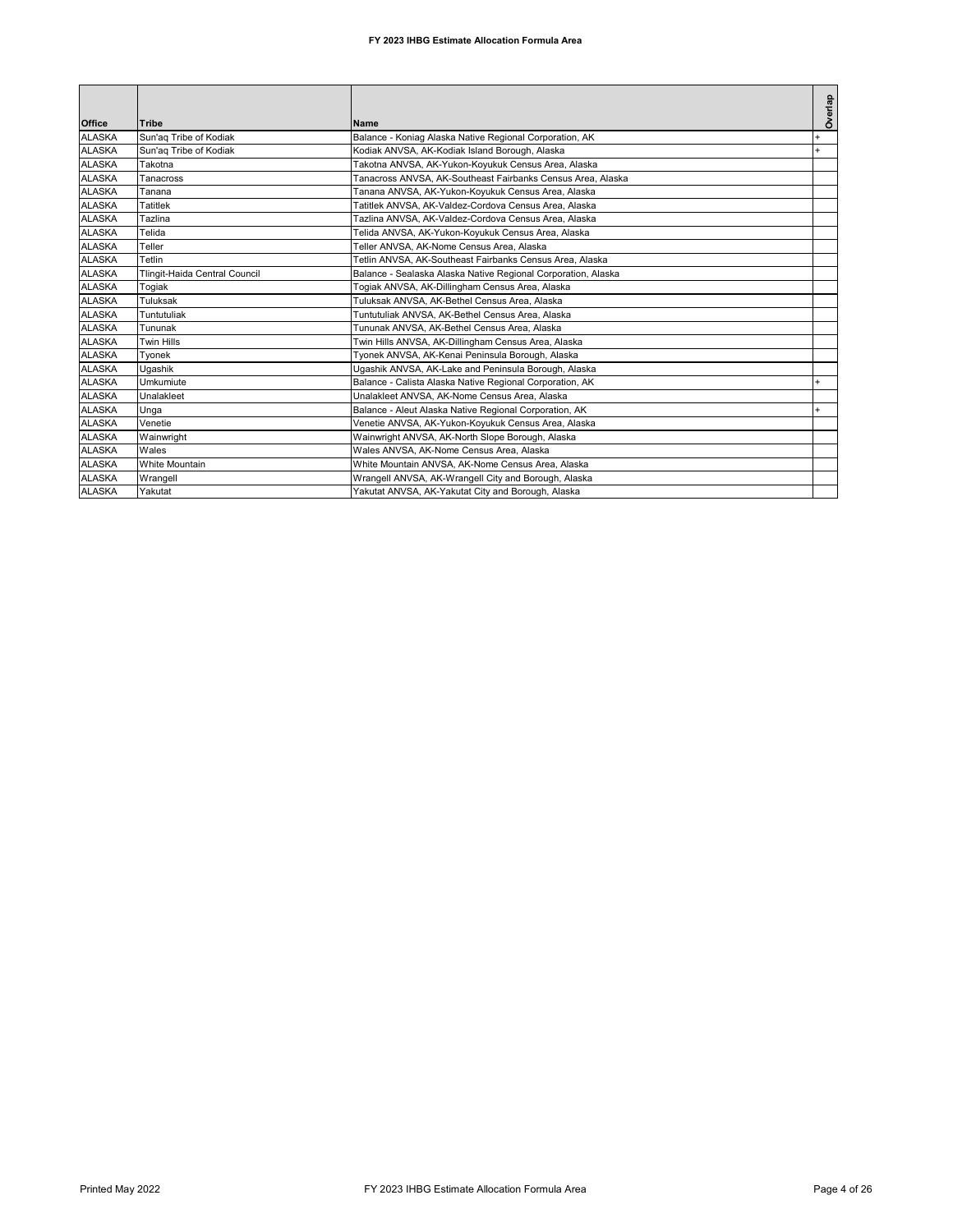| Office        | <b>Tribe</b>                  | Name                                                          | Overlap |
|---------------|-------------------------------|---------------------------------------------------------------|---------|
| <b>ALASKA</b> | Sun'ag Tribe of Kodiak        | Balance - Koniag Alaska Native Regional Corporation, AK       |         |
| <b>ALASKA</b> | Sun'ag Tribe of Kodiak        | Kodiak ANVSA, AK-Kodiak Island Borough, Alaska                | $+$     |
| <b>ALASKA</b> | Takotna                       | Takotna ANVSA, AK-Yukon-Koyukuk Census Area, Alaska           |         |
| <b>ALASKA</b> | <b>Tanacross</b>              | Tanacross ANVSA, AK-Southeast Fairbanks Census Area, Alaska   |         |
| <b>ALASKA</b> | Tanana                        | Tanana ANVSA, AK-Yukon-Koyukuk Census Area, Alaska            |         |
| <b>ALASKA</b> | Tatitlek                      | Tatitlek ANVSA, AK-Valdez-Cordova Census Area, Alaska         |         |
| <b>ALASKA</b> | Tazlina                       | Tazlina ANVSA, AK-Valdez-Cordova Census Area, Alaska          |         |
| <b>ALASKA</b> | Telida                        | Telida ANVSA, AK-Yukon-Koyukuk Census Area, Alaska            |         |
| <b>ALASKA</b> | Teller                        | Teller ANVSA, AK-Nome Census Area, Alaska                     |         |
| <b>ALASKA</b> | Tetlin                        | Tetlin ANVSA, AK-Southeast Fairbanks Census Area, Alaska      |         |
| <b>ALASKA</b> | Tlingit-Haida Central Council | Balance - Sealaska Alaska Native Regional Corporation, Alaska |         |
| <b>ALASKA</b> | Togiak                        | Togiak ANVSA, AK-Dillingham Census Area, Alaska               |         |
| <b>ALASKA</b> | Tuluksak                      | Tuluksak ANVSA, AK-Bethel Census Area, Alaska                 |         |
| <b>ALASKA</b> | Tuntutuliak                   | Tuntutuliak ANVSA, AK-Bethel Census Area, Alaska              |         |
| <b>ALASKA</b> | Tununak                       | Tununak ANVSA, AK-Bethel Census Area, Alaska                  |         |
| <b>ALASKA</b> | Twin Hills                    | Twin Hills ANVSA, AK-Dillingham Census Area, Alaska           |         |
| <b>ALASKA</b> | Tvonek                        | Tyonek ANVSA, AK-Kenai Peninsula Borough, Alaska              |         |
| <b>ALASKA</b> | Ugashik                       | Ugashik ANVSA, AK-Lake and Peninsula Borough, Alaska          |         |
| <b>ALASKA</b> | Umkumiute                     | Balance - Calista Alaska Native Regional Corporation, AK      |         |
| <b>ALASKA</b> | Unalakleet                    | Unalakleet ANVSA, AK-Nome Census Area, Alaska                 |         |
| <b>ALASKA</b> | Unga                          | Balance - Aleut Alaska Native Regional Corporation, AK        |         |
| <b>ALASKA</b> | Venetie                       | Venetie ANVSA, AK-Yukon-Koyukuk Census Area, Alaska           |         |
| <b>ALASKA</b> | Wainwright                    | Wainwright ANVSA, AK-North Slope Borough, Alaska              |         |
| <b>ALASKA</b> | Wales                         | Wales ANVSA, AK-Nome Census Area, Alaska                      |         |
| <b>ALASKA</b> | White Mountain                | White Mountain ANVSA, AK-Nome Census Area, Alaska             |         |
| <b>ALASKA</b> | Wrangell                      | Wrangell ANVSA, AK-Wrangell City and Borough, Alaska          |         |
| <b>ALASKA</b> | Yakutat                       | Yakutat ANVSA, AK-Yakutat City and Borough, Alaska            |         |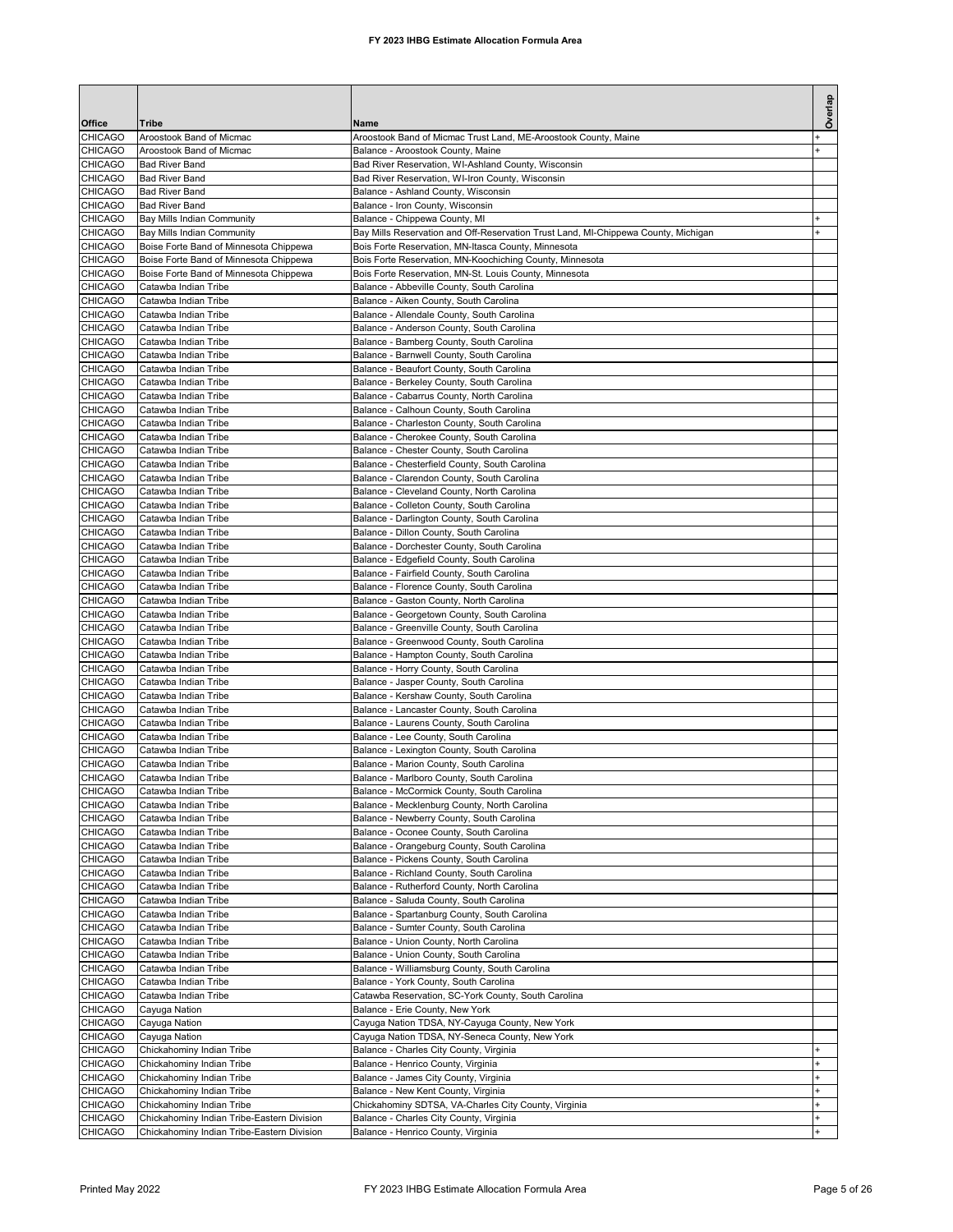| Office                           | <b>Tribe</b>                                                                             | Name                                                                                                 | Overlap |
|----------------------------------|------------------------------------------------------------------------------------------|------------------------------------------------------------------------------------------------------|---------|
| <b>CHICAGO</b>                   | Aroostook Band of Micmac                                                                 | Aroostook Band of Micmac Trust Land, ME-Aroostook County, Maine                                      |         |
| <b>CHICAGO</b>                   | Aroostook Band of Micmac                                                                 | Balance - Aroostook County, Maine                                                                    |         |
| <b>CHICAGO</b>                   | <b>Bad River Band</b>                                                                    | Bad River Reservation, WI-Ashland County, Wisconsin                                                  |         |
| <b>CHICAGO</b>                   | <b>Bad River Band</b>                                                                    | Bad River Reservation, WI-Iron County, Wisconsin                                                     |         |
| <b>CHICAGO</b><br><b>CHICAGO</b> | <b>Bad River Band</b><br><b>Bad River Band</b>                                           | Balance - Ashland County, Wisconsin<br>Balance - Iron County, Wisconsin                              |         |
| <b>CHICAGO</b>                   | Bay Mills Indian Community                                                               | Balance - Chippewa County, MI                                                                        |         |
| <b>CHICAGO</b>                   | <b>Bay Mills Indian Community</b>                                                        | Bay Mills Reservation and Off-Reservation Trust Land, MI-Chippewa County, Michigan                   |         |
| <b>CHICAGO</b>                   | Boise Forte Band of Minnesota Chippewa                                                   | Bois Forte Reservation, MN-Itasca County, Minnesota                                                  |         |
| CHICAGO                          | Boise Forte Band of Minnesota Chippewa                                                   | Bois Forte Reservation, MN-Koochiching County, Minnesota                                             |         |
| <b>CHICAGO</b><br><b>CHICAGO</b> | Boise Forte Band of Minnesota Chippewa<br>Catawba Indian Tribe                           | Bois Forte Reservation, MN-St. Louis County, Minnesota<br>Balance - Abbeville County, South Carolina |         |
| <b>CHICAGO</b>                   | Catawba Indian Tribe                                                                     | Balance - Aiken County, South Carolina                                                               |         |
| <b>CHICAGO</b>                   | Catawba Indian Tribe                                                                     | Balance - Allendale County, South Carolina                                                           |         |
| <b>CHICAGO</b>                   | Catawba Indian Tribe                                                                     | Balance - Anderson County, South Carolina                                                            |         |
| <b>CHICAGO</b>                   | Catawba Indian Tribe                                                                     | Balance - Bamberg County, South Carolina                                                             |         |
| <b>CHICAGO</b>                   | Catawba Indian Tribe                                                                     | Balance - Barnwell County, South Carolina                                                            |         |
| <b>CHICAGO</b><br><b>CHICAGO</b> | Catawba Indian Tribe<br>Catawba Indian Tribe                                             | Balance - Beaufort County, South Carolina<br>Balance - Berkeley County, South Carolina               |         |
| <b>CHICAGO</b>                   | Catawba Indian Tribe                                                                     | Balance - Cabarrus County, North Carolina                                                            |         |
| <b>CHICAGO</b>                   | Catawba Indian Tribe                                                                     | Balance - Calhoun County, South Carolina                                                             |         |
| <b>CHICAGO</b>                   | Catawba Indian Tribe                                                                     | Balance - Charleston County, South Carolina                                                          |         |
| <b>CHICAGO</b>                   | Catawba Indian Tribe                                                                     | Balance - Cherokee County, South Carolina                                                            |         |
| <b>CHICAGO</b><br><b>CHICAGO</b> | Catawba Indian Tribe<br>Catawba Indian Tribe                                             | Balance - Chester County, South Carolina<br>Balance - Chesterfield County, South Carolina            |         |
| <b>CHICAGO</b>                   | Catawba Indian Tribe                                                                     | Balance - Clarendon County, South Carolina                                                           |         |
| <b>CHICAGO</b>                   | Catawba Indian Tribe                                                                     | Balance - Cleveland County, North Carolina                                                           |         |
| <b>CHICAGO</b>                   | Catawba Indian Tribe                                                                     | Balance - Colleton County, South Carolina                                                            |         |
| <b>CHICAGO</b>                   | Catawba Indian Tribe                                                                     | Balance - Darlington County, South Carolina                                                          |         |
| <b>CHICAGO</b>                   | Catawba Indian Tribe                                                                     | Balance - Dillon County, South Carolina                                                              |         |
| <b>CHICAGO</b><br><b>CHICAGO</b> | Catawba Indian Tribe<br>Catawba Indian Tribe                                             | Balance - Dorchester County, South Carolina<br>Balance - Edgefield County, South Carolina            |         |
| <b>CHICAGO</b>                   | Catawba Indian Tribe                                                                     | Balance - Fairfield County, South Carolina                                                           |         |
| <b>CHICAGO</b>                   | Catawba Indian Tribe                                                                     | Balance - Florence County, South Carolina                                                            |         |
| <b>CHICAGO</b>                   | Catawba Indian Tribe                                                                     | Balance - Gaston County, North Carolina                                                              |         |
| <b>CHICAGO</b>                   | Catawba Indian Tribe                                                                     | Balance - Georgetown County, South Carolina                                                          |         |
| <b>CHICAGO</b><br><b>CHICAGO</b> | Catawba Indian Tribe<br>Catawba Indian Tribe                                             | Balance - Greenville County, South Carolina<br>Balance - Greenwood County, South Carolina            |         |
| <b>CHICAGO</b>                   | Catawba Indian Tribe                                                                     | Balance - Hampton County, South Carolina                                                             |         |
| <b>CHICAGO</b>                   | Catawba Indian Tribe                                                                     | Balance - Horry County, South Carolina                                                               |         |
| <b>CHICAGO</b>                   | Catawba Indian Tribe                                                                     | Balance - Jasper County, South Carolina                                                              |         |
| <b>CHICAGO</b>                   | Catawba Indian Tribe                                                                     | Balance - Kershaw County, South Carolina                                                             |         |
| <b>CHICAGO</b><br><b>CHICAGO</b> | Catawba Indian Tribe<br>Catawba Indian Tribe                                             | Balance - Lancaster County, South Carolina<br>Balance - Laurens County, South Carolina               |         |
| <b>CHICAGO</b>                   | Catawba Indian Tribe                                                                     | Balance - Lee County, South Carolina                                                                 |         |
| <b>CHICAGO</b>                   | Catawba Indian Tribe                                                                     | Balance - Lexington County, South Carolina                                                           |         |
| <b>CHICAGO</b>                   | Catawba Indian Tribe                                                                     | Balance - Marion County, South Carolina                                                              |         |
| <b>CHICAGO</b>                   | Catawba Indian Tribe                                                                     | Balance - Marlboro County, South Carolina                                                            |         |
| <b>CHICAGO</b><br><b>CHICAGO</b> | Catawba Indian Tribe<br>Catawba Indian Tribe                                             | Balance - McCormick County, South Carolina<br>Balance - Mecklenburg County, North Carolina           |         |
| <b>CHICAGO</b>                   | Catawba Indian Tribe                                                                     | Balance - Newberry County, South Carolina                                                            |         |
| <b>CHICAGO</b>                   | Catawba Indian Tribe                                                                     | Balance - Oconee County, South Carolina                                                              |         |
| <b>CHICAGO</b>                   | Catawba Indian Tribe                                                                     | Balance - Orangeburg County, South Carolina                                                          |         |
| <b>CHICAGO</b>                   | Catawba Indian Tribe                                                                     | Balance - Pickens County, South Carolina                                                             |         |
| CHICAGO<br>CHICAGO               | Catawba Indian Tribe<br>Catawba Indian Tribe                                             | Balance - Richland County, South Carolina<br>Balance - Rutherford County, North Carolina             |         |
| CHICAGO                          | Catawba Indian Tribe                                                                     | Balance - Saluda County, South Carolina                                                              |         |
| CHICAGO                          | Catawba Indian Tribe                                                                     | Balance - Spartanburg County, South Carolina                                                         |         |
| <b>CHICAGO</b>                   | Catawba Indian Tribe                                                                     | Balance - Sumter County, South Carolina                                                              |         |
| CHICAGO                          | Catawba Indian Tribe                                                                     | Balance - Union County, North Carolina                                                               |         |
| <b>CHICAGO</b><br><b>CHICAGO</b> | Catawba Indian Tribe<br>Catawba Indian Tribe                                             | Balance - Union County, South Carolina<br>Balance - Williamsburg County, South Carolina              |         |
| <b>CHICAGO</b>                   | Catawba Indian Tribe                                                                     | Balance - York County, South Carolina                                                                |         |
| <b>CHICAGO</b>                   | Catawba Indian Tribe                                                                     | Catawba Reservation, SC-York County, South Carolina                                                  |         |
| <b>CHICAGO</b>                   | Cayuga Nation                                                                            | Balance - Erie County, New York                                                                      |         |
| <b>CHICAGO</b>                   | Cayuga Nation                                                                            | Cayuga Nation TDSA, NY-Cayuga County, New York                                                       |         |
| <b>CHICAGO</b><br>CHICAGO        | Cayuga Nation<br>Chickahominy Indian Tribe                                               | Cayuga Nation TDSA, NY-Seneca County, New York<br>Balance - Charles City County, Virginia            |         |
| <b>CHICAGO</b>                   | Chickahominy Indian Tribe                                                                | Balance - Henrico County, Virginia                                                                   |         |
| CHICAGO                          | Chickahominy Indian Tribe                                                                | Balance - James City County, Virginia                                                                |         |
| <b>CHICAGO</b>                   | Chickahominy Indian Tribe                                                                | Balance - New Kent County, Virginia                                                                  |         |
| <b>CHICAGO</b>                   | Chickahominy Indian Tribe                                                                | Chickahominy SDTSA, VA-Charles City County, Virginia                                                 |         |
| <b>CHICAGO</b><br><b>CHICAGO</b> | Chickahominy Indian Tribe-Eastern Division<br>Chickahominy Indian Tribe-Eastern Division | Balance - Charles City County, Virginia<br>Balance - Henrico County, Virginia                        |         |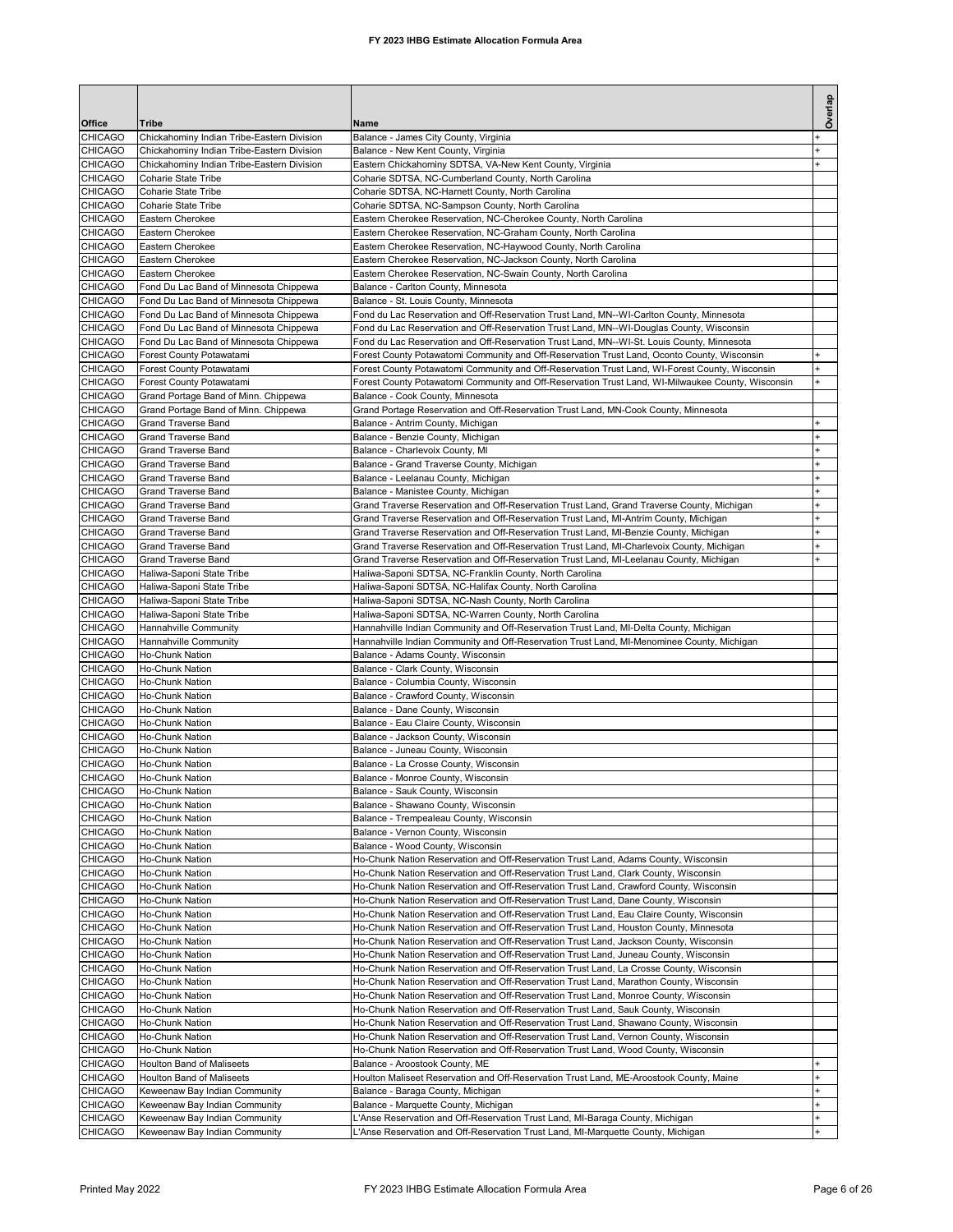| Office                           | Tribe                                                              | Name                                                                                                                                                                                   | Overlap   |
|----------------------------------|--------------------------------------------------------------------|----------------------------------------------------------------------------------------------------------------------------------------------------------------------------------------|-----------|
| <b>CHICAGO</b>                   | Chickahominy Indian Tribe-Eastern Division                         | Balance - James City County, Virginia                                                                                                                                                  |           |
| CHICAGO                          | Chickahominy Indian Tribe-Eastern Division                         | Balance - New Kent County, Virginia                                                                                                                                                    |           |
| CHICAGO                          | Chickahominy Indian Tribe-Eastern Division                         | Eastern Chickahominy SDTSA, VA-New Kent County, Virginia                                                                                                                               |           |
| CHICAGO                          | Coharie State Tribe                                                | Coharie SDTSA, NC-Cumberland County, North Carolina                                                                                                                                    |           |
| CHICAGO                          | Coharie State Tribe                                                | Coharie SDTSA, NC-Harnett County, North Carolina                                                                                                                                       |           |
| CHICAGO                          | Coharie State Tribe                                                | Coharie SDTSA, NC-Sampson County, North Carolina                                                                                                                                       |           |
| CHICAGO<br>CHICAGO               | Eastern Cherokee<br>Eastern Cherokee                               | Eastern Cherokee Reservation, NC-Cherokee County, North Carolina<br>Eastern Cherokee Reservation, NC-Graham County, North Carolina                                                     |           |
| CHICAGO                          | Eastern Cherokee                                                   | Eastern Cherokee Reservation, NC-Haywood County, North Carolina                                                                                                                        |           |
| CHICAGO                          | Eastern Cherokee                                                   | Eastern Cherokee Reservation, NC-Jackson County, North Carolina                                                                                                                        |           |
| CHICAGO                          | Eastern Cherokee                                                   | Eastern Cherokee Reservation, NC-Swain County, North Carolina                                                                                                                          |           |
| <b>CHICAGO</b>                   | Fond Du Lac Band of Minnesota Chippewa                             | Balance - Carlton County, Minnesota                                                                                                                                                    |           |
| CHICAGO                          | Fond Du Lac Band of Minnesota Chippewa                             | Balance - St. Louis County, Minnesota                                                                                                                                                  |           |
| CHICAGO                          | Fond Du Lac Band of Minnesota Chippewa                             | Fond du Lac Reservation and Off-Reservation Trust Land, MN--WI-Carlton County, Minnesota                                                                                               |           |
| CHICAGO<br>CHICAGO               | Fond Du Lac Band of Minnesota Chippewa                             | Fond du Lac Reservation and Off-Reservation Trust Land, MN--WI-Douglas County, Wisconsin<br>Fond du Lac Reservation and Off-Reservation Trust Land, MN--WI-St. Louis County, Minnesota |           |
| CHICAGO                          | Fond Du Lac Band of Minnesota Chippewa<br>Forest County Potawatami | Forest County Potawatomi Community and Off-Reservation Trust Land, Oconto County, Wisconsin                                                                                            | ÷         |
| CHICAGO                          | Forest County Potawatami                                           | Forest County Potawatomi Community and Off-Reservation Trust Land, WI-Forest County, Wisconsin                                                                                         | ÷         |
| CHICAGO                          | Forest County Potawatami                                           | Forest County Potawatomi Community and Off-Reservation Trust Land, WI-Milwaukee County, Wisconsin                                                                                      |           |
| CHICAGO                          | Grand Portage Band of Minn. Chippewa                               | Balance - Cook County, Minnesota                                                                                                                                                       |           |
| CHICAGO                          | Grand Portage Band of Minn. Chippewa                               | Grand Portage Reservation and Off-Reservation Trust Land, MN-Cook County, Minnesota                                                                                                    |           |
| CHICAGO                          | <b>Grand Traverse Band</b>                                         | Balance - Antrim County, Michigan                                                                                                                                                      | ÷         |
| CHICAGO                          | <b>Grand Traverse Band</b>                                         | Balance - Benzie County, Michigan                                                                                                                                                      | $\ddot{}$ |
| CHICAGO                          | <b>Grand Traverse Band</b>                                         | Balance - Charlevoix County, MI                                                                                                                                                        |           |
| CHICAGO<br>CHICAGO               | <b>Grand Traverse Band</b><br><b>Grand Traverse Band</b>           | Balance - Grand Traverse County, Michigan<br>Balance - Leelanau County, Michigan                                                                                                       |           |
| CHICAGO                          | <b>Grand Traverse Band</b>                                         | Balance - Manistee County, Michigan                                                                                                                                                    | ÷         |
| CHICAGO                          | <b>Grand Traverse Band</b>                                         | Grand Traverse Reservation and Off-Reservation Trust Land, Grand Traverse County, Michigan                                                                                             | ÷.        |
| CHICAGO                          | <b>Grand Traverse Band</b>                                         | Grand Traverse Reservation and Off-Reservation Trust Land, MI-Antrim County, Michigan                                                                                                  |           |
| CHICAGO                          | <b>Grand Traverse Band</b>                                         | Grand Traverse Reservation and Off-Reservation Trust Land, MI-Benzie County, Michigan                                                                                                  |           |
| CHICAGO                          | <b>Grand Traverse Band</b>                                         | Grand Traverse Reservation and Off-Reservation Trust Land, MI-Charlevoix County, Michigan                                                                                              | ÷         |
| CHICAGO                          | <b>Grand Traverse Band</b>                                         | Grand Traverse Reservation and Off-Reservation Trust Land, MI-Leelanau County, Michigan                                                                                                |           |
| CHICAGO                          | Haliwa-Saponi State Tribe                                          | Haliwa-Saponi SDTSA, NC-Franklin County, North Carolina                                                                                                                                |           |
| CHICAGO                          | Haliwa-Saponi State Tribe                                          | Haliwa-Saponi SDTSA, NC-Halifax County, North Carolina                                                                                                                                 |           |
| CHICAGO<br>CHICAGO               | Haliwa-Saponi State Tribe<br>Haliwa-Saponi State Tribe             | Haliwa-Saponi SDTSA, NC-Nash County, North Carolina<br>Haliwa-Saponi SDTSA, NC-Warren County, North Carolina                                                                           |           |
| CHICAGO                          | Hannahville Community                                              | Hannahville Indian Community and Off-Reservation Trust Land, MI-Delta County, Michigan                                                                                                 |           |
| CHICAGO                          | Hannahville Community                                              | Hannahville Indian Community and Off-Reservation Trust Land, MI-Menominee County, Michigan                                                                                             |           |
| CHICAGO                          | Ho-Chunk Nation                                                    | Balance - Adams County, Wisconsin                                                                                                                                                      |           |
| CHICAGO                          | Ho-Chunk Nation                                                    | Balance - Clark County, Wisconsin                                                                                                                                                      |           |
| CHICAGO                          | Ho-Chunk Nation                                                    | Balance - Columbia County, Wisconsin                                                                                                                                                   |           |
| <b>CHICAGO</b>                   | Ho-Chunk Nation<br><b>Ho-Chunk Nation</b>                          | Balance - Crawford County, Wisconsin                                                                                                                                                   |           |
| <b>CHICAGO</b><br><b>CHICAGO</b> | Ho-Chunk Nation                                                    | Balance - Dane County, Wisconsin<br>Balance - Eau Claire County, Wisconsin                                                                                                             |           |
| <b>CHICAGO</b>                   | <b>Ho-Chunk Nation</b>                                             | Balance - Jackson County, Wisconsin                                                                                                                                                    |           |
| CHICAGO                          | Ho-Chunk Nation                                                    | Balance - Juneau County, Wisconsin                                                                                                                                                     |           |
| CHICAGO                          | Ho-Chunk Nation                                                    | Balance - La Crosse County, Wisconsin                                                                                                                                                  |           |
| <b>CHICAGO</b>                   | <b>Ho-Chunk Nation</b>                                             | Balance - Monroe County, Wisconsin                                                                                                                                                     |           |
| CHICAGO                          | Ho-Chunk Nation                                                    | Balance - Sauk County, Wisconsin                                                                                                                                                       |           |
| CHICAGO                          | Ho-Chunk Nation                                                    | Balance - Shawano County, Wisconsin                                                                                                                                                    |           |
| CHICAGO                          | Ho-Chunk Nation                                                    | Balance - Trempealeau County, Wisconsin                                                                                                                                                |           |
| CHICAGO<br>CHICAGO               | Ho-Chunk Nation<br>Ho-Chunk Nation                                 | Balance - Vernon County, Wisconsin<br>Balance - Wood County, Wisconsin                                                                                                                 |           |
| CHICAGO                          | Ho-Chunk Nation                                                    | Ho-Chunk Nation Reservation and Off-Reservation Trust Land, Adams County, Wisconsin                                                                                                    |           |
| CHICAGO                          | Ho-Chunk Nation                                                    | Ho-Chunk Nation Reservation and Off-Reservation Trust Land, Clark County, Wisconsin                                                                                                    |           |
| CHICAGO                          | Ho-Chunk Nation                                                    | Ho-Chunk Nation Reservation and Off-Reservation Trust Land, Crawford County, Wisconsin                                                                                                 |           |
| CHICAGO                          | Ho-Chunk Nation                                                    | Ho-Chunk Nation Reservation and Off-Reservation Trust Land, Dane County, Wisconsin                                                                                                     |           |
| CHICAGO                          | Ho-Chunk Nation                                                    | Ho-Chunk Nation Reservation and Off-Reservation Trust Land, Eau Claire County, Wisconsin                                                                                               |           |
| CHICAGO                          | Ho-Chunk Nation                                                    | Ho-Chunk Nation Reservation and Off-Reservation Trust Land, Houston County, Minnesota                                                                                                  |           |
| CHICAGO<br>CHICAGO               | Ho-Chunk Nation<br>Ho-Chunk Nation                                 | Ho-Chunk Nation Reservation and Off-Reservation Trust Land, Jackson County, Wisconsin<br>Ho-Chunk Nation Reservation and Off-Reservation Trust Land, Juneau County, Wisconsin          |           |
| CHICAGO                          | Ho-Chunk Nation                                                    | Ho-Chunk Nation Reservation and Off-Reservation Trust Land, La Crosse County, Wisconsin                                                                                                |           |
| CHICAGO                          | Ho-Chunk Nation                                                    | Ho-Chunk Nation Reservation and Off-Reservation Trust Land, Marathon County, Wisconsin                                                                                                 |           |
| CHICAGO                          | Ho-Chunk Nation                                                    | Ho-Chunk Nation Reservation and Off-Reservation Trust Land, Monroe County, Wisconsin                                                                                                   |           |
| CHICAGO                          | Ho-Chunk Nation                                                    | Ho-Chunk Nation Reservation and Off-Reservation Trust Land, Sauk County, Wisconsin                                                                                                     |           |
| CHICAGO                          | Ho-Chunk Nation                                                    | Ho-Chunk Nation Reservation and Off-Reservation Trust Land, Shawano County, Wisconsin                                                                                                  |           |
| CHICAGO                          | Ho-Chunk Nation                                                    | Ho-Chunk Nation Reservation and Off-Reservation Trust Land, Vernon County, Wisconsin                                                                                                   |           |
| CHICAGO                          | Ho-Chunk Nation                                                    | Ho-Chunk Nation Reservation and Off-Reservation Trust Land, Wood County, Wisconsin                                                                                                     |           |
| CHICAGO<br>CHICAGO               | Houlton Band of Maliseets<br>Houlton Band of Maliseets             | Balance - Aroostook County, ME<br>Houlton Maliseet Reservation and Off-Reservation Trust Land, ME-Aroostook County, Maine                                                              |           |
| CHICAGO                          | Keweenaw Bay Indian Community                                      | Balance - Baraga County, Michigan                                                                                                                                                      | $\ddot{}$ |
| CHICAGO                          | Keweenaw Bay Indian Community                                      | Balance - Marquette County, Michigan                                                                                                                                                   |           |
| CHICAGO                          | Keweenaw Bay Indian Community                                      | L'Anse Reservation and Off-Reservation Trust Land, MI-Baraga County, Michigan                                                                                                          | $\ddot{}$ |
| CHICAGO                          | Keweenaw Bay Indian Community                                      | L'Anse Reservation and Off-Reservation Trust Land, MI-Marquette County, Michigan                                                                                                       |           |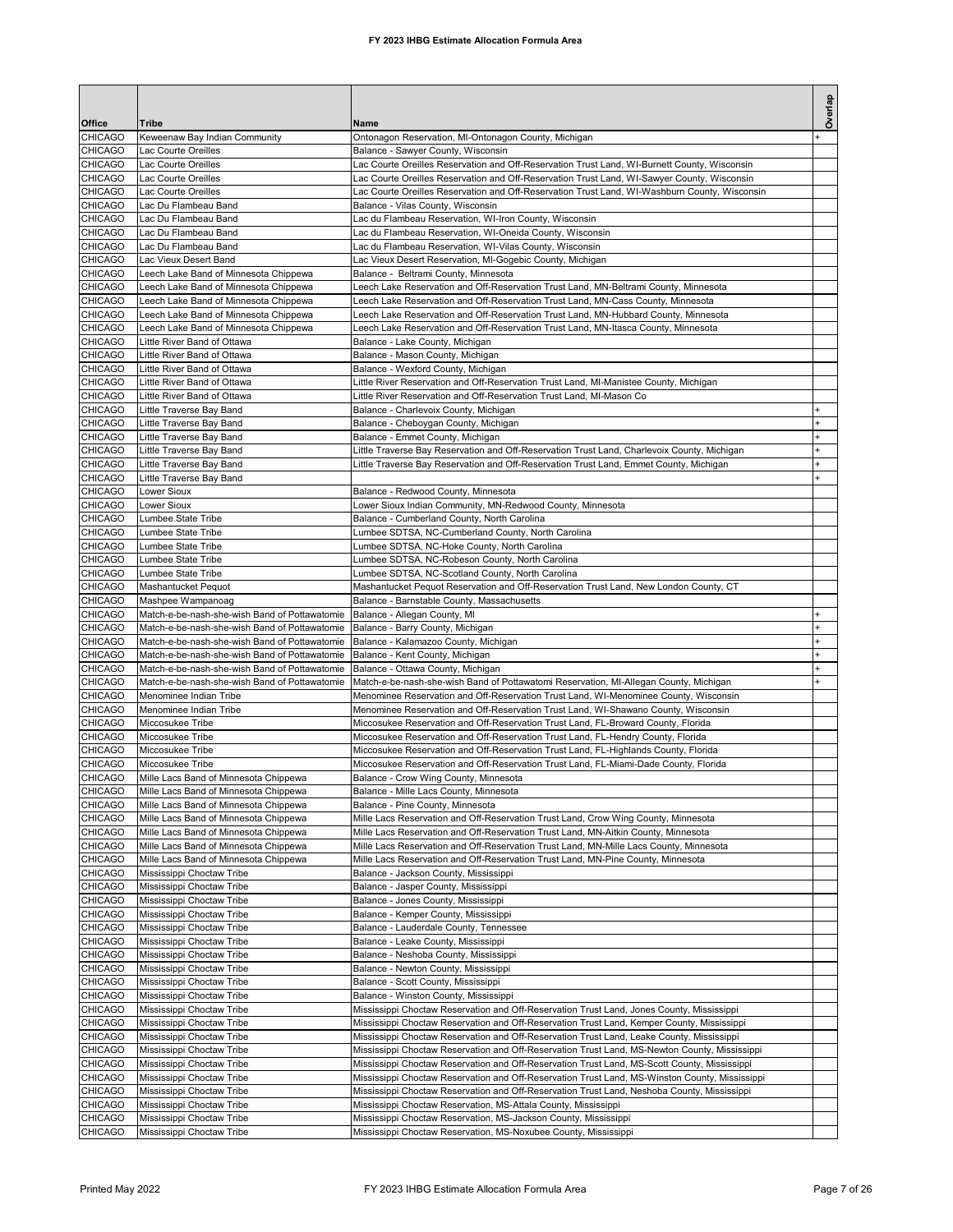| Office                           | Tribe                                                                                          | Name                                                                                                                                                                                          | Overlap   |
|----------------------------------|------------------------------------------------------------------------------------------------|-----------------------------------------------------------------------------------------------------------------------------------------------------------------------------------------------|-----------|
| <b>CHICAGO</b>                   | Keweenaw Bay Indian Community                                                                  | Ontonagon Reservation, MI-Ontonagon County, Michigan                                                                                                                                          |           |
| <b>CHICAGO</b>                   | Lac Courte Oreilles                                                                            | Balance - Sawyer County, Wisconsin                                                                                                                                                            |           |
| <b>CHICAGO</b>                   | Lac Courte Oreilles                                                                            | Lac Courte Oreilles Reservation and Off-Reservation Trust Land, WI-Burnett County, Wisconsin                                                                                                  |           |
| <b>CHICAGO</b><br><b>CHICAGO</b> | Lac Courte Oreilles<br>Lac Courte Oreilles                                                     | Lac Courte Oreilles Reservation and Off-Reservation Trust Land, WI-Sawyer County, Wisconsin<br>Lac Courte Oreilles Reservation and Off-Reservation Trust Land, WI-Washburn County, Wisconsin  |           |
| <b>CHICAGO</b>                   | Lac Du Flambeau Band                                                                           | Balance - Vilas County, Wisconsin                                                                                                                                                             |           |
| <b>CHICAGO</b>                   | Lac Du Flambeau Band                                                                           | Lac du Flambeau Reservation, WI-Iron County, Wisconsin                                                                                                                                        |           |
| <b>CHICAGO</b>                   | Lac Du Flambeau Band                                                                           | Lac du Flambeau Reservation, WI-Oneida County, Wisconsin                                                                                                                                      |           |
| CHICAGO                          | Lac Du Flambeau Band                                                                           | Lac du Flambeau Reservation, WI-Vilas County, Wisconsin                                                                                                                                       |           |
| <b>CHICAGO</b><br><b>CHICAGO</b> | Lac Vieux Desert Band<br>Leech Lake Band of Minnesota Chippewa                                 | Lac Vieux Desert Reservation, MI-Gogebic County, Michigan<br>Balance - Beltrami County, Minnesota                                                                                             |           |
| <b>CHICAGO</b>                   | Leech Lake Band of Minnesota Chippewa                                                          | Leech Lake Reservation and Off-Reservation Trust Land, MN-Beltrami County, Minnesota                                                                                                          |           |
| <b>CHICAGO</b>                   | Leech Lake Band of Minnesota Chippewa                                                          | Leech Lake Reservation and Off-Reservation Trust Land, MN-Cass County, Minnesota                                                                                                              |           |
| <b>CHICAGO</b>                   | Leech Lake Band of Minnesota Chippewa                                                          | Leech Lake Reservation and Off-Reservation Trust Land, MN-Hubbard County, Minnesota                                                                                                           |           |
| <b>CHICAGO</b>                   | Leech Lake Band of Minnesota Chippewa                                                          | Leech Lake Reservation and Off-Reservation Trust Land, MN-Itasca County, Minnesota                                                                                                            |           |
| <b>CHICAGO</b><br><b>CHICAGO</b> | Little River Band of Ottawa<br>Little River Band of Ottawa                                     | Balance - Lake County, Michigan<br>Balance - Mason County, Michigan                                                                                                                           |           |
| <b>CHICAGO</b>                   | Little River Band of Ottawa                                                                    | Balance - Wexford County, Michigan                                                                                                                                                            |           |
| <b>CHICAGO</b>                   | Little River Band of Ottawa                                                                    | Little River Reservation and Off-Reservation Trust Land, MI-Manistee County, Michigan                                                                                                         |           |
| <b>CHICAGO</b>                   | Little River Band of Ottawa                                                                    | Little River Reservation and Off-Reservation Trust Land, MI-Mason Co                                                                                                                          |           |
| <b>CHICAGO</b>                   | Little Traverse Bay Band                                                                       | Balance - Charlevoix County, Michigan                                                                                                                                                         |           |
| CHICAGO                          | Little Traverse Bay Band                                                                       | Balance - Cheboygan County, Michigan                                                                                                                                                          |           |
| <b>CHICAGO</b><br><b>CHICAGO</b> | Little Traverse Bay Band<br>Little Traverse Bay Band                                           | Balance - Emmet County, Michigan<br>Little Traverse Bay Reservation and Off-Reservation Trust Land, Charlevoix County, Michigan                                                               |           |
| <b>CHICAGO</b>                   | Little Traverse Bay Band                                                                       | Little Traverse Bay Reservation and Off-Reservation Trust Land, Emmet County, Michigan                                                                                                        |           |
| <b>CHICAGO</b>                   | Little Traverse Bay Band                                                                       |                                                                                                                                                                                               |           |
| <b>CHICAGO</b>                   | Lower Sioux                                                                                    | Balance - Redwood County, Minnesota                                                                                                                                                           |           |
| CHICAGO                          | Lower Sioux                                                                                    | Lower Sioux Indian Community, MN-Redwood County, Minnesota                                                                                                                                    |           |
| <b>CHICAGO</b>                   | Lumbee State Tribe                                                                             | Balance - Cumberland County, North Carolina                                                                                                                                                   |           |
| <b>CHICAGO</b><br><b>CHICAGO</b> | Lumbee State Tribe<br>Lumbee State Tribe                                                       | Lumbee SDTSA, NC-Cumberland County, North Carolina<br>Lumbee SDTSA, NC-Hoke County, North Carolina                                                                                            |           |
| <b>CHICAGO</b>                   | Lumbee State Tribe                                                                             | Lumbee SDTSA, NC-Robeson County, North Carolina                                                                                                                                               |           |
| CHICAGO                          | Lumbee State Tribe                                                                             | Lumbee SDTSA, NC-Scotland County, North Carolina                                                                                                                                              |           |
| <b>CHICAGO</b>                   | Mashantucket Pequot                                                                            | Mashantucket Pequot Reservation and Off-Reservation Trust Land, New London County, CT                                                                                                         |           |
| CHICAGO                          | Mashpee Wampanoag                                                                              | Balance - Barnstable County, Massachusetts                                                                                                                                                    |           |
| <b>CHICAGO</b><br><b>CHICAGO</b> | Match-e-be-nash-she-wish Band of Pottawatomie<br>Match-e-be-nash-she-wish Band of Pottawatomie | Balance - Allegan County, MI<br>Balance - Barry County, Michigan                                                                                                                              | $\ddot{}$ |
| <b>CHICAGO</b>                   | Match-e-be-nash-she-wish Band of Pottawatomie                                                  | Balance - Kalamazoo County, Michigan                                                                                                                                                          |           |
| <b>CHICAGO</b>                   | Match-e-be-nash-she-wish Band of Pottawatomie                                                  | Balance - Kent County, Michigan                                                                                                                                                               |           |
| <b>CHICAGO</b>                   | Match-e-be-nash-she-wish Band of Pottawatomie                                                  | Balance - Ottawa County, Michigan                                                                                                                                                             | $\ddot{}$ |
| <b>CHICAGO</b>                   | Match-e-be-nash-she-wish Band of Pottawatomie                                                  | Match-e-be-nash-she-wish Band of Pottawatomi Reservation, MI-Allegan County, Michigan                                                                                                         |           |
| <b>CHICAGO</b><br><b>CHICAGO</b> | Menominee Indian Tribe<br>Menominee Indian Tribe                                               | Menominee Reservation and Off-Reservation Trust Land, WI-Menominee County, Wisconsin<br>Menominee Reservation and Off-Reservation Trust Land, WI-Shawano County, Wisconsin                    |           |
| <b>CHICAGO</b>                   | Miccosukee Tribe                                                                               | Miccosukee Reservation and Off-Reservation Trust Land, FL-Broward County, Florida                                                                                                             |           |
| <b>CHICAGO</b>                   | Miccosukee Tribe                                                                               | Miccosukee Reservation and Off-Reservation Trust Land, FL-Hendry County, Florida                                                                                                              |           |
| CHICAGO                          | Miccosukee Tribe                                                                               | Miccosukee Reservation and Off-Reservation Trust Land, FL-Highlands County, Florida                                                                                                           |           |
| CHICAGO                          | Miccosukee Tribe                                                                               | Miccosukee Reservation and Off-Reservation Trust Land, FL-Miami-Dade County, Florida                                                                                                          |           |
| CHICAGO<br><b>CHICAGO</b>        | Mille Lacs Band of Minnesota Chippewa<br>Mille Lacs Band of Minnesota Chippewa                 | Balance - Crow Wing County, Minnesota<br>Balance - Mille Lacs County, Minnesota                                                                                                               |           |
| <b>CHICAGO</b>                   | Mille Lacs Band of Minnesota Chippewa                                                          | Balance - Pine County, Minnesota                                                                                                                                                              |           |
| <b>CHICAGO</b>                   | Mille Lacs Band of Minnesota Chippewa                                                          | Mille Lacs Reservation and Off-Reservation Trust Land, Crow Wing County, Minnesota                                                                                                            |           |
| <b>CHICAGO</b>                   | Mille Lacs Band of Minnesota Chippewa                                                          | Mille Lacs Reservation and Off-Reservation Trust Land, MN-Aitkin County, Minnesota                                                                                                            |           |
| <b>CHICAGO</b>                   | Mille Lacs Band of Minnesota Chippewa                                                          | Mille Lacs Reservation and Off-Reservation Trust Land, MN-Mille Lacs County, Minnesota                                                                                                        |           |
| <b>CHICAGO</b><br><b>CHICAGO</b> | Mille Lacs Band of Minnesota Chippewa<br>Mississippi Choctaw Tribe                             | Mille Lacs Reservation and Off-Reservation Trust Land, MN-Pine County, Minnesota<br>Balance - Jackson County, Mississippi                                                                     |           |
| <b>CHICAGO</b>                   | Mississippi Choctaw Tribe                                                                      | Balance - Jasper County, Mississippi                                                                                                                                                          |           |
| <b>CHICAGO</b>                   | Mississippi Choctaw Tribe                                                                      | Balance - Jones County, Mississippi                                                                                                                                                           |           |
| <b>CHICAGO</b>                   | Mississippi Choctaw Tribe                                                                      | Balance - Kemper County, Mississippi                                                                                                                                                          |           |
| <b>CHICAGO</b>                   | Mississippi Choctaw Tribe                                                                      | Balance - Lauderdale County, Tennessee                                                                                                                                                        |           |
| <b>CHICAGO</b>                   | Mississippi Choctaw Tribe                                                                      | Balance - Leake County, Mississippi                                                                                                                                                           |           |
| <b>CHICAGO</b><br><b>CHICAGO</b> | Mississippi Choctaw Tribe<br>Mississippi Choctaw Tribe                                         | Balance - Neshoba County, Mississippi<br>Balance - Newton County, Mississippi                                                                                                                 |           |
| CHICAGO                          | Mississippi Choctaw Tribe                                                                      | Balance - Scott County, Mississippi                                                                                                                                                           |           |
| <b>CHICAGO</b>                   |                                                                                                |                                                                                                                                                                                               |           |
|                                  | Mississippi Choctaw Tribe                                                                      | Balance - Winston County, Mississippi                                                                                                                                                         |           |
| <b>CHICAGO</b>                   | Mississippi Choctaw Tribe                                                                      | Mississippi Choctaw Reservation and Off-Reservation Trust Land, Jones County, Mississippi                                                                                                     |           |
| <b>CHICAGO</b>                   | Mississippi Choctaw Tribe                                                                      | Mississippi Choctaw Reservation and Off-Reservation Trust Land, Kemper County, Mississippi                                                                                                    |           |
| <b>CHICAGO</b>                   | Mississippi Choctaw Tribe                                                                      | Mississippi Choctaw Reservation and Off-Reservation Trust Land, Leake County, Mississippi                                                                                                     |           |
| <b>CHICAGO</b><br><b>CHICAGO</b> | Mississippi Choctaw Tribe<br>Mississippi Choctaw Tribe                                         | Mississippi Choctaw Reservation and Off-Reservation Trust Land, MS-Newton County, Mississippi<br>Mississippi Choctaw Reservation and Off-Reservation Trust Land, MS-Scott County, Mississippi |           |
| <b>CHICAGO</b>                   | Mississippi Choctaw Tribe                                                                      | Mississippi Choctaw Reservation and Off-Reservation Trust Land, MS-Winston County, Mississippi                                                                                                |           |
| <b>CHICAGO</b>                   | Mississippi Choctaw Tribe                                                                      | Mississippi Choctaw Reservation and Off-Reservation Trust Land, Neshoba County, Mississippi                                                                                                   |           |
| <b>CHICAGO</b>                   | Mississippi Choctaw Tribe                                                                      | Mississippi Choctaw Reservation, MS-Attala County, Mississippi                                                                                                                                |           |
| CHICAGO<br><b>CHICAGO</b>        | Mississippi Choctaw Tribe<br>Mississippi Choctaw Tribe                                         | Mississippi Choctaw Reservation, MS-Jackson County, Mississippi<br>Mississippi Choctaw Reservation, MS-Noxubee County, Mississippi                                                            |           |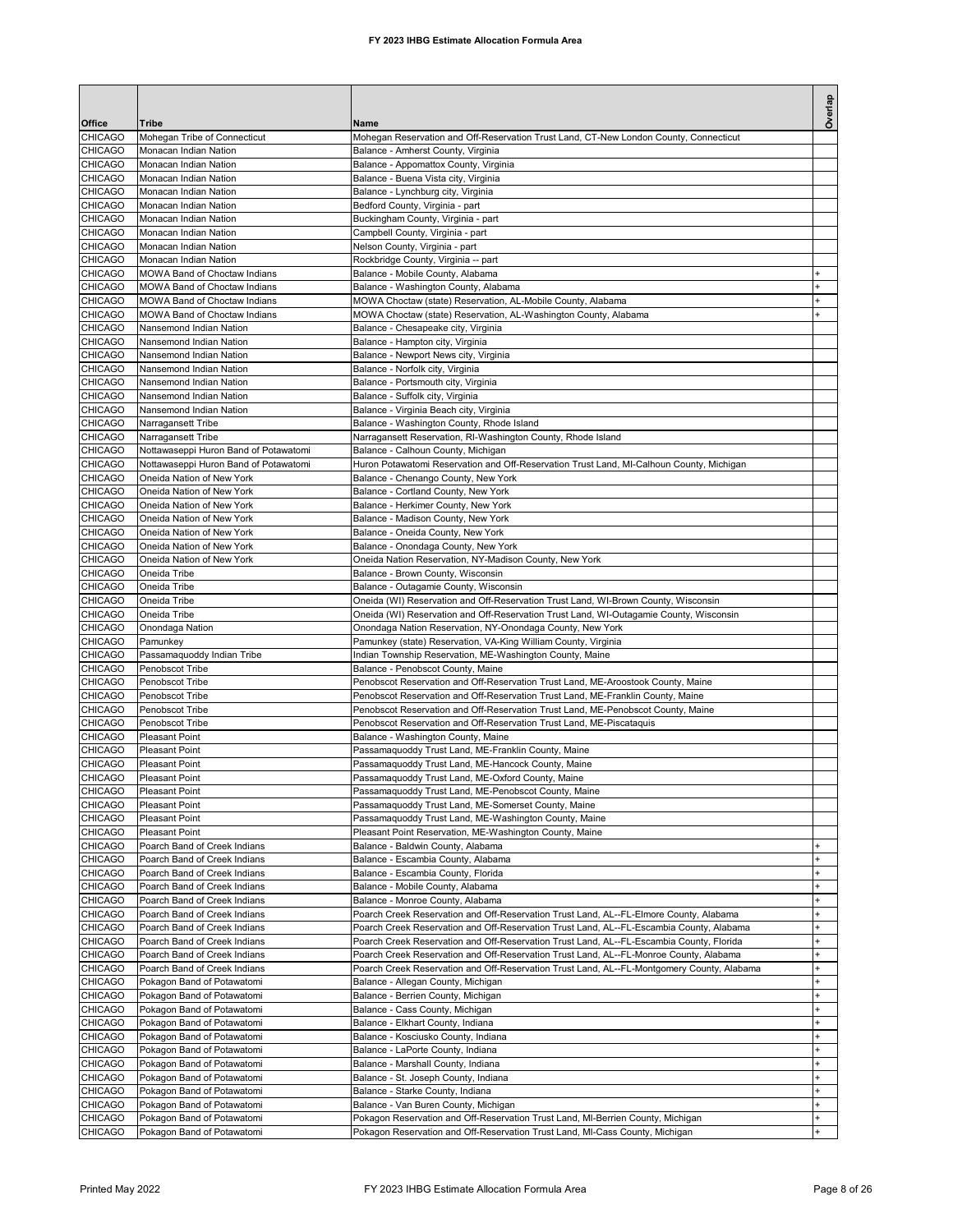| Office                           |                                                              |                                                                                                                                                                                    | Overlap        |
|----------------------------------|--------------------------------------------------------------|------------------------------------------------------------------------------------------------------------------------------------------------------------------------------------|----------------|
| <b>CHICAGO</b>                   | Tribe<br>Mohegan Tribe of Connecticut                        | Name<br>Mohegan Reservation and Off-Reservation Trust Land, CT-New London County, Connecticut                                                                                      |                |
| CHICAGO                          | Monacan Indian Nation                                        | Balance - Amherst County, Virginia                                                                                                                                                 |                |
| <b>CHICAGO</b>                   | Monacan Indian Nation                                        | Balance - Appomattox County, Virginia                                                                                                                                              |                |
| CHICAGO<br>CHICAGO               | Monacan Indian Nation<br>Monacan Indian Nation               | Balance - Buena Vista city, Virginia<br>Balance - Lynchburg city, Virginia                                                                                                         |                |
| CHICAGO                          | Monacan Indian Nation                                        | Bedford County, Virginia - part                                                                                                                                                    |                |
| <b>CHICAGO</b>                   | Monacan Indian Nation                                        | Buckingham County, Virginia - part                                                                                                                                                 |                |
| CHICAGO                          | Monacan Indian Nation                                        | Campbell County, Virginia - part                                                                                                                                                   |                |
| CHICAGO                          | Monacan Indian Nation                                        | Nelson County, Virginia - part                                                                                                                                                     |                |
| CHICAGO<br>CHICAGO               | Monacan Indian Nation<br>MOWA Band of Choctaw Indians        | Rockbridge County, Virginia -- part<br>Balance - Mobile County, Alabama                                                                                                            |                |
| CHICAGO                          | MOWA Band of Choctaw Indians                                 | Balance - Washington County, Alabama                                                                                                                                               |                |
| CHICAGO                          | MOWA Band of Choctaw Indians                                 | MOWA Choctaw (state) Reservation, AL-Mobile County, Alabama                                                                                                                        |                |
| CHICAGO                          | MOWA Band of Choctaw Indians                                 | MOWA Choctaw (state) Reservation, AL-Washington County, Alabama                                                                                                                    |                |
| CHICAGO                          | Nansemond Indian Nation                                      | Balance - Chesapeake city, Virginia                                                                                                                                                |                |
| <b>CHICAGO</b><br><b>CHICAGO</b> | Nansemond Indian Nation<br>Nansemond Indian Nation           | Balance - Hampton city, Virginia<br>Balance - Newport News city, Virginia                                                                                                          |                |
| CHICAGO                          | Nansemond Indian Nation                                      | Balance - Norfolk city, Virginia                                                                                                                                                   |                |
| CHICAGO                          | Nansemond Indian Nation                                      | Balance - Portsmouth city, Virginia                                                                                                                                                |                |
| <b>CHICAGO</b>                   | Nansemond Indian Nation                                      | Balance - Suffolk city, Virginia                                                                                                                                                   |                |
| CHICAGO                          | Nansemond Indian Nation                                      | Balance - Virginia Beach city, Virginia                                                                                                                                            |                |
| CHICAGO<br>CHICAGO               | Narragansett Tribe<br>Narragansett Tribe                     | Balance - Washington County, Rhode Island<br>Narragansett Reservation, RI-Washington County, Rhode Island                                                                          |                |
| CHICAGO                          | Nottawaseppi Huron Band of Potawatomi                        | Balance - Calhoun County, Michigan                                                                                                                                                 |                |
| CHICAGO                          | Nottawaseppi Huron Band of Potawatomi                        | Huron Potawatomi Reservation and Off-Reservation Trust Land, MI-Calhoun County, Michigan                                                                                           |                |
| CHICAGO                          | Oneida Nation of New York                                    | Balance - Chenango County, New York                                                                                                                                                |                |
| CHICAGO                          | Oneida Nation of New York                                    | Balance - Cortland County, New York                                                                                                                                                |                |
| CHICAGO<br>CHICAGO               | Oneida Nation of New York<br>Oneida Nation of New York       | Balance - Herkimer County, New York                                                                                                                                                |                |
| CHICAGO                          | Oneida Nation of New York                                    | Balance - Madison County, New York<br>Balance - Oneida County, New York                                                                                                            |                |
| <b>CHICAGO</b>                   | Oneida Nation of New York                                    | Balance - Onondaga County, New York                                                                                                                                                |                |
| CHICAGO                          | Oneida Nation of New York                                    | Oneida Nation Reservation, NY-Madison County, New York                                                                                                                             |                |
| CHICAGO                          | Oneida Tribe                                                 | Balance - Brown County, Wisconsin                                                                                                                                                  |                |
| CHICAGO                          | Oneida Tribe                                                 | Balance - Outagamie County, Wisconsin                                                                                                                                              |                |
| CHICAGO<br>CHICAGO               | Oneida Tribe<br>Oneida Tribe                                 | Oneida (WI) Reservation and Off-Reservation Trust Land, WI-Brown County, Wisconsin<br>Oneida (WI) Reservation and Off-Reservation Trust Land, WI-Outagamie County, Wisconsin       |                |
| CHICAGO                          | Onondaga Nation                                              | Onondaga Nation Reservation, NY-Onondaga County, New York                                                                                                                          |                |
| CHICAGO                          | Pamunkey                                                     | Pamunkey (state) Reservation, VA-King William County, Virginia                                                                                                                     |                |
| CHICAGO                          | Passamaquoddy Indian Tribe                                   | Indian Township Reservation, ME-Washington County, Maine                                                                                                                           |                |
| <b>CHICAGO</b>                   | Penobscot Tribe<br>Penobscot Tribe                           | Balance - Penobscot County, Maine                                                                                                                                                  |                |
| CHICAGO<br>CHICAGO               | Penobscot Tribe                                              | Penobscot Reservation and Off-Reservation Trust Land, ME-Aroostook County, Maine<br>Penobscot Reservation and Off-Reservation Trust Land, ME-Franklin County, Maine                |                |
| <b>CHICAGO</b>                   | Penobscot Tribe                                              | Penobscot Reservation and Off-Reservation Trust Land, ME-Penobscot County, Maine                                                                                                   |                |
| CHICAGO                          | Penobscot Tribe                                              | Penobscot Reservation and Off-Reservation Trust Land, ME-Piscataquis                                                                                                               |                |
| <b>CHICAGO</b>                   | <b>Pleasant Point</b>                                        | Balance - Washington County, Maine                                                                                                                                                 |                |
| <b>CHICAGO</b>                   | <b>Pleasant Point</b>                                        | Passamaquoddy Trust Land, ME-Franklin County, Maine                                                                                                                                |                |
| <b>CHICAGO</b><br><b>CHICAGO</b> | <b>Pleasant Point</b><br><b>Pleasant Point</b>               | Passamaquoddy Trust Land, ME-Hancock County, Maine<br>Passamaquoddy Trust Land, ME-Oxford County, Maine                                                                            |                |
| CHICAGO                          | <b>Pleasant Point</b>                                        | Passamaquoddy Trust Land, ME-Penobscot County, Maine                                                                                                                               |                |
| CHICAGO                          | <b>Pleasant Point</b>                                        | Passamaquoddy Trust Land, ME-Somerset County, Maine                                                                                                                                |                |
| CHICAGO                          | Pleasant Point                                               | Passamaquoddy Trust Land, ME-Washington County, Maine                                                                                                                              |                |
| CHICAGO<br>CHICAGO               | <b>Pleasant Point</b><br>Poarch Band of Creek Indians        | Pleasant Point Reservation, ME-Washington County, Maine<br>Balance - Baldwin County, Alabama                                                                                       |                |
| CHICAGO                          | Poarch Band of Creek Indians                                 | Balance - Escambia County, Alabama                                                                                                                                                 | $\ddot{}$      |
| CHICAGO                          | Poarch Band of Creek Indians                                 | Balance - Escambia County, Florida                                                                                                                                                 | $\ddot{}$      |
| CHICAGO                          | Poarch Band of Creek Indians                                 | Balance - Mobile County, Alabama                                                                                                                                                   | $\ddot{}$      |
| CHICAGO                          | Poarch Band of Creek Indians                                 | Balance - Monroe County, Alabama                                                                                                                                                   | $\ddot{}$      |
| CHICAGO<br>CHICAGO               | Poarch Band of Creek Indians<br>Poarch Band of Creek Indians | Poarch Creek Reservation and Off-Reservation Trust Land, AL--FL-Elmore County, Alabama<br>Poarch Creek Reservation and Off-Reservation Trust Land, AL--FL-Escambia County, Alabama | ÷              |
| CHICAGO                          | Poarch Band of Creek Indians                                 | Poarch Creek Reservation and Off-Reservation Trust Land, AL--FL-Escambia County, Florida                                                                                           | ÷              |
| CHICAGO                          | Poarch Band of Creek Indians                                 | Poarch Creek Reservation and Off-Reservation Trust Land, AL--FL-Monroe County, Alabama                                                                                             | <sup>+</sup>   |
| CHICAGO                          | Poarch Band of Creek Indians                                 | Poarch Creek Reservation and Off-Reservation Trust Land, AL--FL-Montgomery County, Alabama                                                                                         | ÷              |
| CHICAGO                          | Pokagon Band of Potawatomi                                   | Balance - Allegan County, Michigan                                                                                                                                                 | +              |
| CHICAGO<br>CHICAGO               | Pokagon Band of Potawatomi                                   | Balance - Berrien County, Michigan<br>Balance - Cass County, Michigan                                                                                                              |                |
| CHICAGO                          | Pokagon Band of Potawatomi<br>Pokagon Band of Potawatomi     | Balance - Elkhart County, Indiana                                                                                                                                                  |                |
| CHICAGO                          | Pokagon Band of Potawatomi                                   | Balance - Kosciusko County, Indiana                                                                                                                                                | $\ddot{}$      |
| CHICAGO                          | Pokagon Band of Potawatomi                                   | Balance - LaPorte County, Indiana                                                                                                                                                  | $\ddot{}$      |
| CHICAGO                          | Pokagon Band of Potawatomi                                   | Balance - Marshall County, Indiana                                                                                                                                                 | $\ddot{}$      |
| <b>CHICAGO</b>                   | Pokagon Band of Potawatomi                                   | Balance - St. Joseph County, Indiana                                                                                                                                               | $\ddot{}$<br>÷ |
| CHICAGO<br>CHICAGO               | Pokagon Band of Potawatomi<br>Pokagon Band of Potawatomi     | Balance - Starke County, Indiana<br>Balance - Van Buren County, Michigan                                                                                                           | ÷              |
| CHICAGO                          | Pokagon Band of Potawatomi                                   | Pokagon Reservation and Off-Reservation Trust Land, MI-Berrien County, Michigan                                                                                                    | $\ddot{}$      |
| CHICAGO                          | Pokagon Band of Potawatomi                                   | Pokagon Reservation and Off-Reservation Trust Land, MI-Cass County, Michigan                                                                                                       |                |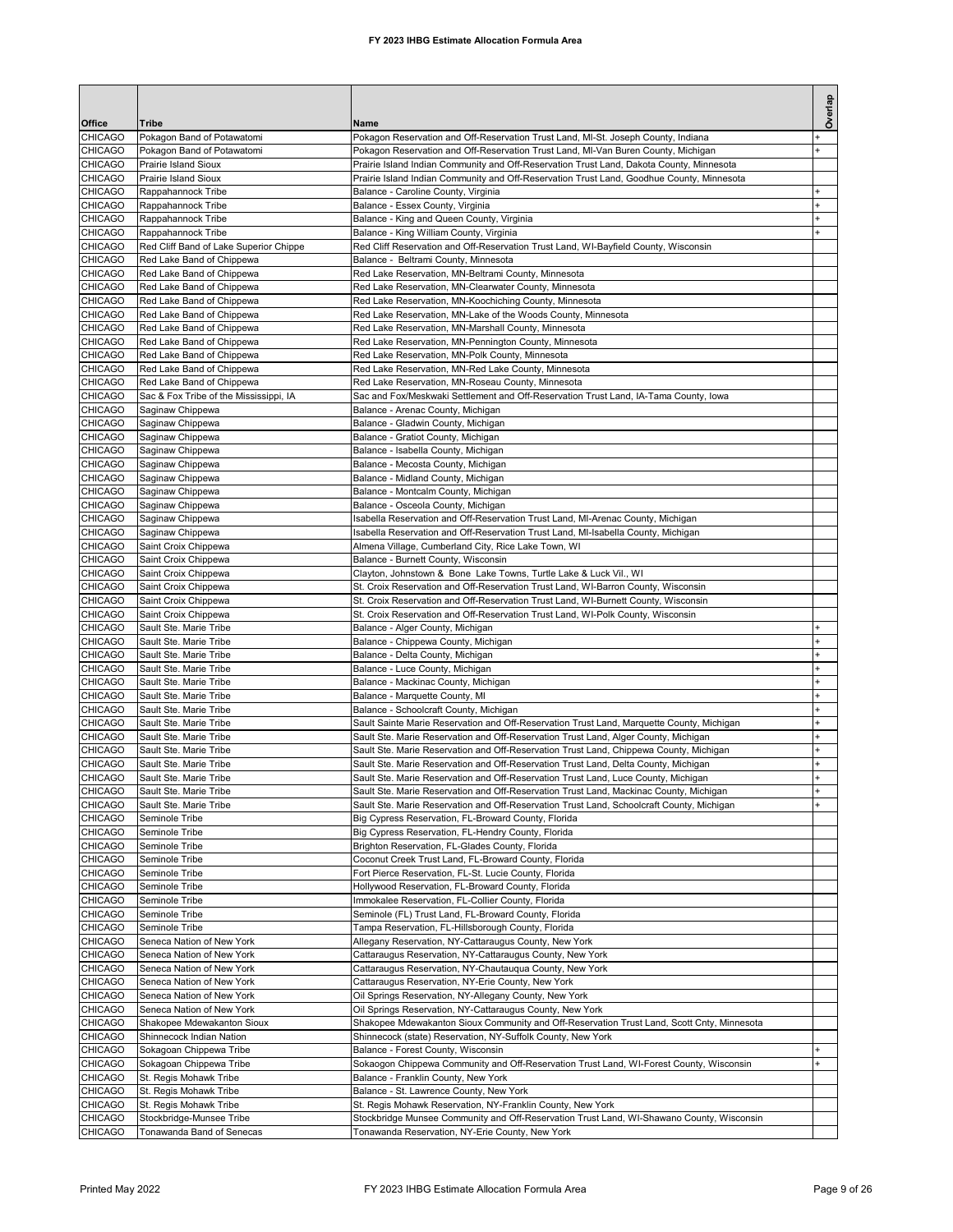|                    |                                                                     |                                                                                                                                                                               | Overlap        |
|--------------------|---------------------------------------------------------------------|-------------------------------------------------------------------------------------------------------------------------------------------------------------------------------|----------------|
| Office             | Tribe                                                               | Name                                                                                                                                                                          |                |
| <b>CHICAGO</b>     | Pokagon Band of Potawatomi                                          | Pokagon Reservation and Off-Reservation Trust Land, MI-St. Joseph County, Indiana                                                                                             |                |
| CHICAGO            | Pokagon Band of Potawatomi                                          | Pokagon Reservation and Off-Reservation Trust Land, MI-Van Buren County, Michigan                                                                                             | $\overline{1}$ |
| <b>CHICAGO</b>     | Prairie Island Sioux                                                | Prairie Island Indian Community and Off-Reservation Trust Land, Dakota County, Minnesota                                                                                      |                |
| CHICAGO            | <b>Prairie Island Sioux</b>                                         | Prairie Island Indian Community and Off-Reservation Trust Land, Goodhue County, Minnesota                                                                                     |                |
| CHICAGO<br>CHICAGO | Rappahannock Tribe<br>Rappahannock Tribe                            | Balance - Caroline County, Virginia<br>Balance - Essex County, Virginia                                                                                                       | $\ddot{}$<br>÷ |
| CHICAGO            | Rappahannock Tribe                                                  | Balance - King and Queen County, Virginia                                                                                                                                     |                |
| CHICAGO            | Rappahannock Tribe                                                  | Balance - King William County, Virginia                                                                                                                                       |                |
| CHICAGO            | Red Cliff Band of Lake Superior Chippe                              | Red Cliff Reservation and Off-Reservation Trust Land, WI-Bayfield County, Wisconsin                                                                                           |                |
| <b>CHICAGO</b>     | Red Lake Band of Chippewa                                           | Balance - Beltrami County, Minnesota                                                                                                                                          |                |
| CHICAGO            | Red Lake Band of Chippewa                                           | Red Lake Reservation, MN-Beltrami County, Minnesota                                                                                                                           |                |
| CHICAGO<br>CHICAGO | Red Lake Band of Chippewa<br>Red Lake Band of Chippewa              | Red Lake Reservation, MN-Clearwater County, Minnesota<br>Red Lake Reservation, MN-Koochiching County, Minnesota                                                               |                |
| CHICAGO            | Red Lake Band of Chippewa                                           | Red Lake Reservation, MN-Lake of the Woods County, Minnesota                                                                                                                  |                |
| CHICAGO            | Red Lake Band of Chippewa                                           | Red Lake Reservation, MN-Marshall County, Minnesota                                                                                                                           |                |
| CHICAGO            | Red Lake Band of Chippewa                                           | Red Lake Reservation, MN-Pennington County, Minnesota                                                                                                                         |                |
| CHICAGO            | Red Lake Band of Chippewa                                           | Red Lake Reservation, MN-Polk County, Minnesota                                                                                                                               |                |
| CHICAGO            | Red Lake Band of Chippewa                                           | Red Lake Reservation, MN-Red Lake County, Minnesota                                                                                                                           |                |
| CHICAGO<br>CHICAGO | Red Lake Band of Chippewa<br>Sac & Fox Tribe of the Mississippi, IA | Red Lake Reservation, MN-Roseau County, Minnesota<br>Sac and Fox/Meskwaki Settlement and Off-Reservation Trust Land, IA-Tama County, Iowa                                     |                |
| CHICAGO            | Saginaw Chippewa                                                    | Balance - Arenac County, Michigan                                                                                                                                             |                |
| CHICAGO            | Saginaw Chippewa                                                    | Balance - Gladwin County, Michigan                                                                                                                                            |                |
| CHICAGO            | Saginaw Chippewa                                                    | Balance - Gratiot County, Michigan                                                                                                                                            |                |
| CHICAGO            | Saginaw Chippewa                                                    | Balance - Isabella County, Michigan                                                                                                                                           |                |
| CHICAGO            | Saginaw Chippewa                                                    | Balance - Mecosta County, Michigan                                                                                                                                            |                |
| CHICAGO<br>CHICAGO | Saginaw Chippewa                                                    | Balance - Midland County, Michigan                                                                                                                                            |                |
| CHICAGO            | Saginaw Chippewa<br>Saginaw Chippewa                                | Balance - Montcalm County, Michigan<br>Balance - Osceola County, Michigan                                                                                                     |                |
| CHICAGO            | Saginaw Chippewa                                                    | Isabella Reservation and Off-Reservation Trust Land, MI-Arenac County, Michigan                                                                                               |                |
| CHICAGO            | Saginaw Chippewa                                                    | Isabella Reservation and Off-Reservation Trust Land, MI-Isabella County, Michigan                                                                                             |                |
| CHICAGO            | Saint Croix Chippewa                                                | Almena Village, Cumberland City, Rice Lake Town, WI                                                                                                                           |                |
| CHICAGO            | Saint Croix Chippewa                                                | Balance - Burnett County, Wisconsin                                                                                                                                           |                |
| CHICAGO<br>CHICAGO | Saint Croix Chippewa<br>Saint Croix Chippewa                        | Clayton, Johnstown & Bone Lake Towns, Turtle Lake & Luck Vil., WI<br>St. Croix Reservation and Off-Reservation Trust Land, WI-Barron County, Wisconsin                        |                |
| CHICAGO            | Saint Croix Chippewa                                                | St. Croix Reservation and Off-Reservation Trust Land, WI-Burnett County, Wisconsin                                                                                            |                |
| CHICAGO            | Saint Croix Chippewa                                                | St. Croix Reservation and Off-Reservation Trust Land, WI-Polk County, Wisconsin                                                                                               |                |
| CHICAGO            | Sault Ste. Marie Tribe                                              | Balance - Alger County, Michigan                                                                                                                                              |                |
| CHICAGO            | Sault Ste. Marie Tribe                                              | Balance - Chippewa County, Michigan                                                                                                                                           | ÷              |
| CHICAGO            | Sault Ste. Marie Tribe                                              | Balance - Delta County, Michigan                                                                                                                                              | ÷              |
| CHICAGO<br>CHICAGO | Sault Ste. Marie Tribe<br>Sault Ste. Marie Tribe                    | Balance - Luce County, Michigan<br>Balance - Mackinac County, Michigan                                                                                                        | $\ddot{}$      |
| CHICAGO            | Sault Ste, Marie Tribe                                              | Balance - Marquette County, MI                                                                                                                                                | $\ddot{}$      |
| CHICAGO            | Sault Ste. Marie Tribe                                              | Balance - Schoolcraft County, Michigan                                                                                                                                        | $\ddot{}$      |
| CHICAGO            | Sault Ste. Marie Tribe                                              | Sault Sainte Marie Reservation and Off-Reservation Trust Land, Marquette County, Michigan                                                                                     | ÷              |
| CHICAGO            | Sault Ste. Marie Tribe                                              | Sault Ste. Marie Reservation and Off-Reservation Trust Land, Alger County, Michigan                                                                                           | $\overline{1}$ |
| CHICAGO<br>CHICAGO | Sault Ste. Marie Tribe<br>Sault Ste. Marie Tribe                    | Sault Ste. Marie Reservation and Off-Reservation Trust Land, Chippewa County, Michigan<br>Sault Ste, Marie Reservation and Off-Reservation Trust Land, Delta County, Michigan | $\ddot{}$      |
| <b>CHICAGO</b>     | Sault Ste, Marie Tribe                                              | Sault Ste. Marie Reservation and Off-Reservation Trust Land, Luce County, Michigan                                                                                            | $\ddot{}$      |
| <b>CHICAGO</b>     | Sault Ste. Marie Tribe                                              | Sault Ste. Marie Reservation and Off-Reservation Trust Land, Mackinac County, Michigan                                                                                        |                |
| CHICAGO            | Sault Ste. Marie Tribe                                              | Sault Ste. Marie Reservation and Off-Reservation Trust Land, Schoolcraft County, Michigan                                                                                     |                |
| CHICAGO            | Seminole Tribe                                                      | Big Cypress Reservation, FL-Broward County, Florida                                                                                                                           |                |
| CHICAGO            | Seminole Tribe                                                      | Big Cypress Reservation, FL-Hendry County, Florida                                                                                                                            |                |
| CHICAGO<br>CHICAGO | Seminole Tribe<br>Seminole Tribe                                    | Brighton Reservation, FL-Glades County, Florida                                                                                                                               |                |
| CHICAGO            | Seminole Tribe                                                      | Coconut Creek Trust Land, FL-Broward County, Florida<br>Fort Pierce Reservation, FL-St. Lucie County, Florida                                                                 |                |
| CHICAGO            | Seminole Tribe                                                      | Hollywood Reservation, FL-Broward County, Florida                                                                                                                             |                |
| CHICAGO            | Seminole Tribe                                                      | Immokalee Reservation, FL-Collier County, Florida                                                                                                                             |                |
| CHICAGO            | Seminole Tribe                                                      | Seminole (FL) Trust Land, FL-Broward County, Florida                                                                                                                          |                |
| CHICAGO            | Seminole Tribe                                                      | Tampa Reservation, FL-Hillsborough County, Florida                                                                                                                            |                |
| CHICAGO<br>CHICAGO | Seneca Nation of New York<br>Seneca Nation of New York              | Allegany Reservation, NY-Cattaraugus County, New York                                                                                                                         |                |
| CHICAGO            | Seneca Nation of New York                                           | Cattaraugus Reservation, NY-Cattaraugus County, New York<br>Cattaraugus Reservation, NY-Chautauqua County, New York                                                           |                |
| CHICAGO            | Seneca Nation of New York                                           | Cattaraugus Reservation, NY-Erie County, New York                                                                                                                             |                |
| CHICAGO            | Seneca Nation of New York                                           | Oil Springs Reservation, NY-Allegany County, New York                                                                                                                         |                |
| CHICAGO            | Seneca Nation of New York                                           | Oil Springs Reservation, NY-Cattaraugus County, New York                                                                                                                      |                |
| CHICAGO            | Shakopee Mdewakanton Sioux                                          | Shakopee Mdewakanton Sioux Community and Off-Reservation Trust Land, Scott Cnty, Minnesota                                                                                    |                |
| CHICAGO            | Shinnecock Indian Nation                                            | Shinnecock (state) Reservation, NY-Suffolk County, New York                                                                                                                   |                |
| CHICAGO<br>CHICAGO | Sokagoan Chippewa Tribe<br>Sokagoan Chippewa Tribe                  | Balance - Forest County, Wisconsin<br>Sokaogon Chippewa Community and Off-Reservation Trust Land, WI-Forest County, Wisconsin                                                 |                |
| CHICAGO            | St. Regis Mohawk Tribe                                              | Balance - Franklin County, New York                                                                                                                                           |                |
| CHICAGO            | St. Regis Mohawk Tribe                                              | Balance - St. Lawrence County, New York                                                                                                                                       |                |
| CHICAGO            | St. Regis Mohawk Tribe                                              | St. Regis Mohawk Reservation, NY-Franklin County, New York                                                                                                                    |                |
| CHICAGO            | Stockbridge-Munsee Tribe                                            | Stockbridge Munsee Community and Off-Reservation Trust Land, WI-Shawano County, Wisconsin                                                                                     |                |
| CHICAGO            | Tonawanda Band of Senecas                                           | Tonawanda Reservation, NY-Erie County, New York                                                                                                                               |                |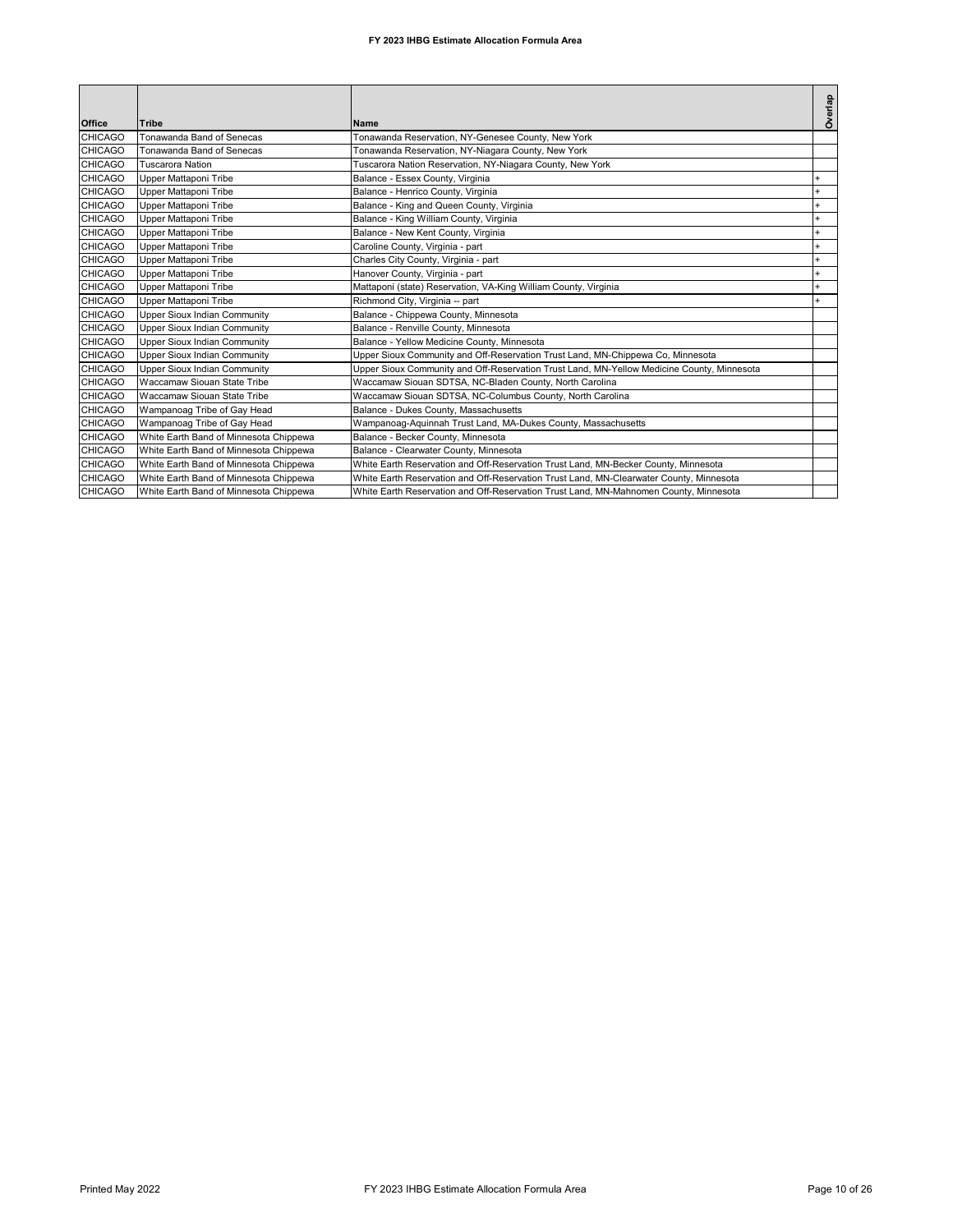| Office         | <b>Tribe</b>                           | Name                                                                                       | Overlap |
|----------------|----------------------------------------|--------------------------------------------------------------------------------------------|---------|
| <b>CHICAGO</b> | Tonawanda Band of Senecas              | Tonawanda Reservation, NY-Genesee County, New York                                         |         |
| <b>CHICAGO</b> | Tonawanda Band of Senecas              | Tonawanda Reservation, NY-Niagara County, New York                                         |         |
| <b>CHICAGO</b> | Tuscarora Nation                       | Tuscarora Nation Reservation, NY-Niagara County, New York                                  |         |
| <b>CHICAGO</b> | Upper Mattaponi Tribe                  | Balance - Essex County, Virginia                                                           |         |
| <b>CHICAGO</b> | Upper Mattaponi Tribe                  | Balance - Henrico County, Virginia                                                         |         |
| <b>CHICAGO</b> | Upper Mattaponi Tribe                  | Balance - King and Queen County, Virginia                                                  |         |
| <b>CHICAGO</b> | Upper Mattaponi Tribe                  | Balance - King William County, Virginia                                                    |         |
| <b>CHICAGO</b> | Upper Mattaponi Tribe                  | Balance - New Kent County, Virginia                                                        |         |
| <b>CHICAGO</b> | Upper Mattaponi Tribe                  | Caroline County, Virginia - part                                                           |         |
| <b>CHICAGO</b> | Upper Mattaponi Tribe                  | Charles City County, Virginia - part                                                       |         |
| <b>CHICAGO</b> | Upper Mattaponi Tribe                  | Hanover County, Virginia - part                                                            |         |
| <b>CHICAGO</b> | Upper Mattaponi Tribe                  | Mattaponi (state) Reservation, VA-King William County, Virginia                            |         |
| <b>CHICAGO</b> | Upper Mattaponi Tribe                  | Richmond City, Virginia -- part                                                            |         |
| <b>CHICAGO</b> | <b>Upper Sioux Indian Community</b>    | Balance - Chippewa County, Minnesota                                                       |         |
| <b>CHICAGO</b> | <b>Upper Sioux Indian Community</b>    | Balance - Renville County, Minnesota                                                       |         |
| <b>CHICAGO</b> | <b>Upper Sioux Indian Community</b>    | Balance - Yellow Medicine County, Minnesota                                                |         |
| <b>CHICAGO</b> | <b>Upper Sioux Indian Community</b>    | Upper Sioux Community and Off-Reservation Trust Land, MN-Chippewa Co, Minnesota            |         |
| <b>CHICAGO</b> | <b>Upper Sioux Indian Community</b>    | Upper Sioux Community and Off-Reservation Trust Land, MN-Yellow Medicine County, Minnesota |         |
| <b>CHICAGO</b> | Waccamaw Siouan State Tribe            | Waccamaw Siouan SDTSA, NC-Bladen County, North Carolina                                    |         |
| <b>CHICAGO</b> | Waccamaw Siouan State Tribe            | Waccamaw Siouan SDTSA, NC-Columbus County, North Carolina                                  |         |
| <b>CHICAGO</b> | Wampanoag Tribe of Gay Head            | Balance - Dukes County, Massachusetts                                                      |         |
| <b>CHICAGO</b> | Wampanoag Tribe of Gay Head            | Wampanoag-Aquinnah Trust Land, MA-Dukes County, Massachusetts                              |         |
| <b>CHICAGO</b> | White Earth Band of Minnesota Chippewa | Balance - Becker County, Minnesota                                                         |         |
| <b>CHICAGO</b> | White Earth Band of Minnesota Chippewa | Balance - Clearwater County, Minnesota                                                     |         |
| <b>CHICAGO</b> | White Earth Band of Minnesota Chippewa | White Earth Reservation and Off-Reservation Trust Land, MN-Becker County, Minnesota        |         |
| <b>CHICAGO</b> | White Earth Band of Minnesota Chippewa | White Earth Reservation and Off-Reservation Trust Land, MN-Clearwater County, Minnesota    |         |
| <b>CHICAGO</b> | White Earth Band of Minnesota Chippewa | White Earth Reservation and Off-Reservation Trust Land, MN-Mahnomen County, Minnesota      |         |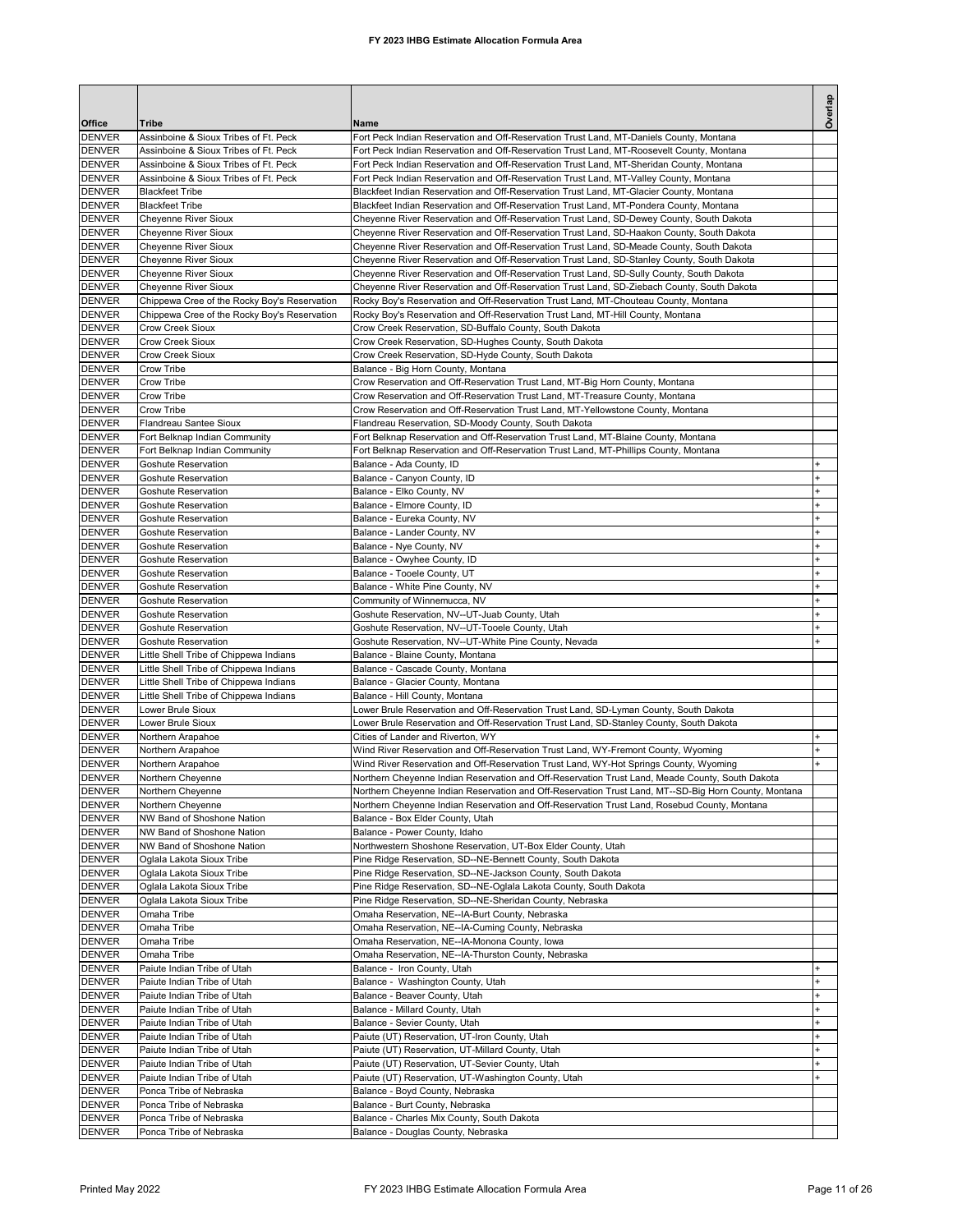|                                |                                                                                  |                                                                                                                                                                                                      | Overlap   |
|--------------------------------|----------------------------------------------------------------------------------|------------------------------------------------------------------------------------------------------------------------------------------------------------------------------------------------------|-----------|
| Office<br><b>DENVER</b>        | Tribe<br>Assinboine & Sioux Tribes of Ft. Peck                                   | Name<br>Fort Peck Indian Reservation and Off-Reservation Trust Land, MT-Daniels County, Montana                                                                                                      |           |
| <b>DENVER</b>                  | Assinboine & Sioux Tribes of Ft. Peck                                            | Fort Peck Indian Reservation and Off-Reservation Trust Land, MT-Roosevelt County, Montana                                                                                                            |           |
| <b>DENVER</b>                  | Assinboine & Sioux Tribes of Ft. Peck                                            | Fort Peck Indian Reservation and Off-Reservation Trust Land, MT-Sheridan County, Montana                                                                                                             |           |
| <b>DENVER</b>                  | Assinboine & Sioux Tribes of Ft. Peck                                            | Fort Peck Indian Reservation and Off-Reservation Trust Land, MT-Valley County, Montana                                                                                                               |           |
| <b>DENVER</b>                  | <b>Blackfeet Tribe</b>                                                           | Blackfeet Indian Reservation and Off-Reservation Trust Land, MT-Glacier County, Montana                                                                                                              |           |
| <b>DENVER</b>                  | <b>Blackfeet Tribe</b>                                                           | Blackfeet Indian Reservation and Off-Reservation Trust Land, MT-Pondera County, Montana                                                                                                              |           |
| <b>DENVER</b>                  | <b>Cheyenne River Sioux</b>                                                      | Cheyenne River Reservation and Off-Reservation Trust Land, SD-Dewey County, South Dakota                                                                                                             |           |
| <b>DENVER</b>                  | Cheyenne River Sioux                                                             | Cheyenne River Reservation and Off-Reservation Trust Land, SD-Haakon County, South Dakota                                                                                                            |           |
| <b>DENVER</b>                  | Cheyenne River Sioux                                                             | Cheyenne River Reservation and Off-Reservation Trust Land, SD-Meade County, South Dakota                                                                                                             |           |
| <b>DENVER</b><br><b>DENVER</b> | Cheyenne River Sioux<br>Cheyenne River Sioux                                     | Cheyenne River Reservation and Off-Reservation Trust Land, SD-Stanley County, South Dakota<br>Cheyenne River Reservation and Off-Reservation Trust Land, SD-Sully County, South Dakota               |           |
| <b>DENVER</b>                  | <b>Cheyenne River Sioux</b>                                                      | Cheyenne River Reservation and Off-Reservation Trust Land, SD-Ziebach County, South Dakota                                                                                                           |           |
| <b>DENVER</b>                  | Chippewa Cree of the Rocky Boy's Reservation                                     | Rocky Boy's Reservation and Off-Reservation Trust Land, MT-Chouteau County, Montana                                                                                                                  |           |
| <b>DENVER</b>                  | Chippewa Cree of the Rocky Boy's Reservation                                     | Rocky Boy's Reservation and Off-Reservation Trust Land, MT-Hill County, Montana                                                                                                                      |           |
| <b>DENVER</b>                  | <b>Crow Creek Sioux</b>                                                          | Crow Creek Reservation, SD-Buffalo County, South Dakota                                                                                                                                              |           |
| <b>DENVER</b>                  | <b>Crow Creek Sioux</b>                                                          | Crow Creek Reservation, SD-Hughes County, South Dakota                                                                                                                                               |           |
| <b>DENVER</b>                  | <b>Crow Creek Sioux</b>                                                          | Crow Creek Reservation, SD-Hyde County, South Dakota                                                                                                                                                 |           |
| <b>DENVER</b>                  | Crow Tribe                                                                       | Balance - Big Horn County, Montana                                                                                                                                                                   |           |
| <b>DENVER</b>                  | Crow Tribe                                                                       | Crow Reservation and Off-Reservation Trust Land, MT-Big Horn County, Montana                                                                                                                         |           |
| <b>DENVER</b><br><b>DENVER</b> | Crow Tribe<br>Crow Tribe                                                         | Crow Reservation and Off-Reservation Trust Land, MT-Treasure County, Montana<br>Crow Reservation and Off-Reservation Trust Land, MT-Yellowstone County, Montana                                      |           |
| <b>DENVER</b>                  | <b>Flandreau Santee Sioux</b>                                                    | Flandreau Reservation, SD-Moody County, South Dakota                                                                                                                                                 |           |
| <b>DENVER</b>                  | Fort Belknap Indian Community                                                    | Fort Belknap Reservation and Off-Reservation Trust Land, MT-Blaine County, Montana                                                                                                                   |           |
| <b>DENVER</b>                  | Fort Belknap Indian Community                                                    | Fort Belknap Reservation and Off-Reservation Trust Land, MT-Phillips County, Montana                                                                                                                 |           |
| <b>DENVER</b>                  | <b>Goshute Reservation</b>                                                       | Balance - Ada County, ID                                                                                                                                                                             | $\ddot{}$ |
| <b>DENVER</b>                  | <b>Goshute Reservation</b>                                                       | Balance - Canyon County, ID                                                                                                                                                                          | $\ddot{}$ |
| <b>DENVER</b>                  | <b>Goshute Reservation</b>                                                       | Balance - Elko County, NV                                                                                                                                                                            |           |
| <b>DENVER</b>                  | <b>Goshute Reservation</b>                                                       | Balance - Elmore County, ID                                                                                                                                                                          |           |
| <b>DENVER</b>                  | Goshute Reservation                                                              | Balance - Eureka County, NV                                                                                                                                                                          |           |
| <b>DENVER</b><br><b>DENVER</b> | Goshute Reservation<br><b>Goshute Reservation</b>                                | Balance - Lander County, NV                                                                                                                                                                          |           |
| <b>DENVER</b>                  | <b>Goshute Reservation</b>                                                       | Balance - Nye County, NV<br>Balance - Owyhee County, ID                                                                                                                                              |           |
| <b>DENVER</b>                  | <b>Goshute Reservation</b>                                                       | Balance - Tooele County, UT                                                                                                                                                                          |           |
| <b>DENVER</b>                  | <b>Goshute Reservation</b>                                                       | Balance - White Pine County, NV                                                                                                                                                                      |           |
| <b>DENVER</b>                  | <b>Goshute Reservation</b>                                                       | Community of Winnemucca, NV                                                                                                                                                                          |           |
| <b>DENVER</b>                  | Goshute Reservation                                                              | Goshute Reservation, NV--UT-Juab County, Utah                                                                                                                                                        |           |
| <b>DENVER</b>                  | Goshute Reservation                                                              | Goshute Reservation, NV--UT-Tooele County, Utah                                                                                                                                                      |           |
| <b>DENVER</b>                  | Goshute Reservation                                                              | Goshute Reservation, NV--UT-White Pine County, Nevada                                                                                                                                                |           |
| <b>DENVER</b>                  | Little Shell Tribe of Chippewa Indians                                           | Balance - Blaine County, Montana                                                                                                                                                                     |           |
| <b>DENVER</b><br><b>DENVER</b> | Little Shell Tribe of Chippewa Indians<br>Little Shell Tribe of Chippewa Indians | Balance - Cascade County, Montana<br>Balance - Glacier County, Montana                                                                                                                               |           |
| <b>DENVER</b>                  | Little Shell Tribe of Chippewa Indians                                           | Balance - Hill County, Montana                                                                                                                                                                       |           |
| <b>DENVER</b>                  | Lower Brule Sioux                                                                | Lower Brule Reservation and Off-Reservation Trust Land, SD-Lyman County, South Dakota                                                                                                                |           |
| <b>DENVER</b>                  | Lower Brule Sioux                                                                | Lower Brule Reservation and Off-Reservation Trust Land, SD-Stanley County, South Dakota                                                                                                              |           |
| <b>DENVER</b>                  | Northern Arapahoe                                                                | Cities of Lander and Riverton, WY                                                                                                                                                                    |           |
| <b>DENVER</b>                  | Northern Arapahoe                                                                | Wind River Reservation and Off-Reservation Trust Land, WY-Fremont County, Wyoming                                                                                                                    |           |
| <b>DENVER</b>                  | Northern Arapahoe                                                                | Wind River Reservation and Off-Reservation Trust Land, WY-Hot Springs County, Wyoming                                                                                                                |           |
| <b>DENVER</b>                  | Northern Cheyenne                                                                | Northern Cheyenne Indian Reservation and Off-Reservation Trust Land, Meade County, South Dakota                                                                                                      |           |
| <b>DENVER</b>                  | Northern Cheyenne                                                                | Northern Cheyenne Indian Reservation and Off-Reservation Trust Land, MT--SD-Big Horn County, Montana<br>Northern Cheyenne Indian Reservation and Off-Reservation Trust Land, Rosebud County, Montana |           |
| <b>DENVER</b><br><b>DENVER</b> | Northern Cheyenne<br>NW Band of Shoshone Nation                                  | Balance - Box Elder County, Utah                                                                                                                                                                     |           |
| <b>DENVER</b>                  | NW Band of Shoshone Nation                                                       | Balance - Power County, Idaho                                                                                                                                                                        |           |
| <b>DENVER</b>                  | NW Band of Shoshone Nation                                                       | Northwestern Shoshone Reservation, UT-Box Elder County, Utah                                                                                                                                         |           |
| <b>DENVER</b>                  | Oglala Lakota Sioux Tribe                                                        | Pine Ridge Reservation, SD--NE-Bennett County, South Dakota                                                                                                                                          |           |
| <b>DENVER</b>                  | Oglala Lakota Sioux Tribe                                                        | Pine Ridge Reservation, SD--NE-Jackson County, South Dakota                                                                                                                                          |           |
| <b>DENVER</b>                  | Oglala Lakota Sioux Tribe                                                        | Pine Ridge Reservation, SD--NE-Oglala Lakota County, South Dakota                                                                                                                                    |           |
| <b>DENVER</b>                  | Oglala Lakota Sioux Tribe                                                        | Pine Ridge Reservation, SD--NE-Sheridan County, Nebraska                                                                                                                                             |           |
| <b>DENVER</b>                  | Omaha Tribe<br>Omaha Tribe                                                       | Omaha Reservation, NE--IA-Burt County, Nebraska<br>Omaha Reservation, NE--IA-Cuming County, Nebraska                                                                                                 |           |
| <b>DENVER</b><br><b>DENVER</b> | Omaha Tribe                                                                      | Omaha Reservation, NE--IA-Monona County, Iowa                                                                                                                                                        |           |
| <b>DENVER</b>                  | Omaha Tribe                                                                      | Omaha Reservation, NE--IA-Thurston County, Nebraska                                                                                                                                                  |           |
| <b>DENVER</b>                  | Paiute Indian Tribe of Utah                                                      | Balance - Iron County, Utah                                                                                                                                                                          |           |
| <b>DENVER</b>                  | Paiute Indian Tribe of Utah                                                      | Balance - Washington County, Utah                                                                                                                                                                    | $\ddot{}$ |
| <b>DENVER</b>                  | Paiute Indian Tribe of Utah                                                      | Balance - Beaver County, Utah                                                                                                                                                                        | $\pmb{+}$ |
| <b>DENVER</b>                  | Paiute Indian Tribe of Utah                                                      | Balance - Millard County, Utah                                                                                                                                                                       |           |
| <b>DENVER</b>                  | Paiute Indian Tribe of Utah                                                      | Balance - Sevier County, Utah                                                                                                                                                                        |           |
| <b>DENVER</b>                  | Paiute Indian Tribe of Utah                                                      | Paiute (UT) Reservation, UT-Iron County, Utah                                                                                                                                                        |           |
| <b>DENVER</b>                  | Paiute Indian Tribe of Utah                                                      | Paiute (UT) Reservation, UT-Millard County, Utah                                                                                                                                                     |           |
| <b>DENVER</b><br><b>DENVER</b> | Paiute Indian Tribe of Utah<br>Paiute Indian Tribe of Utah                       | Paiute (UT) Reservation, UT-Sevier County, Utah<br>Paiute (UT) Reservation, UT-Washington County, Utah                                                                                               | $\ddot{}$ |
| <b>DENVER</b>                  | Ponca Tribe of Nebraska                                                          | Balance - Boyd County, Nebraska                                                                                                                                                                      |           |
| <b>DENVER</b>                  | Ponca Tribe of Nebraska                                                          | Balance - Burt County, Nebraska                                                                                                                                                                      |           |
| <b>DENVER</b>                  | Ponca Tribe of Nebraska                                                          | Balance - Charles Mix County, South Dakota                                                                                                                                                           |           |
| <b>DENVER</b>                  | Ponca Tribe of Nebraska                                                          | Balance - Douglas County, Nebraska                                                                                                                                                                   |           |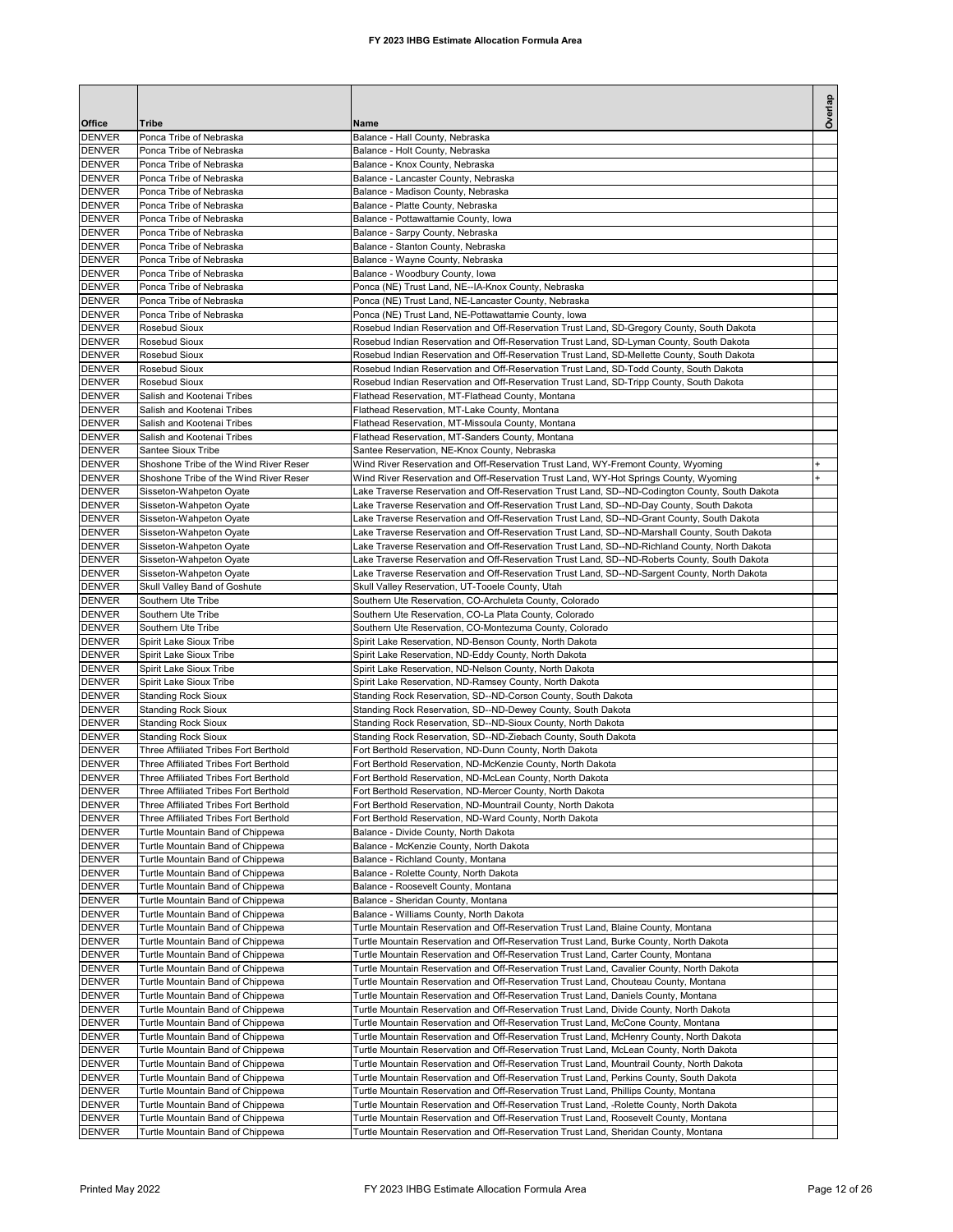|                                |                                                                                  |                                                                                                                                                                                                | Overlap |
|--------------------------------|----------------------------------------------------------------------------------|------------------------------------------------------------------------------------------------------------------------------------------------------------------------------------------------|---------|
| Office<br><b>DENVER</b>        | Tribe<br>Ponca Tribe of Nebraska                                                 | Name<br>Balance - Hall County, Nebraska                                                                                                                                                        |         |
| <b>DENVER</b>                  | Ponca Tribe of Nebraska                                                          | Balance - Holt County, Nebraska                                                                                                                                                                |         |
| <b>DENVER</b>                  | Ponca Tribe of Nebraska                                                          | Balance - Knox County, Nebraska                                                                                                                                                                |         |
| <b>DENVER</b>                  | Ponca Tribe of Nebraska                                                          | Balance - Lancaster County, Nebraska                                                                                                                                                           |         |
| <b>DENVER</b><br><b>DENVER</b> | Ponca Tribe of Nebraska<br>Ponca Tribe of Nebraska                               | Balance - Madison County, Nebraska<br>Balance - Platte County, Nebraska                                                                                                                        |         |
| <b>DENVER</b>                  | Ponca Tribe of Nebraska                                                          | Balance - Pottawattamie County, Iowa                                                                                                                                                           |         |
| <b>DENVER</b>                  | Ponca Tribe of Nebraska                                                          | Balance - Sarpy County, Nebraska                                                                                                                                                               |         |
| <b>DENVER</b>                  | Ponca Tribe of Nebraska                                                          | Balance - Stanton County, Nebraska                                                                                                                                                             |         |
| <b>DENVER</b>                  | Ponca Tribe of Nebraska                                                          | Balance - Wayne County, Nebraska                                                                                                                                                               |         |
| <b>DENVER</b>                  | Ponca Tribe of Nebraska<br>Ponca Tribe of Nebraska                               | Balance - Woodbury County, Iowa                                                                                                                                                                |         |
| <b>DENVER</b><br><b>DENVER</b> | Ponca Tribe of Nebraska                                                          | Ponca (NE) Trust Land, NE--IA-Knox County, Nebraska<br>Ponca (NE) Trust Land, NE-Lancaster County, Nebraska                                                                                    |         |
| <b>DENVER</b>                  | Ponca Tribe of Nebraska                                                          | Ponca (NE) Trust Land, NE-Pottawattamie County, Iowa                                                                                                                                           |         |
| <b>DENVER</b>                  | Rosebud Sioux                                                                    | Rosebud Indian Reservation and Off-Reservation Trust Land, SD-Gregory County, South Dakota                                                                                                     |         |
| <b>DENVER</b>                  | Rosebud Sioux                                                                    | Rosebud Indian Reservation and Off-Reservation Trust Land, SD-Lyman County, South Dakota                                                                                                       |         |
| <b>DENVER</b>                  | Rosebud Sioux                                                                    | Rosebud Indian Reservation and Off-Reservation Trust Land, SD-Mellette County, South Dakota                                                                                                    |         |
| <b>DENVER</b><br><b>DENVER</b> | Rosebud Sioux<br>Rosebud Sioux                                                   | Rosebud Indian Reservation and Off-Reservation Trust Land, SD-Todd County, South Dakota<br>Rosebud Indian Reservation and Off-Reservation Trust Land, SD-Tripp County, South Dakota            |         |
| <b>DENVER</b>                  | Salish and Kootenai Tribes                                                       | Flathead Reservation, MT-Flathead County, Montana                                                                                                                                              |         |
| <b>DENVER</b>                  | Salish and Kootenai Tribes                                                       | Flathead Reservation, MT-Lake County, Montana                                                                                                                                                  |         |
| <b>DENVER</b>                  | Salish and Kootenai Tribes                                                       | Flathead Reservation, MT-Missoula County, Montana                                                                                                                                              |         |
| <b>DENVER</b>                  | Salish and Kootenai Tribes                                                       | Flathead Reservation, MT-Sanders County, Montana                                                                                                                                               |         |
| <b>DENVER</b>                  | Santee Sioux Tribe                                                               | Santee Reservation, NE-Knox County, Nebraska                                                                                                                                                   |         |
| <b>DENVER</b><br><b>DENVER</b> | Shoshone Tribe of the Wind River Reser<br>Shoshone Tribe of the Wind River Reser | Wind River Reservation and Off-Reservation Trust Land, WY-Fremont County, Wyoming<br>Wind River Reservation and Off-Reservation Trust Land, WY-Hot Springs County, Wyoming                     |         |
| <b>DENVER</b>                  | Sisseton-Wahpeton Oyate                                                          | Lake Traverse Reservation and Off-Reservation Trust Land, SD--ND-Codington County, South Dakota                                                                                                |         |
| <b>DENVER</b>                  | Sisseton-Wahpeton Oyate                                                          | Lake Traverse Reservation and Off-Reservation Trust Land, SD--ND-Day County, South Dakota                                                                                                      |         |
| <b>DENVER</b>                  | Sisseton-Wahpeton Oyate                                                          | Lake Traverse Reservation and Off-Reservation Trust Land, SD--ND-Grant County, South Dakota                                                                                                    |         |
| <b>DENVER</b>                  | Sisseton-Wahpeton Oyate                                                          | Lake Traverse Reservation and Off-Reservation Trust Land, SD--ND-Marshall County, South Dakota                                                                                                 |         |
| <b>DENVER</b>                  | Sisseton-Wahpeton Oyate                                                          | Lake Traverse Reservation and Off-Reservation Trust Land, SD--ND-Richland County, North Dakota                                                                                                 |         |
| <b>DENVER</b><br><b>DENVER</b> | Sisseton-Wahpeton Oyate<br>Sisseton-Wahpeton Oyate                               | Lake Traverse Reservation and Off-Reservation Trust Land, SD--ND-Roberts County, South Dakota<br>Lake Traverse Reservation and Off-Reservation Trust Land, SD--ND-Sargent County, North Dakota |         |
| <b>DENVER</b>                  | Skull Valley Band of Goshute                                                     | Skull Valley Reservation, UT-Tooele County, Utah                                                                                                                                               |         |
| <b>DENVER</b>                  | Southern Ute Tribe                                                               | Southern Ute Reservation, CO-Archuleta County, Colorado                                                                                                                                        |         |
| <b>DENVER</b>                  | Southern Ute Tribe                                                               | Southern Ute Reservation, CO-La Plata County, Colorado                                                                                                                                         |         |
| <b>DENVER</b>                  | Southern Ute Tribe                                                               | Southern Ute Reservation, CO-Montezuma County, Colorado                                                                                                                                        |         |
| <b>DENVER</b>                  | Spirit Lake Sioux Tribe                                                          | Spirit Lake Reservation, ND-Benson County, North Dakota                                                                                                                                        |         |
| <b>DENVER</b><br><b>DENVER</b> | Spirit Lake Sioux Tribe<br>Spirit Lake Sioux Tribe                               | Spirit Lake Reservation, ND-Eddy County, North Dakota<br>Spirit Lake Reservation, ND-Nelson County, North Dakota                                                                               |         |
| <b>DENVER</b>                  | Spirit Lake Sioux Tribe                                                          | Spirit Lake Reservation, ND-Ramsey County, North Dakota                                                                                                                                        |         |
| <b>DENVER</b>                  | <b>Standing Rock Sioux</b>                                                       | Standing Rock Reservation, SD--ND-Corson County, South Dakota                                                                                                                                  |         |
| <b>DENVER</b>                  | <b>Standing Rock Sioux</b>                                                       | Standing Rock Reservation, SD--ND-Dewey County, South Dakota                                                                                                                                   |         |
| <b>DENVER</b>                  | <b>Standing Rock Sioux</b>                                                       | Standing Rock Reservation, SD--ND-Sioux County, North Dakota                                                                                                                                   |         |
| <b>DENVER</b><br><b>DENVER</b> | <b>Standing Rock Sioux</b><br>Three Affiliated Tribes Fort Berthold              | Standing Rock Reservation, SD--ND-Ziebach County, South Dakota<br>Fort Berthold Reservation, ND-Dunn County, North Dakota                                                                      |         |
| <b>DENVER</b>                  | Three Affiliated Tribes Fort Berthold                                            | Fort Berthold Reservation, ND-McKenzie County, North Dakota                                                                                                                                    |         |
| <b>DENVER</b>                  | Three Affiliated Tribes Fort Berthold                                            | Fort Berthold Reservation, ND-McLean County, North Dakota                                                                                                                                      |         |
| <b>DENVER</b>                  | Three Affiliated Tribes Fort Berthold                                            | Fort Berthold Reservation, ND-Mercer County, North Dakota                                                                                                                                      |         |
| <b>DENVER</b>                  | Three Affiliated Tribes Fort Berthold                                            | Fort Berthold Reservation, ND-Mountrail County, North Dakota                                                                                                                                   |         |
| <b>DENVER</b>                  | Three Affiliated Tribes Fort Berthold                                            | Fort Berthold Reservation, ND-Ward County, North Dakota                                                                                                                                        |         |
| <b>DENVER</b><br><b>DENVER</b> | Turtle Mountain Band of Chippewa<br>Turtle Mountain Band of Chippewa             | Balance - Divide County, North Dakota<br>Balance - McKenzie County, North Dakota                                                                                                               |         |
| <b>DENVER</b>                  | Turtle Mountain Band of Chippewa                                                 | Balance - Richland County, Montana                                                                                                                                                             |         |
| <b>DENVER</b>                  | Turtle Mountain Band of Chippewa                                                 | Balance - Rolette County, North Dakota                                                                                                                                                         |         |
| <b>DENVER</b>                  | Turtle Mountain Band of Chippewa                                                 | Balance - Roosevelt County, Montana                                                                                                                                                            |         |
| <b>DENVER</b>                  | Turtle Mountain Band of Chippewa                                                 | Balance - Sheridan County, Montana                                                                                                                                                             |         |
| DENVER<br><b>DENVER</b>        | Turtle Mountain Band of Chippewa<br>Turtle Mountain Band of Chippewa             | Balance - Williams County, North Dakota<br>Turtle Mountain Reservation and Off-Reservation Trust Land, Blaine County, Montana                                                                  |         |
| <b>DENVER</b>                  | Turtle Mountain Band of Chippewa                                                 | Turtle Mountain Reservation and Off-Reservation Trust Land, Burke County, North Dakota                                                                                                         |         |
| DENVER                         | Turtle Mountain Band of Chippewa                                                 | Turtle Mountain Reservation and Off-Reservation Trust Land, Carter County, Montana                                                                                                             |         |
| DENVER                         | Turtle Mountain Band of Chippewa                                                 | Turtle Mountain Reservation and Off-Reservation Trust Land, Cavalier County, North Dakota                                                                                                      |         |
| <b>DENVER</b>                  | Turtle Mountain Band of Chippewa                                                 | Turtle Mountain Reservation and Off-Reservation Trust Land, Chouteau County, Montana                                                                                                           |         |
| <b>DENVER</b>                  | Turtle Mountain Band of Chippewa                                                 | Turtle Mountain Reservation and Off-Reservation Trust Land, Daniels County, Montana                                                                                                            |         |
| <b>DENVER</b><br><b>DENVER</b> | Turtle Mountain Band of Chippewa<br>Turtle Mountain Band of Chippewa             | Turtle Mountain Reservation and Off-Reservation Trust Land, Divide County, North Dakota<br>Turtle Mountain Reservation and Off-Reservation Trust Land, McCone County, Montana                  |         |
| <b>DENVER</b>                  | Turtle Mountain Band of Chippewa                                                 | Turtle Mountain Reservation and Off-Reservation Trust Land, McHenry County, North Dakota                                                                                                       |         |
| <b>DENVER</b>                  | Turtle Mountain Band of Chippewa                                                 | Turtle Mountain Reservation and Off-Reservation Trust Land, McLean County, North Dakota                                                                                                        |         |
| <b>DENVER</b>                  | Turtle Mountain Band of Chippewa                                                 | Turtle Mountain Reservation and Off-Reservation Trust Land, Mountrail County, North Dakota                                                                                                     |         |
| <b>DENVER</b>                  | Turtle Mountain Band of Chippewa                                                 | Turtle Mountain Reservation and Off-Reservation Trust Land, Perkins County, South Dakota                                                                                                       |         |
| <b>DENVER</b><br><b>DENVER</b> | Turtle Mountain Band of Chippewa                                                 | Turtle Mountain Reservation and Off-Reservation Trust Land, Phillips County, Montana                                                                                                           |         |
| <b>DENVER</b>                  | Turtle Mountain Band of Chippewa<br>Turtle Mountain Band of Chippewa             | Turtle Mountain Reservation and Off-Reservation Trust Land, -Rolette County, North Dakota<br>Turtle Mountain Reservation and Off-Reservation Trust Land, Roosevelt County, Montana             |         |
| DENVER                         | Turtle Mountain Band of Chippewa                                                 | Turtle Mountain Reservation and Off-Reservation Trust Land, Sheridan County, Montana                                                                                                           |         |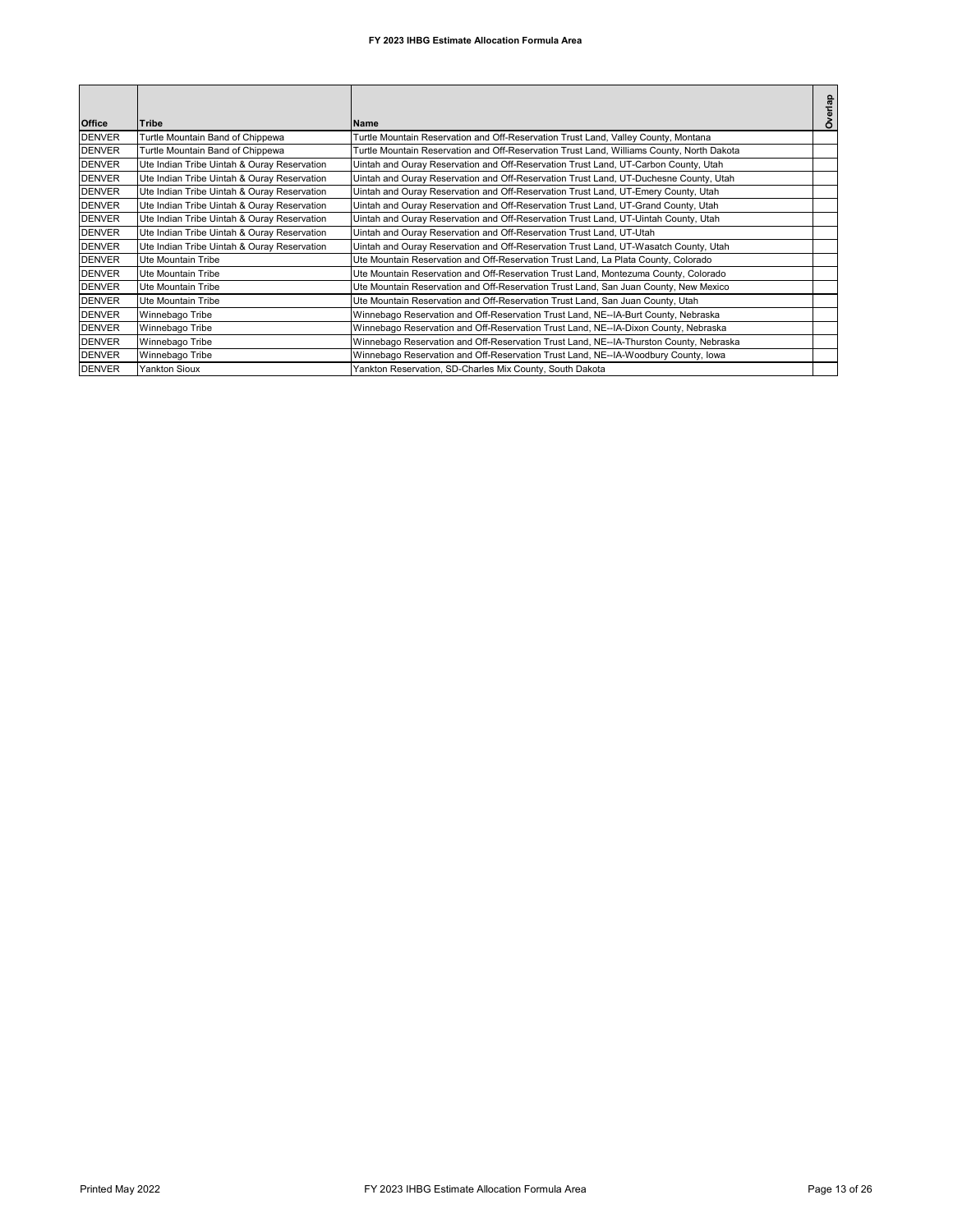| <b>Office</b> | <b>Tribe</b>                                | <b>Name</b>                                                                               | Overlap |
|---------------|---------------------------------------------|-------------------------------------------------------------------------------------------|---------|
| <b>DENVER</b> | Turtle Mountain Band of Chippewa            | Turtle Mountain Reservation and Off-Reservation Trust Land, Valley County, Montana        |         |
| <b>DENVER</b> | Turtle Mountain Band of Chippewa            | Turtle Mountain Reservation and Off-Reservation Trust Land, Williams County, North Dakota |         |
| <b>DENVER</b> | Ute Indian Tribe Uintah & Ouray Reservation | Uintah and Ouray Reservation and Off-Reservation Trust Land, UT-Carbon County, Utah       |         |
| <b>DENVER</b> | Ute Indian Tribe Uintah & Ouray Reservation | Uintah and Ouray Reservation and Off-Reservation Trust Land, UT-Duchesne County, Utah     |         |
| <b>DENVER</b> | Ute Indian Tribe Uintah & Ouray Reservation | Uintah and Ouray Reservation and Off-Reservation Trust Land, UT-Emery County, Utah        |         |
| <b>DENVER</b> | Ute Indian Tribe Uintah & Ouray Reservation | Uintah and Ouray Reservation and Off-Reservation Trust Land, UT-Grand County, Utah        |         |
| <b>DENVER</b> | Ute Indian Tribe Uintah & Ouray Reservation | Uintah and Ouray Reservation and Off-Reservation Trust Land, UT-Uintah County, Utah       |         |
| <b>DENVER</b> | Ute Indian Tribe Uintah & Ouray Reservation | Uintah and Ouray Reservation and Off-Reservation Trust Land, UT-Utah                      |         |
| <b>DENVER</b> | Ute Indian Tribe Uintah & Ouray Reservation | Uintah and Ouray Reservation and Off-Reservation Trust Land, UT-Wasatch County, Utah      |         |
| <b>DENVER</b> | Ute Mountain Tribe                          | Ute Mountain Reservation and Off-Reservation Trust Land, La Plata County, Colorado        |         |
| <b>DENVER</b> | Ute Mountain Tribe                          | Ute Mountain Reservation and Off-Reservation Trust Land, Montezuma County, Colorado       |         |
| <b>DENVER</b> | Ute Mountain Tribe                          | Ute Mountain Reservation and Off-Reservation Trust Land, San Juan County, New Mexico      |         |
| <b>DENVER</b> | Ute Mountain Tribe                          | Ute Mountain Reservation and Off-Reservation Trust Land, San Juan County, Utah            |         |
| <b>DENVER</b> | Winnebago Tribe                             | Winnebago Reservation and Off-Reservation Trust Land, NE--IA-Burt County, Nebraska        |         |
| <b>DENVER</b> | Winnebago Tribe                             | Winnebago Reservation and Off-Reservation Trust Land, NE--IA-Dixon County, Nebraska       |         |
| <b>DENVER</b> | Winnebago Tribe                             | Winnebago Reservation and Off-Reservation Trust Land, NE--IA-Thurston County, Nebraska    |         |
| <b>DENVER</b> | Winnebago Tribe                             | Winnebago Reservation and Off-Reservation Trust Land, NE--IA-Woodbury County, lowa        |         |
| <b>DENVER</b> | <b>Yankton Sioux</b>                        | Yankton Reservation, SD-Charles Mix County, South Dakota                                  |         |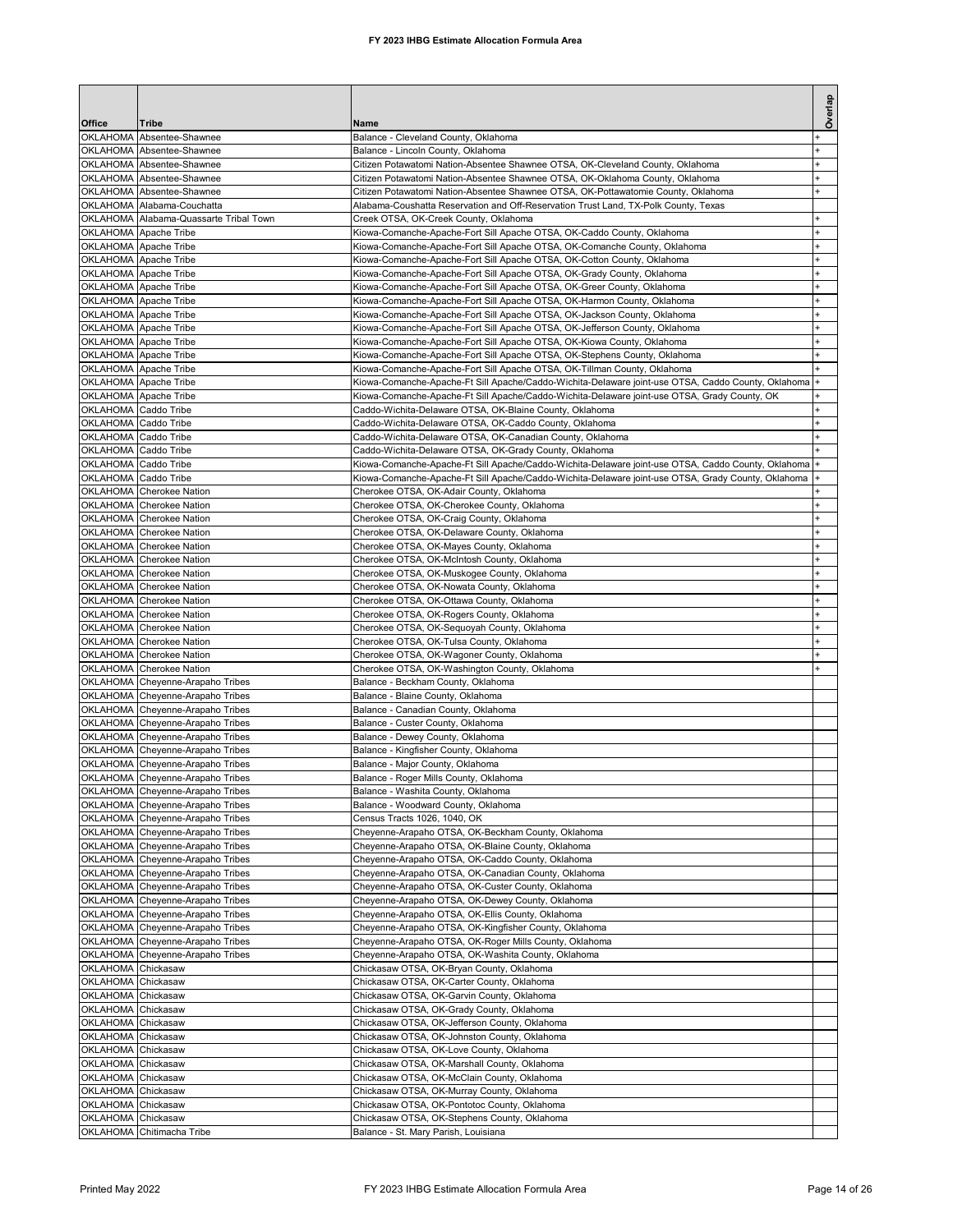| Office                      | Tribe                                                                | Name                                                                                                                                                               | Overlap                          |
|-----------------------------|----------------------------------------------------------------------|--------------------------------------------------------------------------------------------------------------------------------------------------------------------|----------------------------------|
| <b>OKLAHOMA</b>             | Absentee-Shawnee                                                     | Balance - Cleveland County, Oklahoma                                                                                                                               |                                  |
| <b>OKLAHOMA</b>             | Absentee-Shawnee                                                     | Balance - Lincoln County, Oklahoma                                                                                                                                 |                                  |
|                             | OKLAHOMA Absentee-Shawnee                                            | Citizen Potawatomi Nation-Absentee Shawnee OTSA, OK-Cleveland County, Oklahoma                                                                                     | $\ddot{}$                        |
|                             | OKLAHOMA Absentee-Shawnee<br>OKLAHOMA Absentee-Shawnee               | Citizen Potawatomi Nation-Absentee Shawnee OTSA, OK-Oklahoma County, Oklahoma<br>Citizen Potawatomi Nation-Absentee Shawnee OTSA, OK-Pottawatomie County, Oklahoma | $\ddot{}$                        |
|                             | OKLAHOMA Alabama-Couchatta                                           | Alabama-Coushatta Reservation and Off-Reservation Trust Land, TX-Polk County, Texas                                                                                |                                  |
|                             | OKLAHOMA Alabama-Quassarte Tribal Town                               | Creek OTSA, OK-Creek County, Oklahoma                                                                                                                              | $\ddot{}$                        |
|                             | OKLAHOMA Apache Tribe                                                | Kiowa-Comanche-Apache-Fort Sill Apache OTSA, OK-Caddo County, Oklahoma                                                                                             |                                  |
|                             | OKLAHOMA Apache Tribe<br>OKLAHOMA Apache Tribe                       | Kiowa-Comanche-Apache-Fort Sill Apache OTSA, OK-Comanche County, Oklahoma<br>Kiowa-Comanche-Apache-Fort Sill Apache OTSA, OK-Cotton County, Oklahoma               | +<br>$\pmb{+}$                   |
|                             | OKLAHOMA Apache Tribe                                                | Kiowa-Comanche-Apache-Fort Sill Apache OTSA, OK-Grady County, Oklahoma                                                                                             | $\ddot{}$                        |
|                             | OKLAHOMA Apache Tribe                                                | Kiowa-Comanche-Apache-Fort Sill Apache OTSA, OK-Greer County, Oklahoma                                                                                             | $\ddot{}$                        |
|                             | OKLAHOMA Apache Tribe                                                | Kiowa-Comanche-Apache-Fort Sill Apache OTSA, OK-Harmon County, Oklahoma                                                                                            | ÷                                |
|                             | OKLAHOMA Apache Tribe<br>OKLAHOMA Apache Tribe                       | Kiowa-Comanche-Apache-Fort Sill Apache OTSA, OK-Jackson County, Oklahoma                                                                                           |                                  |
|                             | OKLAHOMA Apache Tribe                                                | Kiowa-Comanche-Apache-Fort Sill Apache OTSA, OK-Jefferson County, Oklahoma<br>Kiowa-Comanche-Apache-Fort Sill Apache OTSA, OK-Kiowa County, Oklahoma               |                                  |
|                             | OKLAHOMA Apache Tribe                                                | Kiowa-Comanche-Apache-Fort Sill Apache OTSA, OK-Stephens County, Oklahoma                                                                                          | $\ddot{}$                        |
|                             | OKLAHOMA Apache Tribe                                                | Kiowa-Comanche-Apache-Fort Sill Apache OTSA, OK-Tillman County, Oklahoma                                                                                           |                                  |
|                             | OKLAHOMA Apache Tribe                                                | Kiowa-Comanche-Apache-Ft Sill Apache/Caddo-Wichita-Delaware joint-use OTSA, Caddo County, Oklahoma                                                                 | $+$                              |
| OKLAHOMA Caddo Tribe        | OKLAHOMA Apache Tribe                                                | Kiowa-Comanche-Apache-Ft Sill Apache/Caddo-Wichita-Delaware joint-use OTSA, Grady County, OK<br>Caddo-Wichita-Delaware OTSA, OK-Blaine County, Oklahoma            | $+$                              |
| OKLAHOMA Caddo Tribe        |                                                                      | Caddo-Wichita-Delaware OTSA, OK-Caddo County, Oklahoma                                                                                                             | $\begin{array}{c} + \end{array}$ |
| OKLAHOMA Caddo Tribe        |                                                                      | Caddo-Wichita-Delaware OTSA, OK-Canadian County, Oklahoma                                                                                                          | $\ddot{}$                        |
| OKLAHOMA Caddo Tribe        |                                                                      | Caddo-Wichita-Delaware OTSA, OK-Grady County, Oklahoma                                                                                                             |                                  |
| <b>OKLAHOMA</b>             | Caddo Tribe                                                          | Kiowa-Comanche-Apache-Ft Sill Apache/Caddo-Wichita-Delaware joint-use OTSA, Caddo County, Oklahoma  +                                                              |                                  |
| OKLAHOMA Caddo Tribe        | OKLAHOMA Cherokee Nation                                             | Kiowa-Comanche-Apache-Ft Sill Apache/Caddo-Wichita-Delaware joint-use OTSA, Grady County, Oklahoma<br>Cherokee OTSA, OK-Adair County, Oklahoma                     |                                  |
| <b>OKLAHOMA</b>             | <b>Cherokee Nation</b>                                               | Cherokee OTSA, OK-Cherokee County, Oklahoma                                                                                                                        |                                  |
|                             | OKLAHOMA Cherokee Nation                                             | Cherokee OTSA, OK-Craig County, Oklahoma                                                                                                                           | $\ddot{}$                        |
|                             | OKLAHOMA Cherokee Nation                                             | Cherokee OTSA, OK-Delaware County, Oklahoma                                                                                                                        |                                  |
| OKLAHOMA                    | <b>Cherokee Nation</b><br>OKLAHOMA Cherokee Nation                   | Cherokee OTSA, OK-Mayes County, Oklahoma<br>Cherokee OTSA, OK-McIntosh County, Oklahoma                                                                            |                                  |
|                             | OKLAHOMA Cherokee Nation                                             | Cherokee OTSA, OK-Muskogee County, Oklahoma                                                                                                                        |                                  |
|                             | OKLAHOMA Cherokee Nation                                             | Cherokee OTSA, OK-Nowata County, Oklahoma                                                                                                                          | +                                |
|                             | OKLAHOMA Cherokee Nation                                             | Cherokee OTSA, OK-Ottawa County, Oklahoma                                                                                                                          | $\pmb{+}$                        |
|                             | OKLAHOMA Cherokee Nation                                             | Cherokee OTSA, OK-Rogers County, Oklahoma                                                                                                                          | $\ddot{}$                        |
| OKLAHOMA                    | OKLAHOMA Cherokee Nation<br><b>Cherokee Nation</b>                   | Cherokee OTSA, OK-Sequoyah County, Oklahoma<br>Cherokee OTSA, OK-Tulsa County, Oklahoma                                                                            | $\ddot{}$<br>$\ddot{}$           |
| OKLAHOMA                    | <b>Cherokee Nation</b>                                               | Cherokee OTSA, OK-Wagoner County, Oklahoma                                                                                                                         |                                  |
|                             | OKLAHOMA Cherokee Nation                                             | Cherokee OTSA, OK-Washington County, Oklahoma                                                                                                                      |                                  |
|                             | OKLAHOMA Cheyenne-Arapaho Tribes                                     | Balance - Beckham County, Oklahoma                                                                                                                                 |                                  |
|                             | OKLAHOMA Cheyenne-Arapaho Tribes<br>OKLAHOMA Cheyenne-Arapaho Tribes | Balance - Blaine County, Oklahoma<br>Balance - Canadian County, Oklahoma                                                                                           |                                  |
|                             | OKLAHOMA Cheyenne-Arapaho Tribes                                     | Balance - Custer County, Oklahoma                                                                                                                                  |                                  |
|                             | OKLAHOMA Cheyenne-Arapaho Tribes                                     | Balance - Dewey County, Oklahoma                                                                                                                                   |                                  |
|                             | OKLAHOMA Cheyenne-Arapaho Tribes                                     | Balance - Kingfisher County, Oklahoma                                                                                                                              |                                  |
|                             | OKLAHOMA Cheyenne-Arapaho Tribes<br>OKLAHOMA Cheyenne-Arapaho Tribes | Balance - Major County, Oklahoma<br>Balance - Roger Mills County, Oklahoma                                                                                         |                                  |
|                             | OKLAHOMA Cheyenne-Arapaho Tribes                                     | Balance - Washita County, Oklahoma                                                                                                                                 |                                  |
|                             | OKLAHOMA Cheyenne-Arapaho Tribes                                     | Balance - Woodward County, Oklahoma                                                                                                                                |                                  |
|                             | OKLAHOMA Cheyenne-Arapaho Tribes                                     | Census Tracts 1026, 1040, OK                                                                                                                                       |                                  |
| OKLAHOMA<br><b>OKLAHOMA</b> | Cheyenne-Arapaho Tribes                                              | Cheyenne-Arapaho OTSA, OK-Beckham County, Oklahoma<br>Cheyenne-Arapaho OTSA, OK-Blaine County, Oklahoma                                                            |                                  |
| OKLAHOMA                    | Cheyenne-Arapaho Tribes<br>Cheyenne-Arapaho Tribes                   | Cheyenne-Arapaho OTSA, OK-Caddo County, Oklahoma                                                                                                                   |                                  |
| OKLAHOMA                    | Cheyenne-Arapaho Tribes                                              | Cheyenne-Arapaho OTSA, OK-Canadian County, Oklahoma                                                                                                                |                                  |
| OKLAHOMA                    | Cheyenne-Arapaho Tribes                                              | Cheyenne-Arapaho OTSA, OK-Custer County, Oklahoma                                                                                                                  |                                  |
|                             | OKLAHOMA Cheyenne-Arapaho Tribes                                     | Cheyenne-Arapaho OTSA, OK-Dewey County, Oklahoma                                                                                                                   |                                  |
| OKLAHOMA                    | OKLAHOMA Cheyenne-Arapaho Tribes<br>Cheyenne-Arapaho Tribes          | Cheyenne-Arapaho OTSA, OK-Ellis County, Oklahoma<br>Cheyenne-Arapaho OTSA, OK-Kingfisher County, Oklahoma                                                          |                                  |
|                             | OKLAHOMA Cheyenne-Arapaho Tribes                                     | Cheyenne-Arapaho OTSA, OK-Roger Mills County, Oklahoma                                                                                                             |                                  |
|                             | OKLAHOMA Cheyenne-Arapaho Tribes                                     | Cheyenne-Arapaho OTSA, OK-Washita County, Oklahoma                                                                                                                 |                                  |
| OKLAHOMA                    | Chickasaw                                                            | Chickasaw OTSA, OK-Bryan County, Oklahoma                                                                                                                          |                                  |
| <b>OKLAHOMA</b>             | Chickasaw                                                            | Chickasaw OTSA, OK-Carter County, Oklahoma                                                                                                                         |                                  |
| OKLAHOMA<br><b>OKLAHOMA</b> | Chickasaw<br>Chickasaw                                               | Chickasaw OTSA, OK-Garvin County, Oklahoma<br>Chickasaw OTSA, OK-Grady County, Oklahoma                                                                            |                                  |
| <b>OKLAHOMA</b>             | Chickasaw                                                            | Chickasaw OTSA, OK-Jefferson County, Oklahoma                                                                                                                      |                                  |
| OKLAHOMA                    | Chickasaw                                                            | Chickasaw OTSA, OK-Johnston County, Oklahoma                                                                                                                       |                                  |
| OKLAHOMA                    | Chickasaw                                                            | Chickasaw OTSA, OK-Love County, Oklahoma                                                                                                                           |                                  |
| <b>OKLAHOMA</b><br>OKLAHOMA | Chickasaw                                                            | Chickasaw OTSA, OK-Marshall County, Oklahoma                                                                                                                       |                                  |
| OKLAHOMA Chickasaw          | Chickasaw                                                            | Chickasaw OTSA, OK-McClain County, Oklahoma<br>Chickasaw OTSA, OK-Murray County, Oklahoma                                                                          |                                  |
| OKLAHOMA Chickasaw          |                                                                      | Chickasaw OTSA, OK-Pontotoc County, Oklahoma                                                                                                                       |                                  |
| OKLAHOMA Chickasaw          |                                                                      | Chickasaw OTSA, OK-Stephens County, Oklahoma                                                                                                                       |                                  |
|                             | OKLAHOMA Chitimacha Tribe                                            | Balance - St. Mary Parish, Louisiana                                                                                                                               |                                  |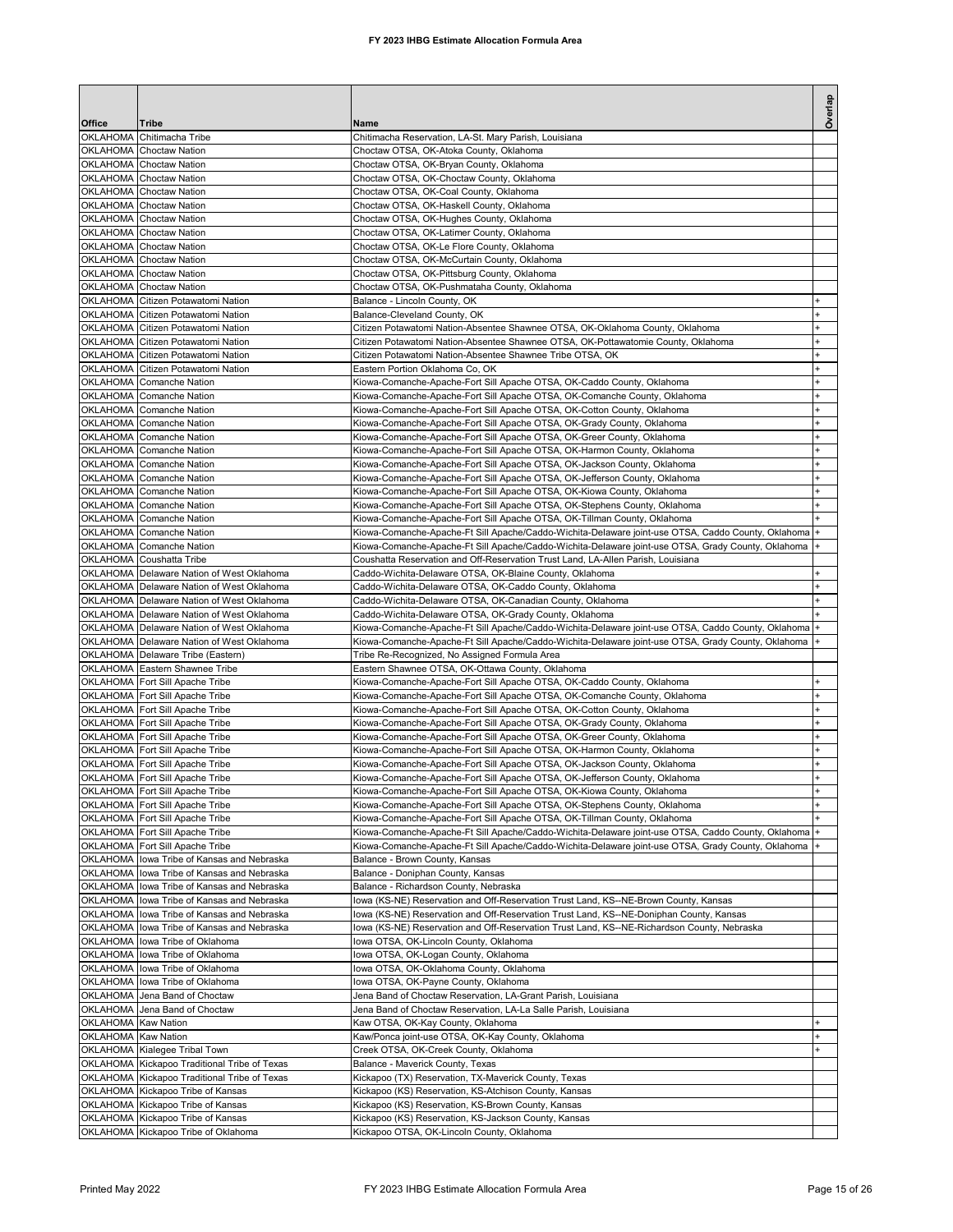| Office              | Tribe                                                                                  | Name                                                                                                                                                               | Overlap                |
|---------------------|----------------------------------------------------------------------------------------|--------------------------------------------------------------------------------------------------------------------------------------------------------------------|------------------------|
| <b>OKLAHOMA</b>     | Chitimacha Tribe                                                                       | Chitimacha Reservation, LA-St. Mary Parish, Louisiana                                                                                                              |                        |
|                     | OKLAHOMA Choctaw Nation                                                                | Choctaw OTSA, OK-Atoka County, Oklahoma                                                                                                                            |                        |
|                     | OKLAHOMA Choctaw Nation                                                                | Choctaw OTSA, OK-Bryan County, Oklahoma                                                                                                                            |                        |
|                     | OKLAHOMA Choctaw Nation                                                                | Choctaw OTSA, OK-Choctaw County, Oklahoma                                                                                                                          |                        |
| OKLAHOMA            | <b>Choctaw Nation</b>                                                                  | Choctaw OTSA, OK-Coal County, Oklahoma                                                                                                                             |                        |
| <b>OKLAHOMA</b>     | <b>Choctaw Nation</b><br>OKLAHOMA Choctaw Nation                                       | Choctaw OTSA, OK-Haskell County, Oklahoma<br>Choctaw OTSA, OK-Hughes County, Oklahoma                                                                              |                        |
| OKLAHOMA            | <b>Choctaw Nation</b>                                                                  | Choctaw OTSA, OK-Latimer County, Oklahoma                                                                                                                          |                        |
| <b>OKLAHOMA</b>     | <b>Choctaw Nation</b>                                                                  | Choctaw OTSA, OK-Le Flore County, Oklahoma                                                                                                                         |                        |
| OKLAHOMA            | <b>Choctaw Nation</b>                                                                  | Choctaw OTSA, OK-McCurtain County, Oklahoma                                                                                                                        |                        |
|                     | OKLAHOMA Choctaw Nation                                                                | Choctaw OTSA, OK-Pittsburg County, Oklahoma                                                                                                                        |                        |
|                     | OKLAHOMA Choctaw Nation                                                                | Choctaw OTSA, OK-Pushmataha County, Oklahoma                                                                                                                       |                        |
|                     | OKLAHOMA Citizen Potawatomi Nation                                                     | Balance - Lincoln County, OK                                                                                                                                       |                        |
|                     | OKLAHOMA Citizen Potawatomi Nation                                                     | Balance-Cleveland County, OK                                                                                                                                       | $\ddot{}$              |
| <b>OKLAHOMA</b>     | OKLAHOMA Citizen Potawatomi Nation<br>Citizen Potawatomi Nation                        | Citizen Potawatomi Nation-Absentee Shawnee OTSA, OK-Oklahoma County, Oklahoma<br>Citizen Potawatomi Nation-Absentee Shawnee OTSA, OK-Pottawatomie County, Oklahoma |                        |
| <b>OKLAHOMA</b>     | Citizen Potawatomi Nation                                                              | Citizen Potawatomi Nation-Absentee Shawnee Tribe OTSA, OK                                                                                                          |                        |
| <b>OKLAHOMA</b>     | Citizen Potawatomi Nation                                                              | Eastern Portion Oklahoma Co, OK                                                                                                                                    |                        |
| <b>OKLAHOMA</b>     | <b>Comanche Nation</b>                                                                 | Kiowa-Comanche-Apache-Fort Sill Apache OTSA, OK-Caddo County, Oklahoma                                                                                             |                        |
| <b>OKLAHOMA</b>     | Comanche Nation                                                                        | Kiowa-Comanche-Apache-Fort Sill Apache OTSA, OK-Comanche County, Oklahoma                                                                                          | $\ddot{}$              |
|                     | OKLAHOMA Comanche Nation                                                               | Kiowa-Comanche-Apache-Fort Sill Apache OTSA, OK-Cotton County, Oklahoma                                                                                            |                        |
|                     | OKLAHOMA Comanche Nation                                                               | Kiowa-Comanche-Apache-Fort Sill Apache OTSA, OK-Grady County, Oklahoma                                                                                             |                        |
|                     | OKLAHOMA Comanche Nation                                                               | Kiowa-Comanche-Apache-Fort Sill Apache OTSA, OK-Greer County, Oklahoma                                                                                             |                        |
|                     | OKLAHOMA Comanche Nation                                                               | Kiowa-Comanche-Apache-Fort Sill Apache OTSA, OK-Harmon County, Oklahoma                                                                                            |                        |
|                     | OKLAHOMA Comanche Nation<br>OKLAHOMA Comanche Nation                                   | Kiowa-Comanche-Apache-Fort Sill Apache OTSA, OK-Jackson County, Oklahoma                                                                                           | $\ddot{}$<br>$\ddot{}$ |
|                     | OKLAHOMA Comanche Nation                                                               | Kiowa-Comanche-Apache-Fort Sill Apache OTSA, OK-Jefferson County, Oklahoma<br>Kiowa-Comanche-Apache-Fort Sill Apache OTSA, OK-Kiowa County, Oklahoma               |                        |
| OKLAHOMA            | Comanche Nation                                                                        | Kiowa-Comanche-Apache-Fort Sill Apache OTSA, OK-Stephens County, Oklahoma                                                                                          |                        |
|                     | OKLAHOMA Comanche Nation                                                               | Kiowa-Comanche-Apache-Fort Sill Apache OTSA, OK-Tillman County, Oklahoma                                                                                           |                        |
| <b>OKLAHOMA</b>     | Comanche Nation                                                                        | Kiowa-Comanche-Apache-Ft Sill Apache/Caddo-Wichita-Delaware joint-use OTSA, Caddo County, Oklahoma                                                                 |                        |
| <b>OKLAHOMA</b>     | <b>Comanche Nation</b>                                                                 | Kiowa-Comanche-Apache-Ft Sill Apache/Caddo-Wichita-Delaware joint-use OTSA, Grady County, Oklahoma                                                                 |                        |
|                     | OKLAHOMA Coushatta Tribe                                                               | Coushatta Reservation and Off-Reservation Trust Land, LA-Allen Parish, Louisiana                                                                                   |                        |
|                     | OKLAHOMA Delaware Nation of West Oklahoma                                              | Caddo-Wichita-Delaware OTSA, OK-Blaine County, Oklahoma                                                                                                            |                        |
|                     | OKLAHOMA Delaware Nation of West Oklahoma                                              | Caddo-Wichita-Delaware OTSA, OK-Caddo County, Oklahoma                                                                                                             |                        |
|                     | OKLAHOMA Delaware Nation of West Oklahoma<br>OKLAHOMA Delaware Nation of West Oklahoma | Caddo-Wichita-Delaware OTSA, OK-Canadian County, Oklahoma<br>Caddo-Wichita-Delaware OTSA, OK-Grady County, Oklahoma                                                |                        |
|                     | OKLAHOMA   Delaware Nation of West Oklahoma                                            | Kiowa-Comanche-Apache-Ft Sill Apache/Caddo-Wichita-Delaware joint-use OTSA, Caddo County, Oklahoma                                                                 |                        |
|                     | OKLAHOMA Delaware Nation of West Oklahoma                                              | Kiowa-Comanche-Apache-Ft Sill Apache/Caddo-Wichita-Delaware joint-use OTSA, Grady County, Oklahoma                                                                 |                        |
|                     | OKLAHOMA Delaware Tribe (Eastern)                                                      | Tribe Re-Recognized, No Assigned Formula Area                                                                                                                      |                        |
|                     | OKLAHOMA Eastern Shawnee Tribe                                                         | Eastern Shawnee OTSA, OK-Ottawa County, Oklahoma                                                                                                                   |                        |
|                     | OKLAHOMA Fort Sill Apache Tribe                                                        | Kiowa-Comanche-Apache-Fort Sill Apache OTSA, OK-Caddo County, Oklahoma                                                                                             |                        |
|                     | OKLAHOMA Fort Sill Apache Tribe                                                        | Kiowa-Comanche-Apache-Fort Sill Apache OTSA, OK-Comanche County, Oklahoma                                                                                          |                        |
|                     | OKLAHOMA Fort Sill Apache Tribe                                                        | Kiowa-Comanche-Apache-Fort Sill Apache OTSA, OK-Cotton County, Oklahoma                                                                                            |                        |
|                     | OKLAHOMA Fort Sill Apache Tribe<br>OKLAHOMA Fort Sill Apache Tribe                     | Kiowa-Comanche-Apache-Fort Sill Apache OTSA, OK-Grady County, Oklahoma                                                                                             |                        |
|                     | OKLAHOMA Fort Sill Apache Tribe                                                        | Kiowa-Comanche-Apache-Fort Sill Apache OTSA, OK-Greer County, Oklahoma<br>Kiowa-Comanche-Apache-Fort Sill Apache OTSA, OK-Harmon County, Oklahoma                  |                        |
|                     | OKLAHOMA Fort Sill Apache Tribe                                                        | Kiowa-Comanche-Apache-Fort Sill Apache OTSA, OK-Jackson County, Oklahoma                                                                                           | $\ddot{}$              |
|                     | OKLAHOMA Fort Sill Apache Tribe                                                        | Kiowa-Comanche-Apache-Fort Sill Apache OTSA, OK-Jefferson County, Oklahoma                                                                                         | $\ddot{}$              |
|                     | OKLAHOMA Fort Sill Apache Tribe                                                        | Kiowa-Comanche-Apache-Fort Sill Apache OTSA, OK-Kiowa County, Oklahoma                                                                                             | $\ddot{}$              |
|                     | OKLAHOMA Fort Sill Apache Tribe                                                        | Kiowa-Comanche-Apache-Fort Sill Apache OTSA, OK-Stephens County, Oklahoma                                                                                          | $\pmb{+}$              |
|                     | OKLAHOMA Fort Sill Apache Tribe                                                        | Kiowa-Comanche-Apache-Fort Sill Apache OTSA, OK-Tillman County, Oklahoma                                                                                           |                        |
|                     | OKLAHOMA Fort Sill Apache Tribe                                                        | Kiowa-Comanche-Apache-Ft Sill Apache/Caddo-Wichita-Delaware joint-use OTSA, Caddo County, Oklahoma                                                                 |                        |
|                     | OKLAHOMA Fort Sill Apache Tribe<br>OKLAHOMA lowa Tribe of Kansas and Nebraska          | Kiowa-Comanche-Apache-Ft Sill Apache/Caddo-Wichita-Delaware joint-use OTSA, Grady County, Oklahoma<br>Balance - Brown County, Kansas                               |                        |
| OKLAHOMA            | lowa Tribe of Kansas and Nebraska                                                      | Balance - Doniphan County, Kansas                                                                                                                                  |                        |
| OKLAHOMA            | lowa Tribe of Kansas and Nebraska                                                      | Balance - Richardson County, Nebraska                                                                                                                              |                        |
|                     | OKLAHOMA lowa Tribe of Kansas and Nebraska                                             | lowa (KS-NE) Reservation and Off-Reservation Trust Land, KS--NE-Brown County, Kansas                                                                               |                        |
|                     | OKLAHOMA lowa Tribe of Kansas and Nebraska                                             | lowa (KS-NE) Reservation and Off-Reservation Trust Land, KS--NE-Doniphan County, Kansas                                                                            |                        |
| OKLAHOMA            | lowa Tribe of Kansas and Nebraska                                                      | lowa (KS-NE) Reservation and Off-Reservation Trust Land, KS--NE-Richardson County, Nebraska                                                                        |                        |
|                     | OKLAHOMA lowa Tribe of Oklahoma                                                        | Iowa OTSA, OK-Lincoln County, Oklahoma                                                                                                                             |                        |
|                     | OKLAHOMA lowa Tribe of Oklahoma                                                        | lowa OTSA, OK-Logan County, Oklahoma                                                                                                                               |                        |
|                     | OKLAHOMA lowa Tribe of Oklahoma                                                        | lowa OTSA, OK-Oklahoma County, Oklahoma                                                                                                                            |                        |
|                     | OKLAHOMA lowa Tribe of Oklahoma<br>OKLAHOMA Jena Band of Choctaw                       | Iowa OTSA, OK-Payne County, Oklahoma<br>Jena Band of Choctaw Reservation, LA-Grant Parish, Louisiana                                                               |                        |
|                     | OKLAHOMA Jena Band of Choctaw                                                          | Jena Band of Choctaw Reservation, LA-La Salle Parish, Louisiana                                                                                                    |                        |
| OKLAHOMA            | <b>Kaw Nation</b>                                                                      | Kaw OTSA, OK-Kay County, Oklahoma                                                                                                                                  |                        |
| OKLAHOMA Kaw Nation |                                                                                        | Kaw/Ponca joint-use OTSA, OK-Kay County, Oklahoma                                                                                                                  |                        |
|                     | OKLAHOMA Kialegee Tribal Town                                                          | Creek OTSA, OK-Creek County, Oklahoma                                                                                                                              |                        |
|                     | OKLAHOMA Kickapoo Traditional Tribe of Texas                                           | Balance - Maverick County, Texas                                                                                                                                   |                        |
|                     | OKLAHOMA Kickapoo Traditional Tribe of Texas                                           | Kickapoo (TX) Reservation, TX-Maverick County, Texas                                                                                                               |                        |
|                     | OKLAHOMA Kickapoo Tribe of Kansas                                                      | Kickapoo (KS) Reservation, KS-Atchison County, Kansas                                                                                                              |                        |
|                     | OKLAHOMA Kickapoo Tribe of Kansas<br>OKLAHOMA Kickapoo Tribe of Kansas                 | Kickapoo (KS) Reservation, KS-Brown County, Kansas<br>Kickapoo (KS) Reservation, KS-Jackson County, Kansas                                                         |                        |
|                     | OKLAHOMA Kickapoo Tribe of Oklahoma                                                    | Kickapoo OTSA, OK-Lincoln County, Oklahoma                                                                                                                         |                        |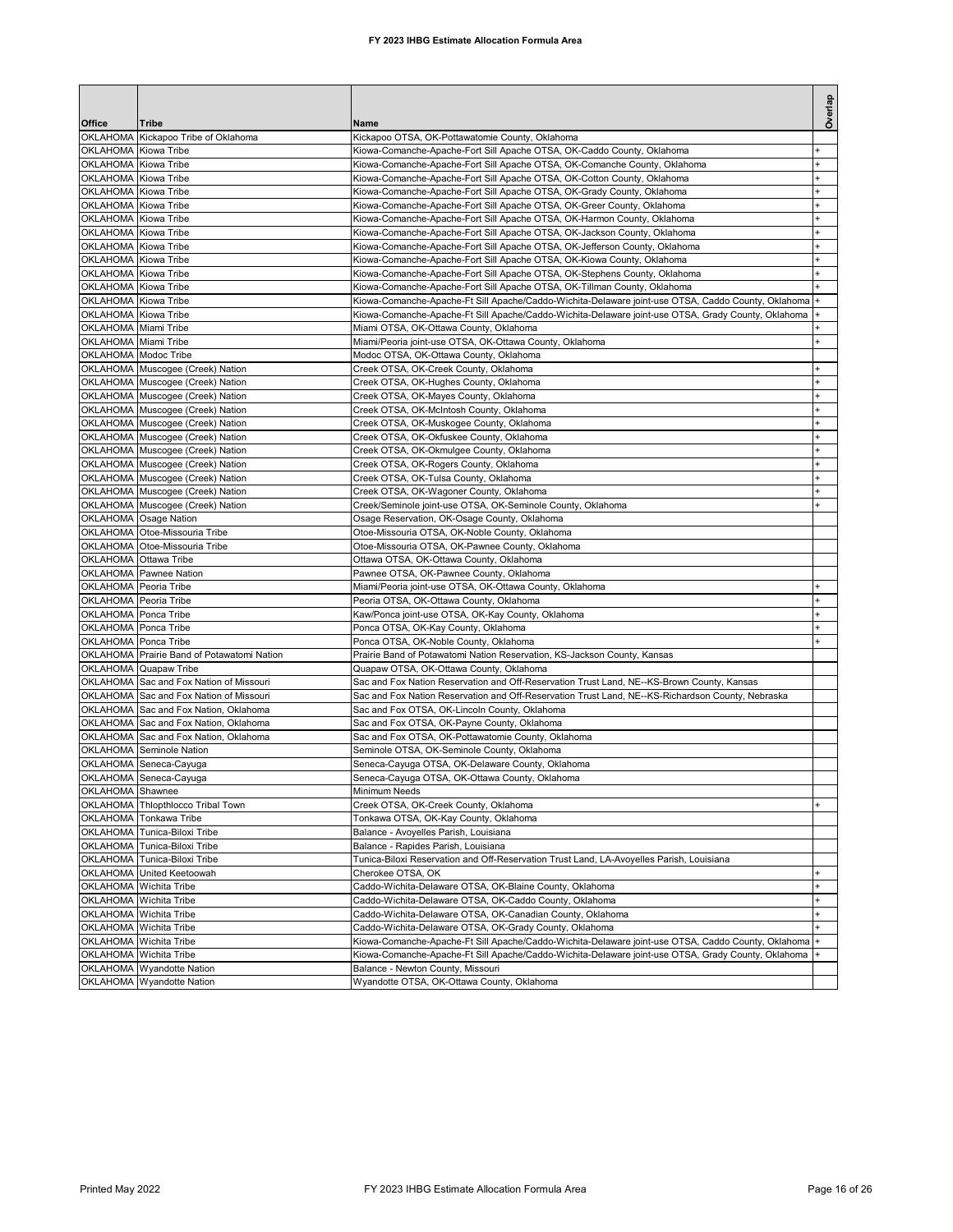## **FY 2023 IHBG Estimate Allocation Formula Area**

|                                              |                                            |                                                                                                                                                     | Overlap   |
|----------------------------------------------|--------------------------------------------|-----------------------------------------------------------------------------------------------------------------------------------------------------|-----------|
| Office                                       | Tribe                                      | Name                                                                                                                                                |           |
|                                              | OKLAHOMA Kickapoo Tribe of Oklahoma        | Kickapoo OTSA, OK-Pottawatomie County, Oklahoma                                                                                                     |           |
| OKLAHOMA Kiowa Tribe<br>OKLAHOMA Kiowa Tribe |                                            | Kiowa-Comanche-Apache-Fort Sill Apache OTSA, OK-Caddo County, Oklahoma<br>Kiowa-Comanche-Apache-Fort Sill Apache OTSA, OK-Comanche County, Oklahoma |           |
| OKLAHOMA Kiowa Tribe                         |                                            | Kiowa-Comanche-Apache-Fort Sill Apache OTSA, OK-Cotton County, Oklahoma                                                                             |           |
| OKLAHOMA Kiowa Tribe                         |                                            | Kiowa-Comanche-Apache-Fort Sill Apache OTSA, OK-Grady County, Oklahoma                                                                              |           |
| OKLAHOMA Kiowa Tribe                         |                                            | Kiowa-Comanche-Apache-Fort Sill Apache OTSA, OK-Greer County, Oklahoma                                                                              |           |
| OKLAHOMA Kiowa Tribe                         |                                            | Kiowa-Comanche-Apache-Fort Sill Apache OTSA, OK-Harmon County, Oklahoma                                                                             | $\ddot{}$ |
| OKLAHOMA Kiowa Tribe                         |                                            | Kiowa-Comanche-Apache-Fort Sill Apache OTSA, OK-Jackson County, Oklahoma                                                                            | +         |
| OKLAHOMA Kiowa Tribe                         |                                            | Kiowa-Comanche-Apache-Fort Sill Apache OTSA, OK-Jefferson County, Oklahoma                                                                          | $\ddot{}$ |
| OKLAHOMA Kiowa Tribe                         |                                            | Kiowa-Comanche-Apache-Fort Sill Apache OTSA, OK-Kiowa County, Oklahoma                                                                              |           |
| OKLAHOMA Kiowa Tribe                         |                                            | Kiowa-Comanche-Apache-Fort Sill Apache OTSA, OK-Stephens County, Oklahoma                                                                           |           |
| OKLAHOMA Kiowa Tribe                         |                                            | Kiowa-Comanche-Apache-Fort Sill Apache OTSA, OK-Tillman County, Oklahoma                                                                            |           |
| OKLAHOMA Kiowa Tribe                         |                                            | Kiowa-Comanche-Apache-Ft Sill Apache/Caddo-Wichita-Delaware joint-use OTSA, Caddo County, Oklahoma                                                  |           |
| OKLAHOMA Kiowa Tribe                         |                                            | Kiowa-Comanche-Apache-Ft Sill Apache/Caddo-Wichita-Delaware joint-use OTSA, Grady County, Oklahoma                                                  |           |
| OKLAHOMA Miami Tribe                         |                                            | Miami OTSA, OK-Ottawa County, Oklahoma                                                                                                              |           |
| OKLAHOMA Miami Tribe                         |                                            | Miami/Peoria joint-use OTSA, OK-Ottawa County, Oklahoma                                                                                             |           |
| OKLAHOMA Modoc Tribe                         |                                            | Modoc OTSA, OK-Ottawa County, Oklahoma                                                                                                              |           |
|                                              | OKLAHOMA Muscogee (Creek) Nation           | Creek OTSA, OK-Creek County, Oklahoma                                                                                                               |           |
|                                              | OKLAHOMA Muscogee (Creek) Nation           | Creek OTSA, OK-Hughes County, Oklahoma                                                                                                              |           |
|                                              | OKLAHOMA Muscogee (Creek) Nation           | Creek OTSA, OK-Mayes County, Oklahoma                                                                                                               | $\ddot{}$ |
|                                              | OKLAHOMA Muscogee (Creek) Nation           | Creek OTSA, OK-McIntosh County, Oklahoma                                                                                                            |           |
|                                              | OKLAHOMA Muscogee (Creek) Nation           | Creek OTSA, OK-Muskogee County, Oklahoma                                                                                                            |           |
|                                              | OKLAHOMA Muscogee (Creek) Nation           | Creek OTSA, OK-Okfuskee County, Oklahoma                                                                                                            |           |
|                                              | OKLAHOMA Muscogee (Creek) Nation           | Creek OTSA, OK-Okmulgee County, Oklahoma                                                                                                            |           |
|                                              | OKLAHOMA Muscogee (Creek) Nation           | Creek OTSA, OK-Rogers County, Oklahoma                                                                                                              |           |
|                                              | OKLAHOMA Muscogee (Creek) Nation           | Creek OTSA, OK-Tulsa County, Oklahoma                                                                                                               |           |
|                                              | OKLAHOMA Muscogee (Creek) Nation           | Creek OTSA, OK-Wagoner County, Oklahoma                                                                                                             |           |
|                                              | OKLAHOMA Muscogee (Creek) Nation           | Creek/Seminole joint-use OTSA, OK-Seminole County, Oklahoma                                                                                         |           |
|                                              | OKLAHOMA Osage Nation                      | Osage Reservation, OK-Osage County, Oklahoma                                                                                                        |           |
|                                              | OKLAHOMA Otoe-Missouria Tribe              | Otoe-Missouria OTSA, OK-Noble County, Oklahoma                                                                                                      |           |
|                                              | OKLAHOMA Otoe-Missouria Tribe              | Otoe-Missouria OTSA, OK-Pawnee County, Oklahoma                                                                                                     |           |
| OKLAHOMA Ottawa Tribe                        |                                            | Ottawa OTSA, OK-Ottawa County, Oklahoma                                                                                                             |           |
|                                              | OKLAHOMA Pawnee Nation                     | Pawnee OTSA, OK-Pawnee County, Oklahoma                                                                                                             |           |
| OKLAHOMA Peoria Tribe                        |                                            | Miami/Peoria joint-use OTSA, OK-Ottawa County, Oklahoma                                                                                             |           |
| OKLAHOMA Peoria Tribe                        |                                            | Peoria OTSA, OK-Ottawa County, Oklahoma                                                                                                             |           |
| OKLAHOMA Ponca Tribe                         |                                            | Kaw/Ponca joint-use OTSA, OK-Kay County, Oklahoma                                                                                                   |           |
| OKLAHOMA Ponca Tribe                         |                                            | Ponca OTSA, OK-Kay County, Oklahoma                                                                                                                 |           |
| OKLAHOMA Ponca Tribe                         | OKLAHOMA Prairie Band of Potawatomi Nation | Ponca OTSA, OK-Noble County, Oklahoma<br>Prairie Band of Potawatomi Nation Reservation, KS-Jackson County, Kansas                                   |           |
|                                              | OKLAHOMA Quapaw Tribe                      | Quapaw OTSA, OK-Ottawa County, Oklahoma                                                                                                             |           |
|                                              | OKLAHOMA Sac and Fox Nation of Missouri    | Sac and Fox Nation Reservation and Off-Reservation Trust Land, NE--KS-Brown County, Kansas                                                          |           |
|                                              | OKLAHOMA Sac and Fox Nation of Missouri    | Sac and Fox Nation Reservation and Off-Reservation Trust Land, NE--KS-Richardson County, Nebraska                                                   |           |
|                                              | OKLAHOMA Sac and Fox Nation, Oklahoma      | Sac and Fox OTSA, OK-Lincoln County, Oklahoma                                                                                                       |           |
|                                              | OKLAHOMA Sac and Fox Nation, Oklahoma      | Sac and Fox OTSA, OK-Payne County, Oklahoma                                                                                                         |           |
|                                              | OKLAHOMA Sac and Fox Nation, Oklahoma      | Sac and Fox OTSA, OK-Pottawatomie County, Oklahoma                                                                                                  |           |
|                                              | OKLAHOMA Seminole Nation                   | Seminole OTSA, OK-Seminole County, Oklahoma                                                                                                         |           |
|                                              | OKLAHOMA Seneca-Cayuga                     | Seneca-Cayuga OTSA, OK-Delaware County, Oklahoma                                                                                                    |           |
|                                              | OKLAHOMA Seneca-Cayuga                     | Seneca-Cayuga OTSA, OK-Ottawa County, Oklahoma                                                                                                      |           |
| OKLAHOMA Shawnee                             |                                            | Minimum Needs                                                                                                                                       |           |
| <b>OKLAHOMA</b>                              | <b>Thlopthlocco Tribal Town</b>            | Creek OTSA, OK-Creek County, Oklahoma                                                                                                               |           |
| <b>OKLAHOMA</b>                              | Tonkawa Tribe                              | Tonkawa OTSA, OK-Kay County, Oklahoma                                                                                                               |           |
| OKLAHOMA                                     | Tunica-Biloxi Tribe                        | Balance - Avoyelles Parish, Louisiana                                                                                                               |           |
| OKLAHOMA                                     | Tunica-Biloxi Tribe                        | Balance - Rapides Parish, Louisiana                                                                                                                 |           |
|                                              | OKLAHOMA Tunica-Biloxi Tribe               | Tunica-Biloxi Reservation and Off-Reservation Trust Land, LA-Avoyelles Parish, Louisiana                                                            |           |
|                                              | OKLAHOMA United Keetoowah                  | Cherokee OTSA, OK                                                                                                                                   |           |
| <b>OKLAHOMA</b>                              | Wichita Tribe                              | Caddo-Wichita-Delaware OTSA, OK-Blaine County, Oklahoma                                                                                             | $\pmb{+}$ |
|                                              | OKLAHOMA Wichita Tribe                     | Caddo-Wichita-Delaware OTSA, OK-Caddo County, Oklahoma                                                                                              | $\ddot{}$ |
| <b>OKLAHOMA</b>                              | Wichita Tribe                              | Caddo-Wichita-Delaware OTSA, OK-Canadian County, Oklahoma                                                                                           | $\ddot{}$ |
|                                              | OKLAHOMA Wichita Tribe                     | Caddo-Wichita-Delaware OTSA, OK-Grady County, Oklahoma                                                                                              |           |
|                                              | OKLAHOMA Wichita Tribe                     | Kiowa-Comanche-Apache-Ft Sill Apache/Caddo-Wichita-Delaware joint-use OTSA, Caddo County, Oklahoma +                                                |           |
|                                              | OKLAHOMA Wichita Tribe                     | Kiowa-Comanche-Apache-Ft Sill Apache/Caddo-Wichita-Delaware joint-use OTSA, Grady County, Oklahoma                                                  |           |
|                                              | OKLAHOMA Wyandotte Nation                  | Balance - Newton County, Missouri                                                                                                                   |           |
|                                              | OKLAHOMA Wyandotte Nation                  | Wyandotte OTSA, OK-Ottawa County, Oklahoma                                                                                                          |           |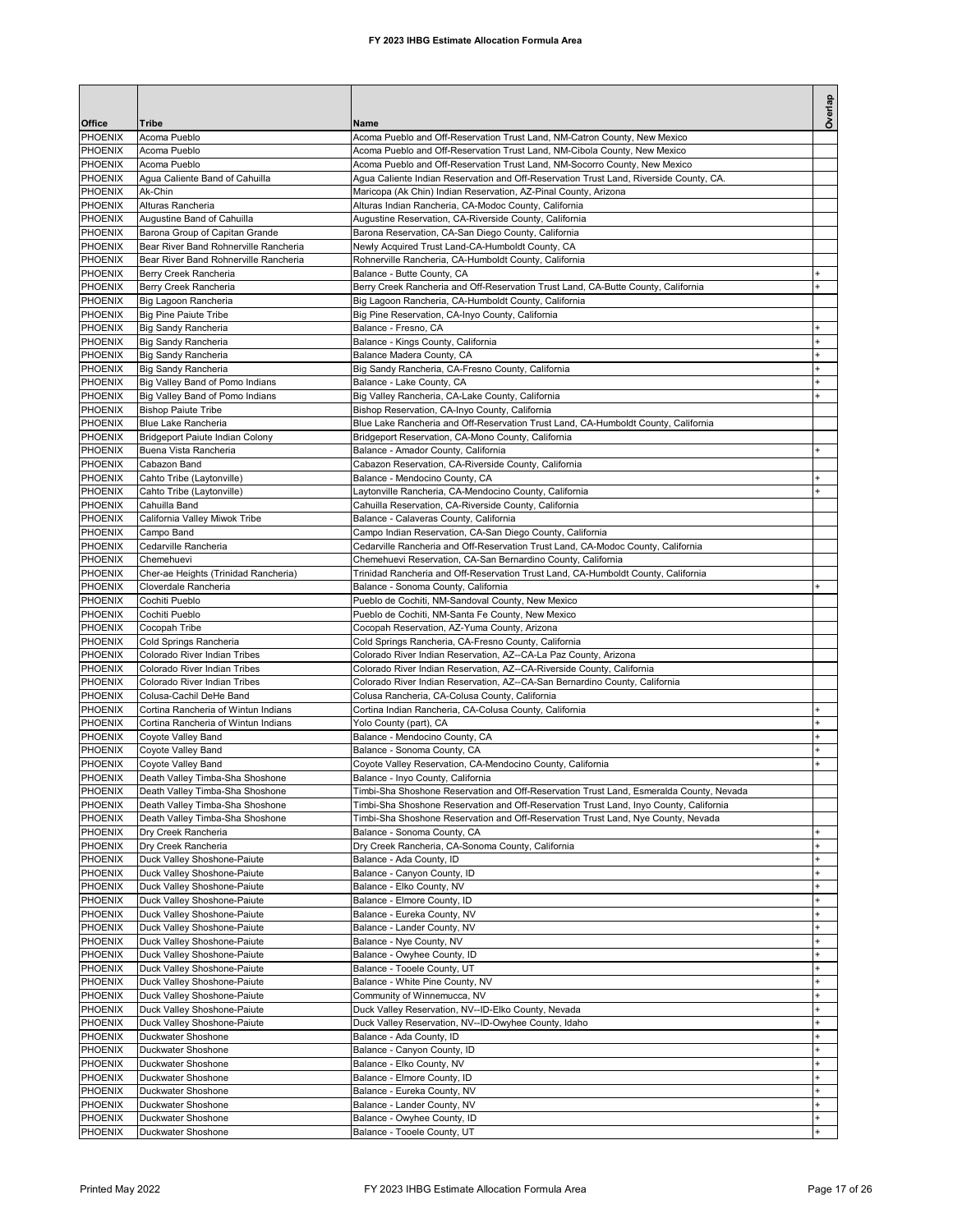|                                  |                                                                         |                                                                                                                          | Overlap                          |
|----------------------------------|-------------------------------------------------------------------------|--------------------------------------------------------------------------------------------------------------------------|----------------------------------|
| <b>Office</b><br><b>PHOENIX</b>  | Tribe<br>Acoma Pueblo                                                   | Name<br>Acoma Pueblo and Off-Reservation Trust Land, NM-Catron County, New Mexico                                        |                                  |
| <b>PHOENIX</b>                   | Acoma Pueblo                                                            | Acoma Pueblo and Off-Reservation Trust Land, NM-Cibola County, New Mexico                                                |                                  |
| PHOENIX                          | Acoma Pueblo                                                            | Acoma Pueblo and Off-Reservation Trust Land, NM-Socorro County, New Mexico                                               |                                  |
| PHOENIX                          | Agua Caliente Band of Cahuilla                                          | Agua Caliente Indian Reservation and Off-Reservation Trust Land, Riverside County, CA.                                   |                                  |
| PHOENIX                          | Ak-Chin                                                                 | Maricopa (Ak Chin) Indian Reservation, AZ-Pinal County, Arizona                                                          |                                  |
| PHOENIX                          | Alturas Rancheria                                                       | Alturas Indian Rancheria, CA-Modoc County, California                                                                    |                                  |
| PHOENIX                          | Augustine Band of Cahuilla                                              | Augustine Reservation, CA-Riverside County, California                                                                   |                                  |
| PHOENIX<br>PHOENIX               | Barona Group of Capitan Grande<br>Bear River Band Rohnerville Rancheria | Barona Reservation, CA-San Diego County, California<br>Newly Acquired Trust Land-CA-Humboldt County, CA                  |                                  |
| PHOENIX                          | Bear River Band Rohnerville Rancheria                                   | Rohnerville Rancheria, CA-Humboldt County, California                                                                    |                                  |
| PHOENIX                          | Berry Creek Rancheria                                                   | Balance - Butte County, CA                                                                                               |                                  |
| PHOENIX                          | Berry Creek Rancheria                                                   | Berry Creek Rancheria and Off-Reservation Trust Land, CA-Butte County, California                                        |                                  |
| PHOENIX                          | Big Lagoon Rancheria                                                    | Big Lagoon Rancheria, CA-Humboldt County, California                                                                     |                                  |
| <b>PHOENIX</b>                   | <b>Big Pine Paiute Tribe</b>                                            | Big Pine Reservation, CA-Inyo County, California                                                                         |                                  |
| PHOENIX                          | Big Sandy Rancheria                                                     | Balance - Fresno, CA                                                                                                     |                                  |
| PHOENIX<br>PHOENIX               | <b>Big Sandy Rancheria</b>                                              | Balance - Kings County, California                                                                                       | $\ddot{}$                        |
| PHOENIX                          | Big Sandy Rancheria<br>Big Sandy Rancheria                              | Balance Madera County, CA<br>Big Sandy Rancheria, CA-Fresno County, California                                           |                                  |
| <b>PHOENIX</b>                   | Big Valley Band of Pomo Indians                                         | Balance - Lake County, CA                                                                                                |                                  |
| <b>PHOENIX</b>                   | Big Valley Band of Pomo Indians                                         | Big Valley Rancheria, CA-Lake County, California                                                                         |                                  |
| PHOENIX                          | <b>Bishop Paiute Tribe</b>                                              | Bishop Reservation, CA-Inyo County, California                                                                           |                                  |
| PHOENIX                          | Blue Lake Rancheria                                                     | Blue Lake Rancheria and Off-Reservation Trust Land, CA-Humboldt County, California                                       |                                  |
| PHOENIX                          | Bridgeport Paiute Indian Colony                                         | Bridgeport Reservation, CA-Mono County, California                                                                       |                                  |
| <b>PHOENIX</b>                   | Buena Vista Rancheria                                                   | Balance - Amador County, California                                                                                      |                                  |
| PHOENIX                          | Cabazon Band                                                            | Cabazon Reservation, CA-Riverside County, California                                                                     |                                  |
| PHOENIX                          | Cahto Tribe (Laytonville)                                               | Balance - Mendocino County, CA                                                                                           | $\pmb{+}$                        |
| <b>PHOENIX</b><br>PHOENIX        | Cahto Tribe (Laytonville)<br>Cahuilla Band                              | Laytonville Rancheria, CA-Mendocino County, California<br>Cahuilla Reservation, CA-Riverside County, California          |                                  |
| PHOENIX                          | California Valley Miwok Tribe                                           | Balance - Calaveras County, California                                                                                   |                                  |
| PHOENIX                          | Campo Band                                                              | Campo Indian Reservation, CA-San Diego County, California                                                                |                                  |
| PHOENIX                          | Cedarville Rancheria                                                    | Cedarville Rancheria and Off-Reservation Trust Land, CA-Modoc County, California                                         |                                  |
| <b>PHOENIX</b>                   | Chemehuevi                                                              | Chemehuevi Reservation, CA-San Bernardino County, California                                                             |                                  |
| PHOENIX                          | Cher-ae Heights (Trinidad Rancheria)                                    | Trinidad Rancheria and Off-Reservation Trust Land, CA-Humboldt County, California                                        |                                  |
| PHOENIX                          | Cloverdale Rancheria                                                    | Balance - Sonoma County, California                                                                                      |                                  |
| PHOENIX                          | Cochiti Pueblo                                                          | Pueblo de Cochiti, NM-Sandoval County, New Mexico                                                                        |                                  |
| PHOENIX                          | Cochiti Pueblo                                                          | Pueblo de Cochiti, NM-Santa Fe County, New Mexico                                                                        |                                  |
| <b>PHOENIX</b>                   | Cocopah Tribe                                                           | Cocopah Reservation, AZ-Yuma County, Arizona                                                                             |                                  |
| PHOENIX<br>PHOENIX               | Cold Springs Rancheria<br>Colorado River Indian Tribes                  | Cold Springs Rancheria, CA-Fresno County, California<br>Colorado River Indian Reservation, AZ--CA-La Paz County, Arizona |                                  |
| PHOENIX                          | Colorado River Indian Tribes                                            | Colorado River Indian Reservation, AZ--CA-Riverside County, California                                                   |                                  |
| PHOENIX                          | Colorado River Indian Tribes                                            | Colorado River Indian Reservation, AZ--CA-San Bernardino County, California                                              |                                  |
| PHOENIX                          | Colusa-Cachil DeHe Band                                                 | Colusa Rancheria, CA-Colusa County, California                                                                           |                                  |
| PHOENIX                          | Cortina Rancheria of Wintun Indians                                     | Cortina Indian Rancheria, CA-Colusa County, California                                                                   |                                  |
| <b>PHOENIX</b>                   | Cortina Rancheria of Wintun Indians                                     | Yolo County (part), CA                                                                                                   |                                  |
| PHOENIX                          | Coyote Valley Band                                                      | Balance - Mendocino County, CA                                                                                           |                                  |
| PHOENIX                          | Coyote Valley Band                                                      | Balance - Sonoma County, CA                                                                                              |                                  |
| <b>PHOENIX</b><br><b>PHOENIX</b> | <b>Coyote Valley Band</b><br>Death Valley Timba-Sha Shoshone            | Coyote Valley Reservation, CA-Mendocino County, California<br>Balance - Inyo County, California                          |                                  |
| PHOENIX                          | Death Valley Timba-Sha Shoshone                                         | Timbi-Sha Shoshone Reservation and Off-Reservation Trust Land, Esmeralda County, Nevada                                  |                                  |
| PHOENIX                          | Death Valley Timba-Sha Shoshone                                         | Timbi-Sha Shoshone Reservation and Off-Reservation Trust Land, Inyo County, California                                   |                                  |
| PHOENIX                          | Death Valley Timba-Sha Shoshone                                         | Timbi-Sha Shoshone Reservation and Off-Reservation Trust Land, Nye County, Nevada                                        |                                  |
| PHOENIX                          | Dry Creek Rancheria                                                     | Balance - Sonoma County, CA                                                                                              |                                  |
| PHOENIX                          | Dry Creek Rancheria                                                     | Dry Creek Rancheria, CA-Sonoma County, California                                                                        | $\ddot{}$                        |
| PHOENIX                          | Duck Valley Shoshone-Paiute                                             | Balance - Ada County, ID                                                                                                 |                                  |
| PHOENIX                          | Duck Valley Shoshone-Paiute                                             | Balance - Canyon County, ID                                                                                              |                                  |
| PHOENIX<br>PHOENIX               | Duck Valley Shoshone-Paiute<br>Duck Valley Shoshone-Paiute              | Balance - Elko County, NV<br>Balance - Elmore County, ID                                                                 | $\ddot{}$                        |
| PHOENIX                          | Duck Valley Shoshone-Paiute                                             | Balance - Eureka County, NV                                                                                              |                                  |
| PHOENIX                          | Duck Valley Shoshone-Paiute                                             | Balance - Lander County, NV                                                                                              | $\ddot{}$                        |
| PHOENIX                          | Duck Valley Shoshone-Paiute                                             | Balance - Nye County, NV                                                                                                 | $\ddot{}$                        |
| PHOENIX                          | Duck Valley Shoshone-Paiute                                             | Balance - Owyhee County, ID                                                                                              |                                  |
| PHOENIX                          | Duck Valley Shoshone-Paiute                                             | Balance - Tooele County, UT                                                                                              | $\pmb{+}$                        |
| PHOENIX                          | Duck Valley Shoshone-Paiute                                             | Balance - White Pine County, NV                                                                                          | $\pmb{+}$                        |
| PHOENIX                          | Duck Valley Shoshone-Paiute                                             | Community of Winnemucca, NV                                                                                              | $\begin{array}{c} + \end{array}$ |
| PHOENIX                          | Duck Valley Shoshone-Paiute                                             | Duck Valley Reservation, NV--ID-Elko County, Nevada                                                                      | +                                |
| PHOENIX<br>PHOENIX               | Duck Valley Shoshone-Paiute                                             | Duck Valley Reservation, NV--ID-Owyhee County, Idaho                                                                     | $\ddot{}$                        |
| PHOENIX                          | Duckwater Shoshone<br>Duckwater Shoshone                                | Balance - Ada County, ID<br>Balance - Canyon County, ID                                                                  |                                  |
| PHOENIX                          | Duckwater Shoshone                                                      | Balance - Elko County, NV                                                                                                |                                  |
| PHOENIX                          | Duckwater Shoshone                                                      | Balance - Elmore County, ID                                                                                              | $\ddot{}$                        |
| PHOENIX                          | Duckwater Shoshone                                                      | Balance - Eureka County, NV                                                                                              | $\ddot{}$                        |
| PHOENIX                          | Duckwater Shoshone                                                      | Balance - Lander County, NV                                                                                              | $\ddot{}$                        |
| PHOENIX                          | Duckwater Shoshone                                                      | Balance - Owyhee County, ID                                                                                              | $\ddot{}$                        |
| <b>PHOENIX</b>                   | Duckwater Shoshone                                                      | Balance - Tooele County, UT                                                                                              |                                  |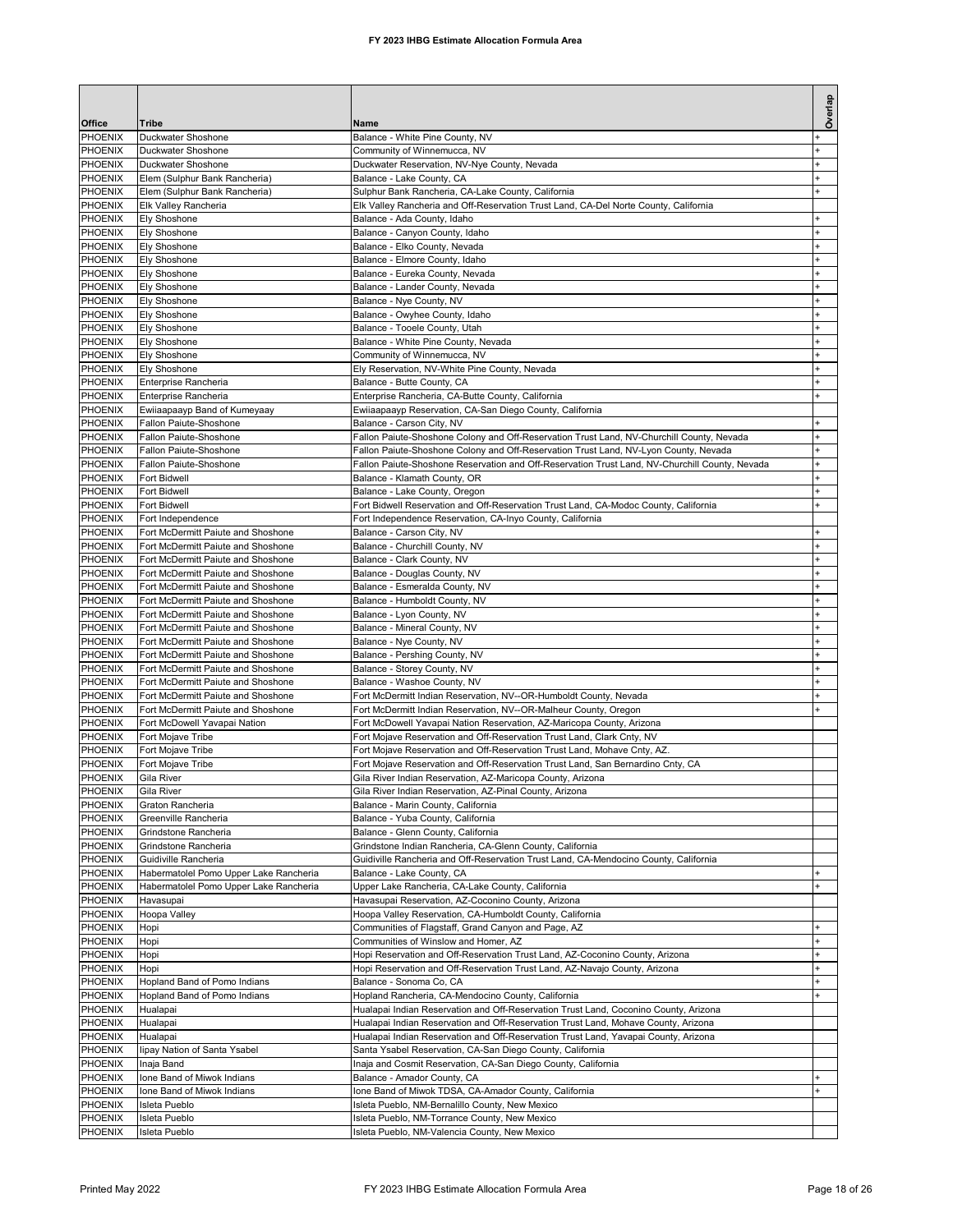| Office                    | <b>Tribe</b>                                                                     | Name                                                                                                                                                                              | Overlap                |
|---------------------------|----------------------------------------------------------------------------------|-----------------------------------------------------------------------------------------------------------------------------------------------------------------------------------|------------------------|
| PHOENIX                   | Duckwater Shoshone                                                               | Balance - White Pine County, NV                                                                                                                                                   |                        |
| PHOENIX                   | Duckwater Shoshone                                                               | Community of Winnemucca, NV                                                                                                                                                       |                        |
| PHOENIX                   | Duckwater Shoshone                                                               | Duckwater Reservation, NV-Nye County, Nevada                                                                                                                                      |                        |
| PHOENIX<br><b>PHOENIX</b> | Elem (Sulphur Bank Rancheria)<br>Elem (Sulphur Bank Rancheria)                   | Balance - Lake County, CA<br>Sulphur Bank Rancheria, CA-Lake County, California                                                                                                   |                        |
| PHOENIX                   | Elk Valley Rancheria                                                             | Elk Valley Rancheria and Off-Reservation Trust Land, CA-Del Norte County, California                                                                                              |                        |
| PHOENIX                   | Ely Shoshone                                                                     | Balance - Ada County, Idaho                                                                                                                                                       | $\ddot{}$              |
| PHOENIX                   | <b>Ely Shoshone</b>                                                              | Balance - Canyon County, Idaho                                                                                                                                                    |                        |
| PHOENIX                   | Ely Shoshone                                                                     | Balance - Elko County, Nevada                                                                                                                                                     |                        |
| PHOENIX<br>PHOENIX        | Ely Shoshone<br>Ely Shoshone                                                     | Balance - Elmore County, Idaho<br>Balance - Eureka County, Nevada                                                                                                                 | $\ddot{}$              |
| PHOENIX                   | Ely Shoshone                                                                     | Balance - Lander County, Nevada                                                                                                                                                   |                        |
| PHOENIX                   | Ely Shoshone                                                                     | Balance - Nye County, NV                                                                                                                                                          |                        |
| PHOENIX                   | Ely Shoshone                                                                     | Balance - Owyhee County, Idaho                                                                                                                                                    |                        |
| PHOENIX                   | <b>Ely Shoshone</b>                                                              | Balance - Tooele County, Utah                                                                                                                                                     |                        |
| PHOENIX<br>PHOENIX        | Ely Shoshone<br>Ely Shoshone                                                     | Balance - White Pine County, Nevada<br>Community of Winnemucca, NV                                                                                                                | $\ddot{}$<br>$\ddot{}$ |
| PHOENIX                   | Ely Shoshone                                                                     | Ely Reservation, NV-White Pine County, Nevada                                                                                                                                     | $\ddot{}$              |
| PHOENIX                   | Enterprise Rancheria                                                             | Balance - Butte County, CA                                                                                                                                                        | $\ddot{}$              |
| PHOENIX                   | Enterprise Rancheria                                                             | Enterprise Rancheria, CA-Butte County, California                                                                                                                                 | $\ddot{}$              |
| PHOENIX                   | Ewiiaapaayp Band of Kumeyaay                                                     | Ewiiaapaayp Reservation, CA-San Diego County, California                                                                                                                          |                        |
| PHOENIX                   | Fallon Paiute-Shoshone                                                           | Balance - Carson City, NV                                                                                                                                                         | $\pmb{+}$              |
| PHOENIX<br>PHOENIX        | Fallon Paiute-Shoshone<br>Fallon Paiute-Shoshone                                 | Fallon Paiute-Shoshone Colony and Off-Reservation Trust Land, NV-Churchill County, Nevada<br>Fallon Paiute-Shoshone Colony and Off-Reservation Trust Land, NV-Lyon County, Nevada | $\ddot{}$              |
| PHOENIX                   | Fallon Paiute-Shoshone                                                           | Fallon Paiute-Shoshone Reservation and Off-Reservation Trust Land, NV-Churchill County, Nevada                                                                                    |                        |
| PHOENIX                   | <b>Fort Bidwell</b>                                                              | Balance - Klamath County, OR                                                                                                                                                      |                        |
| PHOENIX                   | <b>Fort Bidwell</b>                                                              | Balance - Lake County, Oregon                                                                                                                                                     |                        |
| PHOENIX                   | <b>Fort Bidwell</b>                                                              | Fort Bidwell Reservation and Off-Reservation Trust Land, CA-Modoc County, California                                                                                              |                        |
| PHOENIX                   | Fort Independence                                                                | Fort Independence Reservation, CA-Inyo County, California                                                                                                                         |                        |
| PHOENIX<br>PHOENIX        | Fort McDermitt Paiute and Shoshone<br>Fort McDermitt Paiute and Shoshone         | Balance - Carson City, NV<br>Balance - Churchill County, NV                                                                                                                       |                        |
| PHOENIX                   | Fort McDermitt Paiute and Shoshone                                               | Balance - Clark County, NV                                                                                                                                                        |                        |
| PHOENIX                   | Fort McDermitt Paiute and Shoshone                                               | Balance - Douglas County, NV                                                                                                                                                      |                        |
| PHOENIX                   | Fort McDermitt Paiute and Shoshone                                               | Balance - Esmeralda County, NV                                                                                                                                                    | $\ddot{}$              |
| PHOENIX                   | Fort McDermitt Paiute and Shoshone                                               | Balance - Humboldt County, NV                                                                                                                                                     | $\ddot{}$              |
| PHOENIX<br>PHOENIX        | Fort McDermitt Paiute and Shoshone<br>Fort McDermitt Paiute and Shoshone         | Balance - Lyon County, NV<br>Balance - Mineral County, NV                                                                                                                         | $\ddot{}$<br>$\ddot{}$ |
| PHOENIX                   | Fort McDermitt Paiute and Shoshone                                               | Balance - Nye County, NV                                                                                                                                                          | $\ddot{}$              |
| PHOENIX                   | Fort McDermitt Paiute and Shoshone                                               | Balance - Pershing County, NV                                                                                                                                                     |                        |
| PHOENIX                   | Fort McDermitt Paiute and Shoshone                                               | Balance - Storey County, NV                                                                                                                                                       |                        |
| <b>PHOENIX</b>            | Fort McDermitt Paiute and Shoshone                                               | Balance - Washoe County, NV                                                                                                                                                       |                        |
| PHOENIX<br><b>PHOENIX</b> | Fort McDermitt Paiute and Shoshone<br>Fort McDermitt Paiute and Shoshone         | Fort McDermitt Indian Reservation, NV--OR-Humboldt County, Nevada<br>Fort McDermitt Indian Reservation, NV--OR-Malheur County, Oregon                                             |                        |
| PHOENIX                   | Fort McDowell Yavapai Nation                                                     | Fort McDowell Yavapai Nation Reservation, AZ-Maricopa County, Arizona                                                                                                             |                        |
| PHOENIX                   | Fort Mojave Tribe                                                                | Fort Mojave Reservation and Off-Reservation Trust Land, Clark Cnty, NV                                                                                                            |                        |
| <b>PHOENIX</b>            | Fort Mojave Tribe                                                                | Fort Mojave Reservation and Off-Reservation Trust Land, Mohave Cnty, AZ.                                                                                                          |                        |
| PHOENIX                   | Fort Mojave Tribe                                                                | Fort Mojave Reservation and Off-Reservation Trust Land, San Bernardino Cnty, CA                                                                                                   |                        |
| PHOENIX                   | Gila River                                                                       | Gila River Indian Reservation, AZ-Maricopa County, Arizona                                                                                                                        |                        |
| PHOENIX<br>PHOENIX        | Gila River<br>Graton Rancheria                                                   | Gila River Indian Reservation, AZ-Pinal County, Arizona<br>Balance - Marin County, California                                                                                     |                        |
| <b>PHOENIX</b>            | Greenville Rancheria                                                             | Balance - Yuba County, California                                                                                                                                                 |                        |
| PHOENIX                   | Grindstone Rancheria                                                             | Balance - Glenn County, California                                                                                                                                                |                        |
| PHOENIX                   | Grindstone Rancheria                                                             | Grindstone Indian Rancheria, CA-Glenn County, California                                                                                                                          |                        |
| PHOENIX                   | Guidiville Rancheria                                                             | Guidiville Rancheria and Off-Reservation Trust Land, CA-Mendocino County, California                                                                                              |                        |
| PHOENIX<br>PHOENIX        | Habermatolel Pomo Upper Lake Rancheria<br>Habermatolel Pomo Upper Lake Rancheria | Balance - Lake County, CA<br>Upper Lake Rancheria, CA-Lake County, California                                                                                                     | $\ddot{}$              |
| PHOENIX                   | Havasupai                                                                        | Havasupai Reservation, AZ-Coconino County, Arizona                                                                                                                                |                        |
| PHOENIX                   | Hoopa Valley                                                                     | Hoopa Valley Reservation, CA-Humboldt County, California                                                                                                                          |                        |
| PHOENIX                   | Hopi                                                                             | Communities of Flagstaff, Grand Canyon and Page, AZ                                                                                                                               | $\ddot{}$              |
| PHOENIX                   | Hopi                                                                             | Communities of Winslow and Homer, AZ                                                                                                                                              | $\ddot{}$              |
| PHOENIX<br><b>PHOENIX</b> | Hopi                                                                             | Hopi Reservation and Off-Reservation Trust Land, AZ-Coconino County, Arizona<br>Hopi Reservation and Off-Reservation Trust Land, AZ-Navajo County, Arizona                        | ÷<br>$\ddot{}$         |
| <b>PHOENIX</b>            | Hopi<br>Hopland Band of Pomo Indians                                             | Balance - Sonoma Co, CA                                                                                                                                                           |                        |
| <b>PHOENIX</b>            | Hopland Band of Pomo Indians                                                     | Hopland Rancheria, CA-Mendocino County, California                                                                                                                                |                        |
| PHOENIX                   | Hualapai                                                                         | Hualapai Indian Reservation and Off-Reservation Trust Land, Coconino County, Arizona                                                                                              |                        |
| <b>PHOENIX</b>            | Hualapai                                                                         | Hualapai Indian Reservation and Off-Reservation Trust Land, Mohave County, Arizona                                                                                                |                        |
| PHOENIX                   | Hualapai                                                                         | Hualapai Indian Reservation and Off-Reservation Trust Land, Yavapai County, Arizona                                                                                               |                        |
| PHOENIX<br>PHOENIX        | lipay Nation of Santa Ysabel<br>Inaja Band                                       | Santa Ysabel Reservation, CA-San Diego County, California<br>Inaja and Cosmit Reservation, CA-San Diego County, California                                                        |                        |
| PHOENIX                   | Ione Band of Miwok Indians                                                       | Balance - Amador County, CA                                                                                                                                                       | $\ddot{}$              |
| PHOENIX                   | Ione Band of Miwok Indians                                                       | Ione Band of Miwok TDSA, CA-Amador County, California                                                                                                                             |                        |
| PHOENIX                   | Isleta Pueblo                                                                    | Isleta Pueblo, NM-Bernalillo County, New Mexico                                                                                                                                   |                        |
| <b>PHOENIX</b>            | Isleta Pueblo                                                                    | Isleta Pueblo, NM-Torrance County, New Mexico                                                                                                                                     |                        |
| PHOENIX                   | Isleta Pueblo                                                                    | Isleta Pueblo, NM-Valencia County, New Mexico                                                                                                                                     |                        |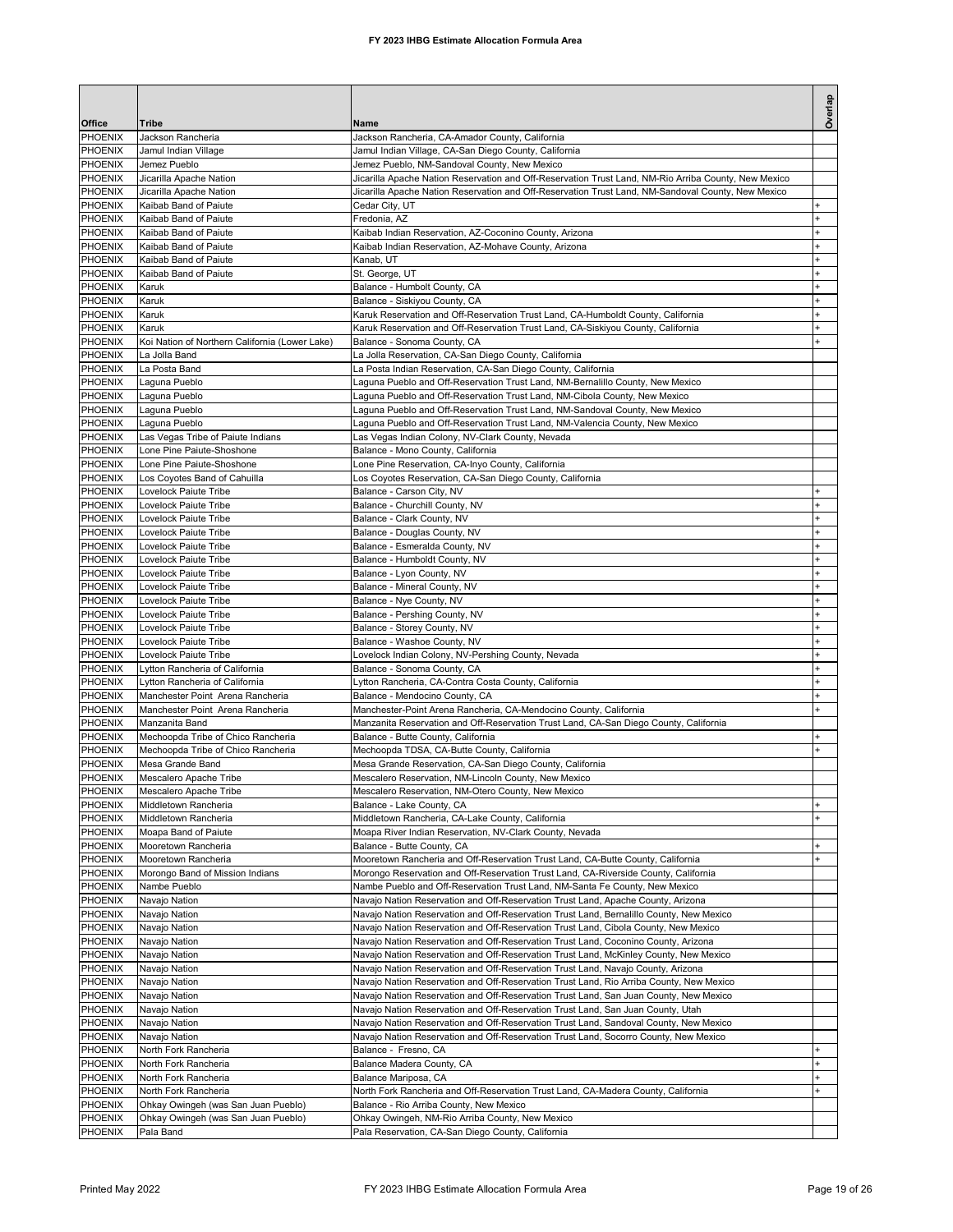| Office                           | Tribe                                                     | Name                                                                                                                                                                             | Overlap         |
|----------------------------------|-----------------------------------------------------------|----------------------------------------------------------------------------------------------------------------------------------------------------------------------------------|-----------------|
| PHOENIX                          | Jackson Rancheria                                         | Jackson Rancheria, CA-Amador County, California                                                                                                                                  |                 |
| PHOENIX                          | Jamul Indian Village                                      | Jamul Indian Village, CA-San Diego County, California                                                                                                                            |                 |
| PHOENIX                          | Jemez Pueblo                                              | Jemez Pueblo, NM-Sandoval County, New Mexico                                                                                                                                     |                 |
| <b>PHOENIX</b><br>PHOENIX        | Jicarilla Apache Nation<br>Jicarilla Apache Nation        | Jicarilla Apache Nation Reservation and Off-Reservation Trust Land, NM-Rio Arriba County, New Mexico                                                                             |                 |
| PHOENIX                          | Kaibab Band of Paiute                                     | Jicarilla Apache Nation Reservation and Off-Reservation Trust Land, NM-Sandoval County, New Mexico<br>Cedar City, UT                                                             | ÷.              |
| <b>PHOENIX</b>                   | Kaibab Band of Paiute                                     | Fredonia, AZ                                                                                                                                                                     | $\ddot{}$       |
| PHOENIX                          | Kaibab Band of Paiute                                     | Kaibab Indian Reservation, AZ-Coconino County, Arizona                                                                                                                           |                 |
| PHOENIX                          | Kaibab Band of Paiute                                     | Kaibab Indian Reservation, AZ-Mohave County, Arizona                                                                                                                             |                 |
| PHOENIX                          | Kaibab Band of Paiute                                     | Kanab, UT                                                                                                                                                                        | ÷               |
| PHOENIX<br>PHOENIX               | Kaibab Band of Paiute<br>Karuk                            | St. George, UT<br>Balance - Humbolt County, CA                                                                                                                                   |                 |
| PHOENIX                          | Karuk                                                     | Balance - Siskiyou County, CA                                                                                                                                                    |                 |
| PHOENIX                          | Karuk                                                     | Karuk Reservation and Off-Reservation Trust Land, CA-Humboldt County, California                                                                                                 |                 |
| PHOENIX                          | Karuk                                                     | Karuk Reservation and Off-Reservation Trust Land, CA-Siskiyou County, California                                                                                                 |                 |
| PHOENIX                          | Koi Nation of Northern California (Lower Lake)            | Balance - Sonoma County, CA                                                                                                                                                      |                 |
| <b>PHOENIX</b>                   | La Jolla Band<br>La Posta Band                            | La Jolla Reservation, CA-San Diego County, California                                                                                                                            |                 |
| PHOENIX<br><b>PHOENIX</b>        | Laguna Pueblo                                             | La Posta Indian Reservation, CA-San Diego County, California<br>Laguna Pueblo and Off-Reservation Trust Land, NM-Bernalillo County, New Mexico                                   |                 |
| <b>PHOENIX</b>                   | Laguna Pueblo                                             | Laguna Pueblo and Off-Reservation Trust Land, NM-Cibola County, New Mexico                                                                                                       |                 |
| PHOENIX                          | Laguna Pueblo                                             | Laguna Pueblo and Off-Reservation Trust Land, NM-Sandoval County, New Mexico                                                                                                     |                 |
| PHOENIX                          | Laguna Pueblo                                             | Laguna Pueblo and Off-Reservation Trust Land, NM-Valencia County, New Mexico                                                                                                     |                 |
| PHOENIX                          | Las Vegas Tribe of Paiute Indians                         | Las Vegas Indian Colony, NV-Clark County, Nevada                                                                                                                                 |                 |
| PHOENIX<br>PHOENIX               | Lone Pine Paiute-Shoshone                                 | Balance - Mono County, California                                                                                                                                                |                 |
| PHOENIX                          | Lone Pine Paiute-Shoshone<br>Los Coyotes Band of Cahuilla | Lone Pine Reservation, CA-Inyo County, California<br>Los Coyotes Reservation, CA-San Diego County, California                                                                    |                 |
| PHOENIX                          | Lovelock Paiute Tribe                                     | Balance - Carson City, NV                                                                                                                                                        |                 |
| PHOENIX                          | Lovelock Paiute Tribe                                     | Balance - Churchill County, NV                                                                                                                                                   |                 |
| <b>PHOENIX</b>                   | Lovelock Paiute Tribe                                     | Balance - Clark County, NV                                                                                                                                                       |                 |
| PHOENIX                          | Lovelock Paiute Tribe                                     | Balance - Douglas County, NV                                                                                                                                                     |                 |
| <b>PHOENIX</b><br><b>PHOENIX</b> | Lovelock Paiute Tribe<br><b>Lovelock Paiute Tribe</b>     | Balance - Esmeralda County, NV<br>Balance - Humboldt County, NV                                                                                                                  | ÷.<br>$\ddot{}$ |
| PHOENIX                          | Lovelock Paiute Tribe                                     | Balance - Lyon County, NV                                                                                                                                                        |                 |
| PHOENIX                          | Lovelock Paiute Tribe                                     | Balance - Mineral County, NV                                                                                                                                                     |                 |
| PHOENIX                          | Lovelock Paiute Tribe                                     | Balance - Nye County, NV                                                                                                                                                         | ÷               |
| PHOENIX                          | Lovelock Paiute Tribe                                     | Balance - Pershing County, NV                                                                                                                                                    |                 |
| PHOENIX                          | Lovelock Paiute Tribe                                     | Balance - Storey County, NV                                                                                                                                                      |                 |
| PHOENIX<br>PHOENIX               | Lovelock Paiute Tribe<br>Lovelock Paiute Tribe            | Balance - Washoe County, NV<br>Lovelock Indian Colony, NV-Pershing County, Nevada                                                                                                |                 |
| PHOENIX                          | Lytton Rancheria of California                            | Balance - Sonoma County, CA                                                                                                                                                      |                 |
| PHOENIX                          | Lytton Rancheria of California                            | Lytton Rancheria, CA-Contra Costa County, California                                                                                                                             |                 |
| <b>PHOENIX</b>                   | Manchester Point Arena Rancheria                          | Balance - Mendocino County, CA                                                                                                                                                   | $\ddot{}$       |
| <b>PHOENIX</b>                   | Manchester Point Arena Rancheria                          | Manchester-Point Arena Rancheria, CA-Mendocino County, California                                                                                                                | $\ddot{}$       |
| PHOENIX<br><b>PHOENIX</b>        | Manzanita Band<br>Mechoopda Tribe of Chico Rancheria      | Manzanita Reservation and Off-Reservation Trust Land, CA-San Diego County, California<br>Balance - Butte County, California                                                      | $\ddot{}$       |
| PHOENIX                          | Mechoopda Tribe of Chico Rancheria                        | Mechoopda TDSA, CA-Butte County, California                                                                                                                                      |                 |
| <b>PHOENIX</b>                   | Mesa Grande Band                                          | Mesa Grande Reservation, CA-San Diego County, California                                                                                                                         |                 |
| PHOENIX                          | Mescalero Apache Tribe                                    | Mescalero Reservation, NM-Lincoln County, New Mexico                                                                                                                             |                 |
| PHOENIX                          | Mescalero Apache Tribe                                    | Mescalero Reservation, NM-Otero County, New Mexico                                                                                                                               |                 |
| PHOENIX<br>PHOENIX               | Middletown Rancheria<br>Middletown Rancheria              | Balance - Lake County, CA                                                                                                                                                        |                 |
| PHOENIX                          | Moapa Band of Paiute                                      | Middletown Rancheria, CA-Lake County, California<br>Moapa River Indian Reservation, NV-Clark County, Nevada                                                                      |                 |
| PHOENIX                          | Mooretown Rancheria                                       | Balance - Butte County, CA                                                                                                                                                       |                 |
| PHOENIX                          | Mooretown Rancheria                                       | Mooretown Rancheria and Off-Reservation Trust Land, CA-Butte County, California                                                                                                  | $\ddot{}$       |
| PHOENIX                          | Morongo Band of Mission Indians                           | Morongo Reservation and Off-Reservation Trust Land, CA-Riverside County, California                                                                                              |                 |
| PHOENIX                          | Nambe Pueblo                                              | Nambe Pueblo and Off-Reservation Trust Land, NM-Santa Fe County, New Mexico                                                                                                      |                 |
| PHOENIX<br>PHOENIX               | Navajo Nation<br>Navajo Nation                            | Navajo Nation Reservation and Off-Reservation Trust Land, Apache County, Arizona<br>Navajo Nation Reservation and Off-Reservation Trust Land, Bernalillo County, New Mexico      |                 |
| PHOENIX                          | Navajo Nation                                             | Navajo Nation Reservation and Off-Reservation Trust Land, Cibola County, New Mexico                                                                                              |                 |
| PHOENIX                          | Navajo Nation                                             | Navajo Nation Reservation and Off-Reservation Trust Land, Coconino County, Arizona                                                                                               |                 |
| PHOENIX                          | Navajo Nation                                             | Navajo Nation Reservation and Off-Reservation Trust Land, McKinley County, New Mexico                                                                                            |                 |
| PHOENIX                          | Navajo Nation                                             | Navajo Nation Reservation and Off-Reservation Trust Land, Navajo County, Arizona                                                                                                 |                 |
| PHOENIX<br>PHOENIX               | Navajo Nation<br>Navajo Nation                            | Navajo Nation Reservation and Off-Reservation Trust Land, Rio Arriba County, New Mexico<br>Navajo Nation Reservation and Off-Reservation Trust Land, San Juan County, New Mexico |                 |
| PHOENIX                          | Navajo Nation                                             | Navajo Nation Reservation and Off-Reservation Trust Land, San Juan County, Utah                                                                                                  |                 |
| PHOENIX                          | Navajo Nation                                             | Navajo Nation Reservation and Off-Reservation Trust Land, Sandoval County, New Mexico                                                                                            |                 |
| PHOENIX                          | Navajo Nation                                             | Navajo Nation Reservation and Off-Reservation Trust Land, Socorro County, New Mexico                                                                                             |                 |
| PHOENIX                          | North Fork Rancheria                                      | Balance - Fresno, CA                                                                                                                                                             | ÷.              |
| PHOENIX                          | North Fork Rancheria                                      | Balance Madera County, CA                                                                                                                                                        | $\ddot{}$       |
| PHOENIX<br>PHOENIX               | North Fork Rancheria<br>North Fork Rancheria              | Balance Mariposa, CA<br>North Fork Rancheria and Off-Reservation Trust Land, CA-Madera County, California                                                                        | $\ddot{}$       |
| PHOENIX                          | Ohkay Owingeh (was San Juan Pueblo)                       | Balance - Rio Arriba County, New Mexico                                                                                                                                          |                 |
| PHOENIX                          | Ohkay Owingeh (was San Juan Pueblo)                       | Ohkay Owingeh, NM-Rio Arriba County, New Mexico                                                                                                                                  |                 |
| PHOENIX                          | Pala Band                                                 | Pala Reservation, CA-San Diego County, California                                                                                                                                |                 |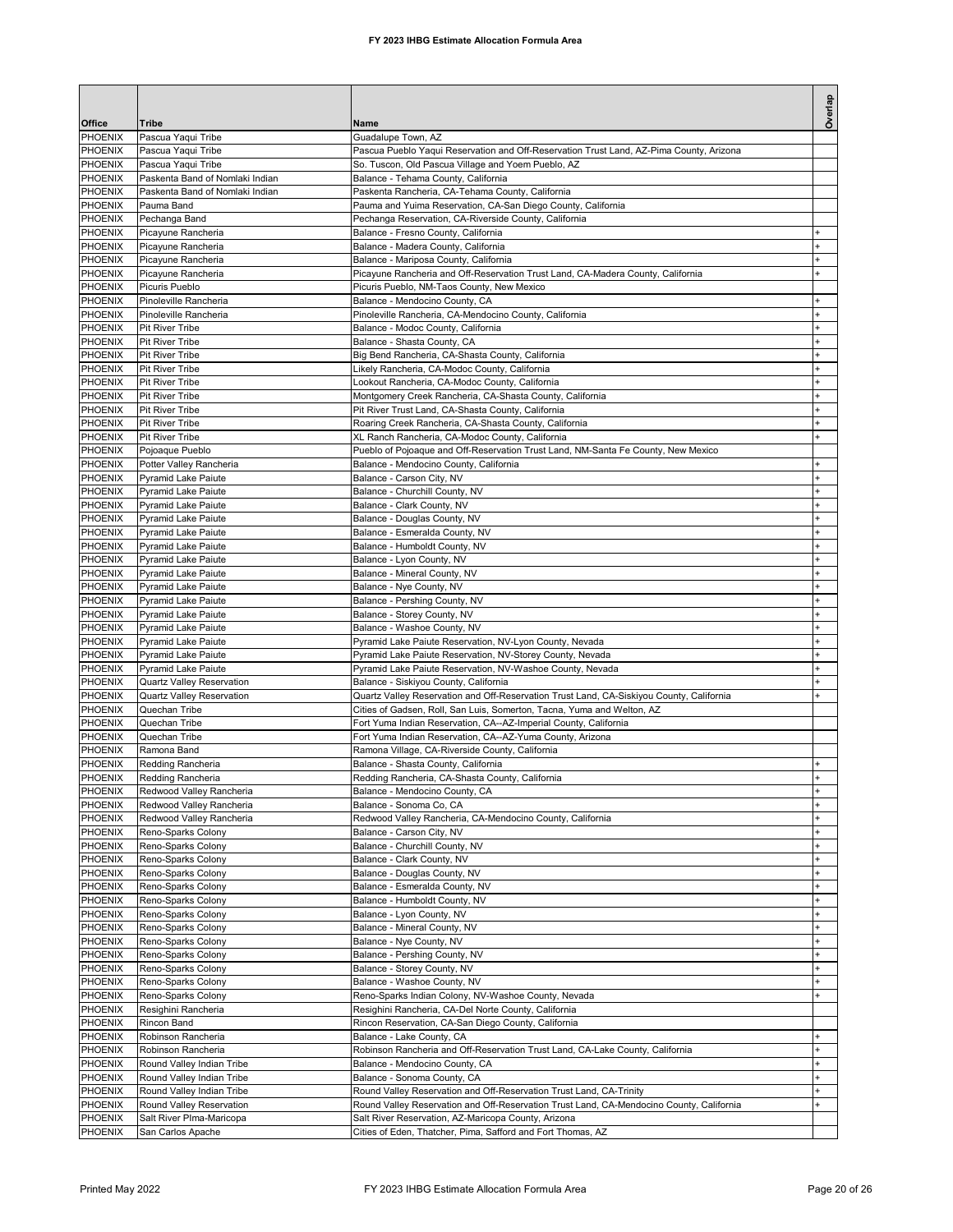| Overlap<br>Office<br>Tribe<br>Name<br><b>PHOENIX</b><br>Pascua Yaqui Tribe<br>Guadalupe Town, AZ<br>PHOENIX<br>Pascua Yaqui Tribe<br>Pascua Pueblo Yaqui Reservation and Off-Reservation Trust Land, AZ-Pima County, Arizona<br>PHOENIX<br>Pascua Yaqui Tribe<br>So. Tuscon, Old Pascua Village and Yoem Pueblo, AZ<br>PHOENIX<br>Paskenta Band of Nomlaki Indian<br>Balance - Tehama County, California<br>PHOENIX<br>Paskenta Band of Nomlaki Indian<br>Paskenta Rancheria, CA-Tehama County, California<br><b>PHOENIX</b><br>Pauma Band<br>Pauma and Yuima Reservation, CA-San Diego County, California<br>PHOENIX<br>Pechanga Band<br>Pechanga Reservation, CA-Riverside County, California<br>PHOENIX<br>Picayune Rancheria<br>Balance - Fresno County, California<br>PHOENIX<br>Picayune Rancheria<br>Balance - Madera County, California<br>÷<br>PHOENIX<br>Picayune Rancheria<br>Balance - Mariposa County, California<br>PHOENIX<br>Picayune Rancheria<br>Picayune Rancheria and Off-Reservation Trust Land, CA-Madera County, California<br>PHOENIX<br>Picuris Pueblo<br>Picuris Pueblo, NM-Taos County, New Mexico<br>PHOENIX<br>Pinoleville Rancheria<br>Balance - Mendocino County, CA<br>PHOENIX<br>Pinoleville Rancheria<br>Pinoleville Rancheria, CA-Mendocino County, California<br><b>PHOENIX</b><br><b>Pit River Tribe</b><br>Balance - Modoc County, California<br>PHOENIX<br>Balance - Shasta County, CA<br><b>Pit River Tribe</b><br>PHOENIX<br>Pit River Tribe<br>Big Bend Rancheria, CA-Shasta County, California<br><b>PHOENIX</b><br><b>Pit River Tribe</b><br>Likely Rancheria, CA-Modoc County, California<br>÷<br>PHOENIX<br><b>Pit River Tribe</b><br>Lookout Rancheria, CA-Modoc County, California<br>PHOENIX<br><b>Pit River Tribe</b><br>Montgomery Creek Rancheria, CA-Shasta County, California<br>PHOENIX<br><b>Pit River Tribe</b><br>Pit River Trust Land, CA-Shasta County, California<br>$\ddot{}$<br>PHOENIX<br><b>Pit River Tribe</b><br>Roaring Creek Rancheria, CA-Shasta County, California<br>$\overline{1}$<br>PHOENIX<br>Pit River Tribe<br>XL Ranch Rancheria, CA-Modoc County, California<br>PHOENIX<br>Pueblo of Pojoaque and Off-Reservation Trust Land, NM-Santa Fe County, New Mexico<br>Pojoaque Pueblo<br>PHOENIX<br>Balance - Mendocino County, California<br>Potter Valley Rancheria<br>PHOENIX<br>Balance - Carson City, NV<br>Pyramid Lake Paiute<br>PHOENIX<br>Balance - Churchill County, NV<br><b>Pyramid Lake Paiute</b><br>PHOENIX<br>Pyramid Lake Paiute<br>Balance - Clark County, NV<br>PHOENIX<br>Pyramid Lake Paiute<br>Balance - Douglas County, NV<br>PHOENIX<br>Pyramid Lake Paiute<br>Balance - Esmeralda County, NV<br>PHOENIX<br>Balance - Humboldt County, NV<br>Pyramid Lake Paiute<br>PHOENIX<br><b>Pyramid Lake Paiute</b><br>Balance - Lyon County, NV<br>PHOENIX<br>Balance - Mineral County, NV<br><b>Pyramid Lake Paiute</b><br>÷<br>PHOENIX<br>Pyramid Lake Paiute<br>Balance - Nye County, NV<br>$\ddot{}$<br>PHOENIX<br>Pyramid Lake Paiute<br>Balance - Pershing County, NV<br>PHOENIX<br>Pyramid Lake Paiute<br>Balance - Storey County, NV<br>PHOENIX<br>Balance - Washoe County, NV<br>Pyramid Lake Paiute<br>PHOENIX<br>Pyramid Lake Paiute Reservation, NV-Lyon County, Nevada<br><b>Pyramid Lake Paiute</b><br>PHOENIX<br>Pyramid Lake Paiute Reservation, NV-Storey County, Nevada<br><b>Pyramid Lake Paiute</b><br>PHOENIX<br>Pyramid Lake Paiute<br>Pyramid Lake Paiute Reservation, NV-Washoe County, Nevada<br>$\ddot{}$<br>PHOENIX<br>Quartz Valley Reservation<br>Balance - Siskiyou County, California<br>PHOENIX<br>Quartz Valley Reservation and Off-Reservation Trust Land, CA-Siskiyou County, California<br><b>Quartz Valley Reservation</b><br><b>PHOENIX</b><br>Quechan Tribe<br>Cities of Gadsen, Roll, San Luis, Somerton, Tacna, Yuma and Welton, AZ<br>PHOENIX<br>Fort Yuma Indian Reservation, CA--AZ-Imperial County, California<br>Quechan Tribe<br>PHOENIX<br>Quechan Tribe<br>Fort Yuma Indian Reservation, CA--AZ-Yuma County, Arizona<br>PHOENIX<br>Ramona Band<br>Ramona Village, CA-Riverside County, California<br>PHOENIX<br>Balance - Shasta County, California<br>Redding Rancheria<br>PHOENIX<br>Redding Rancheria<br>Redding Rancheria, CA-Shasta County, California<br>PHOENIX<br>Redwood Valley Rancheria<br>Balance - Mendocino County, CA<br>+<br>PHOENIX<br>Redwood Valley Rancheria<br>Balance - Sonoma Co, CA<br>PHOENIX<br>Redwood Valley Rancheria<br>Redwood Valley Rancheria, CA-Mendocino County, California<br>PHOENIX<br>Reno-Sparks Colony<br>Balance - Carson City, NV<br>PHOENIX<br>Reno-Sparks Colony<br>Balance - Churchill County, NV<br>PHOENIX<br>Reno-Sparks Colony<br>Balance - Clark County, NV<br>Balance - Douglas County, NV<br><b>PHOENIX</b><br>Reno-Sparks Colony<br><sup>+</sup><br>PHOENIX<br>Balance - Esmeralda County, NV<br>Reno-Sparks Colony<br>$\ddot{}$<br>PHOENIX<br>Reno-Sparks Colony<br>Balance - Humboldt County, NV<br>PHOENIX<br>Balance - Lyon County, NV<br>Reno-Sparks Colony<br>$\ddot{}$<br>PHOENIX<br>Balance - Mineral County, NV<br>Reno-Sparks Colony<br>$\ddot{}$<br>PHOENIX<br>Balance - Nye County, NV<br>Reno-Sparks Colony<br>$\ddot{}$<br>PHOENIX<br>Reno-Sparks Colony<br>Balance - Pershing County, NV<br>PHOENIX<br>Reno-Sparks Colony<br>Balance - Storey County, NV<br>PHOENIX<br>Reno-Sparks Colony<br>Balance - Washoe County, NV<br>PHOENIX<br>Reno-Sparks Colony<br>Reno-Sparks Indian Colony, NV-Washoe County, Nevada<br>PHOENIX<br>Resighini Rancheria<br>Resighini Rancheria, CA-Del Norte County, California<br>PHOENIX<br>Rincon Reservation, CA-San Diego County, California<br>Rincon Band<br>PHOENIX<br>Robinson Rancheria<br>Balance - Lake County, CA<br>$\ddot{}$<br>PHOENIX<br>Robinson Rancheria<br>Robinson Rancheria and Off-Reservation Trust Land, CA-Lake County, California<br>$\ddot{}$<br>PHOENIX<br>Round Valley Indian Tribe<br>Balance - Mendocino County, CA<br>PHOENIX<br>Balance - Sonoma County, CA<br>Round Valley Indian Tribe<br>PHOENIX<br>Round Valley Reservation and Off-Reservation Trust Land, CA-Trinity<br>Round Valley Indian Tribe<br>$\ddot{}$<br>PHOENIX<br>Round Valley Reservation<br>Round Valley Reservation and Off-Reservation Trust Land, CA-Mendocino County, California<br>PHOENIX<br>Salt River Plma-Maricopa<br>Salt River Reservation, AZ-Maricopa County, Arizona<br>PHOENIX<br>Cities of Eden, Thatcher, Pima, Safford and Fort Thomas, AZ<br>San Carlos Apache |  |  |
|------------------------------------------------------------------------------------------------------------------------------------------------------------------------------------------------------------------------------------------------------------------------------------------------------------------------------------------------------------------------------------------------------------------------------------------------------------------------------------------------------------------------------------------------------------------------------------------------------------------------------------------------------------------------------------------------------------------------------------------------------------------------------------------------------------------------------------------------------------------------------------------------------------------------------------------------------------------------------------------------------------------------------------------------------------------------------------------------------------------------------------------------------------------------------------------------------------------------------------------------------------------------------------------------------------------------------------------------------------------------------------------------------------------------------------------------------------------------------------------------------------------------------------------------------------------------------------------------------------------------------------------------------------------------------------------------------------------------------------------------------------------------------------------------------------------------------------------------------------------------------------------------------------------------------------------------------------------------------------------------------------------------------------------------------------------------------------------------------------------------------------------------------------------------------------------------------------------------------------------------------------------------------------------------------------------------------------------------------------------------------------------------------------------------------------------------------------------------------------------------------------------------------------------------------------------------------------------------------------------------------------------------------------------------------------------------------------------------------------------------------------------------------------------------------------------------------------------------------------------------------------------------------------------------------------------------------------------------------------------------------------------------------------------------------------------------------------------------------------------------------------------------------------------------------------------------------------------------------------------------------------------------------------------------------------------------------------------------------------------------------------------------------------------------------------------------------------------------------------------------------------------------------------------------------------------------------------------------------------------------------------------------------------------------------------------------------------------------------------------------------------------------------------------------------------------------------------------------------------------------------------------------------------------------------------------------------------------------------------------------------------------------------------------------------------------------------------------------------------------------------------------------------------------------------------------------------------------------------------------------------------------------------------------------------------------------------------------------------------------------------------------------------------------------------------------------------------------------------------------------------------------------------------------------------------------------------------------------------------------------------------------------------------------------------------------------------------------------------------------------------------------------------------------------------------------------------------------------------------------------------------------------------------------------------------------------------------------------------------------------------------------------------------------------------------------------------------------------------------------------------------------------------------------------------------------------------------------------------------------------------------------------------------------------------------------------------------------------------------------------------------------------------------------------------------------------------------------------------------------------------------------------------------------------------------------------------------------------------------------------------------------------------------------------------------------------------------------------------------------------------------------------------------------------------------------------------------------------------------------------------------------------------------------------------------------------------------------------------------------------------------------------------------------------------------------------------------------------------------------------------------------------------------------------------------------------------------------------------------------------------------------------------------------------------------------------------------------------------------------------------------------------------------------------------------------------------------------------------------------------------------------------------------|--|--|
|                                                                                                                                                                                                                                                                                                                                                                                                                                                                                                                                                                                                                                                                                                                                                                                                                                                                                                                                                                                                                                                                                                                                                                                                                                                                                                                                                                                                                                                                                                                                                                                                                                                                                                                                                                                                                                                                                                                                                                                                                                                                                                                                                                                                                                                                                                                                                                                                                                                                                                                                                                                                                                                                                                                                                                                                                                                                                                                                                                                                                                                                                                                                                                                                                                                                                                                                                                                                                                                                                                                                                                                                                                                                                                                                                                                                                                                                                                                                                                                                                                                                                                                                                                                                                                                                                                                                                                                                                                                                                                                                                                                                                                                                                                                                                                                                                                                                                                                                                                                                                                                                                                                                                                                                                                                                                                                                                                                                                                                                                                                                                                                                                                                                                                                                                                                                                                                                                                                                                                                                                                                                                                                                                                                                                                                                                                                                                                                                                                                                                                                                    |  |  |
|                                                                                                                                                                                                                                                                                                                                                                                                                                                                                                                                                                                                                                                                                                                                                                                                                                                                                                                                                                                                                                                                                                                                                                                                                                                                                                                                                                                                                                                                                                                                                                                                                                                                                                                                                                                                                                                                                                                                                                                                                                                                                                                                                                                                                                                                                                                                                                                                                                                                                                                                                                                                                                                                                                                                                                                                                                                                                                                                                                                                                                                                                                                                                                                                                                                                                                                                                                                                                                                                                                                                                                                                                                                                                                                                                                                                                                                                                                                                                                                                                                                                                                                                                                                                                                                                                                                                                                                                                                                                                                                                                                                                                                                                                                                                                                                                                                                                                                                                                                                                                                                                                                                                                                                                                                                                                                                                                                                                                                                                                                                                                                                                                                                                                                                                                                                                                                                                                                                                                                                                                                                                                                                                                                                                                                                                                                                                                                                                                                                                                                                                    |  |  |
|                                                                                                                                                                                                                                                                                                                                                                                                                                                                                                                                                                                                                                                                                                                                                                                                                                                                                                                                                                                                                                                                                                                                                                                                                                                                                                                                                                                                                                                                                                                                                                                                                                                                                                                                                                                                                                                                                                                                                                                                                                                                                                                                                                                                                                                                                                                                                                                                                                                                                                                                                                                                                                                                                                                                                                                                                                                                                                                                                                                                                                                                                                                                                                                                                                                                                                                                                                                                                                                                                                                                                                                                                                                                                                                                                                                                                                                                                                                                                                                                                                                                                                                                                                                                                                                                                                                                                                                                                                                                                                                                                                                                                                                                                                                                                                                                                                                                                                                                                                                                                                                                                                                                                                                                                                                                                                                                                                                                                                                                                                                                                                                                                                                                                                                                                                                                                                                                                                                                                                                                                                                                                                                                                                                                                                                                                                                                                                                                                                                                                                                                    |  |  |
|                                                                                                                                                                                                                                                                                                                                                                                                                                                                                                                                                                                                                                                                                                                                                                                                                                                                                                                                                                                                                                                                                                                                                                                                                                                                                                                                                                                                                                                                                                                                                                                                                                                                                                                                                                                                                                                                                                                                                                                                                                                                                                                                                                                                                                                                                                                                                                                                                                                                                                                                                                                                                                                                                                                                                                                                                                                                                                                                                                                                                                                                                                                                                                                                                                                                                                                                                                                                                                                                                                                                                                                                                                                                                                                                                                                                                                                                                                                                                                                                                                                                                                                                                                                                                                                                                                                                                                                                                                                                                                                                                                                                                                                                                                                                                                                                                                                                                                                                                                                                                                                                                                                                                                                                                                                                                                                                                                                                                                                                                                                                                                                                                                                                                                                                                                                                                                                                                                                                                                                                                                                                                                                                                                                                                                                                                                                                                                                                                                                                                                                                    |  |  |
|                                                                                                                                                                                                                                                                                                                                                                                                                                                                                                                                                                                                                                                                                                                                                                                                                                                                                                                                                                                                                                                                                                                                                                                                                                                                                                                                                                                                                                                                                                                                                                                                                                                                                                                                                                                                                                                                                                                                                                                                                                                                                                                                                                                                                                                                                                                                                                                                                                                                                                                                                                                                                                                                                                                                                                                                                                                                                                                                                                                                                                                                                                                                                                                                                                                                                                                                                                                                                                                                                                                                                                                                                                                                                                                                                                                                                                                                                                                                                                                                                                                                                                                                                                                                                                                                                                                                                                                                                                                                                                                                                                                                                                                                                                                                                                                                                                                                                                                                                                                                                                                                                                                                                                                                                                                                                                                                                                                                                                                                                                                                                                                                                                                                                                                                                                                                                                                                                                                                                                                                                                                                                                                                                                                                                                                                                                                                                                                                                                                                                                                                    |  |  |
|                                                                                                                                                                                                                                                                                                                                                                                                                                                                                                                                                                                                                                                                                                                                                                                                                                                                                                                                                                                                                                                                                                                                                                                                                                                                                                                                                                                                                                                                                                                                                                                                                                                                                                                                                                                                                                                                                                                                                                                                                                                                                                                                                                                                                                                                                                                                                                                                                                                                                                                                                                                                                                                                                                                                                                                                                                                                                                                                                                                                                                                                                                                                                                                                                                                                                                                                                                                                                                                                                                                                                                                                                                                                                                                                                                                                                                                                                                                                                                                                                                                                                                                                                                                                                                                                                                                                                                                                                                                                                                                                                                                                                                                                                                                                                                                                                                                                                                                                                                                                                                                                                                                                                                                                                                                                                                                                                                                                                                                                                                                                                                                                                                                                                                                                                                                                                                                                                                                                                                                                                                                                                                                                                                                                                                                                                                                                                                                                                                                                                                                                    |  |  |
|                                                                                                                                                                                                                                                                                                                                                                                                                                                                                                                                                                                                                                                                                                                                                                                                                                                                                                                                                                                                                                                                                                                                                                                                                                                                                                                                                                                                                                                                                                                                                                                                                                                                                                                                                                                                                                                                                                                                                                                                                                                                                                                                                                                                                                                                                                                                                                                                                                                                                                                                                                                                                                                                                                                                                                                                                                                                                                                                                                                                                                                                                                                                                                                                                                                                                                                                                                                                                                                                                                                                                                                                                                                                                                                                                                                                                                                                                                                                                                                                                                                                                                                                                                                                                                                                                                                                                                                                                                                                                                                                                                                                                                                                                                                                                                                                                                                                                                                                                                                                                                                                                                                                                                                                                                                                                                                                                                                                                                                                                                                                                                                                                                                                                                                                                                                                                                                                                                                                                                                                                                                                                                                                                                                                                                                                                                                                                                                                                                                                                                                                    |  |  |
|                                                                                                                                                                                                                                                                                                                                                                                                                                                                                                                                                                                                                                                                                                                                                                                                                                                                                                                                                                                                                                                                                                                                                                                                                                                                                                                                                                                                                                                                                                                                                                                                                                                                                                                                                                                                                                                                                                                                                                                                                                                                                                                                                                                                                                                                                                                                                                                                                                                                                                                                                                                                                                                                                                                                                                                                                                                                                                                                                                                                                                                                                                                                                                                                                                                                                                                                                                                                                                                                                                                                                                                                                                                                                                                                                                                                                                                                                                                                                                                                                                                                                                                                                                                                                                                                                                                                                                                                                                                                                                                                                                                                                                                                                                                                                                                                                                                                                                                                                                                                                                                                                                                                                                                                                                                                                                                                                                                                                                                                                                                                                                                                                                                                                                                                                                                                                                                                                                                                                                                                                                                                                                                                                                                                                                                                                                                                                                                                                                                                                                                                    |  |  |
|                                                                                                                                                                                                                                                                                                                                                                                                                                                                                                                                                                                                                                                                                                                                                                                                                                                                                                                                                                                                                                                                                                                                                                                                                                                                                                                                                                                                                                                                                                                                                                                                                                                                                                                                                                                                                                                                                                                                                                                                                                                                                                                                                                                                                                                                                                                                                                                                                                                                                                                                                                                                                                                                                                                                                                                                                                                                                                                                                                                                                                                                                                                                                                                                                                                                                                                                                                                                                                                                                                                                                                                                                                                                                                                                                                                                                                                                                                                                                                                                                                                                                                                                                                                                                                                                                                                                                                                                                                                                                                                                                                                                                                                                                                                                                                                                                                                                                                                                                                                                                                                                                                                                                                                                                                                                                                                                                                                                                                                                                                                                                                                                                                                                                                                                                                                                                                                                                                                                                                                                                                                                                                                                                                                                                                                                                                                                                                                                                                                                                                                                    |  |  |
|                                                                                                                                                                                                                                                                                                                                                                                                                                                                                                                                                                                                                                                                                                                                                                                                                                                                                                                                                                                                                                                                                                                                                                                                                                                                                                                                                                                                                                                                                                                                                                                                                                                                                                                                                                                                                                                                                                                                                                                                                                                                                                                                                                                                                                                                                                                                                                                                                                                                                                                                                                                                                                                                                                                                                                                                                                                                                                                                                                                                                                                                                                                                                                                                                                                                                                                                                                                                                                                                                                                                                                                                                                                                                                                                                                                                                                                                                                                                                                                                                                                                                                                                                                                                                                                                                                                                                                                                                                                                                                                                                                                                                                                                                                                                                                                                                                                                                                                                                                                                                                                                                                                                                                                                                                                                                                                                                                                                                                                                                                                                                                                                                                                                                                                                                                                                                                                                                                                                                                                                                                                                                                                                                                                                                                                                                                                                                                                                                                                                                                                                    |  |  |
|                                                                                                                                                                                                                                                                                                                                                                                                                                                                                                                                                                                                                                                                                                                                                                                                                                                                                                                                                                                                                                                                                                                                                                                                                                                                                                                                                                                                                                                                                                                                                                                                                                                                                                                                                                                                                                                                                                                                                                                                                                                                                                                                                                                                                                                                                                                                                                                                                                                                                                                                                                                                                                                                                                                                                                                                                                                                                                                                                                                                                                                                                                                                                                                                                                                                                                                                                                                                                                                                                                                                                                                                                                                                                                                                                                                                                                                                                                                                                                                                                                                                                                                                                                                                                                                                                                                                                                                                                                                                                                                                                                                                                                                                                                                                                                                                                                                                                                                                                                                                                                                                                                                                                                                                                                                                                                                                                                                                                                                                                                                                                                                                                                                                                                                                                                                                                                                                                                                                                                                                                                                                                                                                                                                                                                                                                                                                                                                                                                                                                                                                    |  |  |
|                                                                                                                                                                                                                                                                                                                                                                                                                                                                                                                                                                                                                                                                                                                                                                                                                                                                                                                                                                                                                                                                                                                                                                                                                                                                                                                                                                                                                                                                                                                                                                                                                                                                                                                                                                                                                                                                                                                                                                                                                                                                                                                                                                                                                                                                                                                                                                                                                                                                                                                                                                                                                                                                                                                                                                                                                                                                                                                                                                                                                                                                                                                                                                                                                                                                                                                                                                                                                                                                                                                                                                                                                                                                                                                                                                                                                                                                                                                                                                                                                                                                                                                                                                                                                                                                                                                                                                                                                                                                                                                                                                                                                                                                                                                                                                                                                                                                                                                                                                                                                                                                                                                                                                                                                                                                                                                                                                                                                                                                                                                                                                                                                                                                                                                                                                                                                                                                                                                                                                                                                                                                                                                                                                                                                                                                                                                                                                                                                                                                                                                                    |  |  |
|                                                                                                                                                                                                                                                                                                                                                                                                                                                                                                                                                                                                                                                                                                                                                                                                                                                                                                                                                                                                                                                                                                                                                                                                                                                                                                                                                                                                                                                                                                                                                                                                                                                                                                                                                                                                                                                                                                                                                                                                                                                                                                                                                                                                                                                                                                                                                                                                                                                                                                                                                                                                                                                                                                                                                                                                                                                                                                                                                                                                                                                                                                                                                                                                                                                                                                                                                                                                                                                                                                                                                                                                                                                                                                                                                                                                                                                                                                                                                                                                                                                                                                                                                                                                                                                                                                                                                                                                                                                                                                                                                                                                                                                                                                                                                                                                                                                                                                                                                                                                                                                                                                                                                                                                                                                                                                                                                                                                                                                                                                                                                                                                                                                                                                                                                                                                                                                                                                                                                                                                                                                                                                                                                                                                                                                                                                                                                                                                                                                                                                                                    |  |  |
|                                                                                                                                                                                                                                                                                                                                                                                                                                                                                                                                                                                                                                                                                                                                                                                                                                                                                                                                                                                                                                                                                                                                                                                                                                                                                                                                                                                                                                                                                                                                                                                                                                                                                                                                                                                                                                                                                                                                                                                                                                                                                                                                                                                                                                                                                                                                                                                                                                                                                                                                                                                                                                                                                                                                                                                                                                                                                                                                                                                                                                                                                                                                                                                                                                                                                                                                                                                                                                                                                                                                                                                                                                                                                                                                                                                                                                                                                                                                                                                                                                                                                                                                                                                                                                                                                                                                                                                                                                                                                                                                                                                                                                                                                                                                                                                                                                                                                                                                                                                                                                                                                                                                                                                                                                                                                                                                                                                                                                                                                                                                                                                                                                                                                                                                                                                                                                                                                                                                                                                                                                                                                                                                                                                                                                                                                                                                                                                                                                                                                                                                    |  |  |
|                                                                                                                                                                                                                                                                                                                                                                                                                                                                                                                                                                                                                                                                                                                                                                                                                                                                                                                                                                                                                                                                                                                                                                                                                                                                                                                                                                                                                                                                                                                                                                                                                                                                                                                                                                                                                                                                                                                                                                                                                                                                                                                                                                                                                                                                                                                                                                                                                                                                                                                                                                                                                                                                                                                                                                                                                                                                                                                                                                                                                                                                                                                                                                                                                                                                                                                                                                                                                                                                                                                                                                                                                                                                                                                                                                                                                                                                                                                                                                                                                                                                                                                                                                                                                                                                                                                                                                                                                                                                                                                                                                                                                                                                                                                                                                                                                                                                                                                                                                                                                                                                                                                                                                                                                                                                                                                                                                                                                                                                                                                                                                                                                                                                                                                                                                                                                                                                                                                                                                                                                                                                                                                                                                                                                                                                                                                                                                                                                                                                                                                                    |  |  |
|                                                                                                                                                                                                                                                                                                                                                                                                                                                                                                                                                                                                                                                                                                                                                                                                                                                                                                                                                                                                                                                                                                                                                                                                                                                                                                                                                                                                                                                                                                                                                                                                                                                                                                                                                                                                                                                                                                                                                                                                                                                                                                                                                                                                                                                                                                                                                                                                                                                                                                                                                                                                                                                                                                                                                                                                                                                                                                                                                                                                                                                                                                                                                                                                                                                                                                                                                                                                                                                                                                                                                                                                                                                                                                                                                                                                                                                                                                                                                                                                                                                                                                                                                                                                                                                                                                                                                                                                                                                                                                                                                                                                                                                                                                                                                                                                                                                                                                                                                                                                                                                                                                                                                                                                                                                                                                                                                                                                                                                                                                                                                                                                                                                                                                                                                                                                                                                                                                                                                                                                                                                                                                                                                                                                                                                                                                                                                                                                                                                                                                                                    |  |  |
|                                                                                                                                                                                                                                                                                                                                                                                                                                                                                                                                                                                                                                                                                                                                                                                                                                                                                                                                                                                                                                                                                                                                                                                                                                                                                                                                                                                                                                                                                                                                                                                                                                                                                                                                                                                                                                                                                                                                                                                                                                                                                                                                                                                                                                                                                                                                                                                                                                                                                                                                                                                                                                                                                                                                                                                                                                                                                                                                                                                                                                                                                                                                                                                                                                                                                                                                                                                                                                                                                                                                                                                                                                                                                                                                                                                                                                                                                                                                                                                                                                                                                                                                                                                                                                                                                                                                                                                                                                                                                                                                                                                                                                                                                                                                                                                                                                                                                                                                                                                                                                                                                                                                                                                                                                                                                                                                                                                                                                                                                                                                                                                                                                                                                                                                                                                                                                                                                                                                                                                                                                                                                                                                                                                                                                                                                                                                                                                                                                                                                                                                    |  |  |
|                                                                                                                                                                                                                                                                                                                                                                                                                                                                                                                                                                                                                                                                                                                                                                                                                                                                                                                                                                                                                                                                                                                                                                                                                                                                                                                                                                                                                                                                                                                                                                                                                                                                                                                                                                                                                                                                                                                                                                                                                                                                                                                                                                                                                                                                                                                                                                                                                                                                                                                                                                                                                                                                                                                                                                                                                                                                                                                                                                                                                                                                                                                                                                                                                                                                                                                                                                                                                                                                                                                                                                                                                                                                                                                                                                                                                                                                                                                                                                                                                                                                                                                                                                                                                                                                                                                                                                                                                                                                                                                                                                                                                                                                                                                                                                                                                                                                                                                                                                                                                                                                                                                                                                                                                                                                                                                                                                                                                                                                                                                                                                                                                                                                                                                                                                                                                                                                                                                                                                                                                                                                                                                                                                                                                                                                                                                                                                                                                                                                                                                                    |  |  |
|                                                                                                                                                                                                                                                                                                                                                                                                                                                                                                                                                                                                                                                                                                                                                                                                                                                                                                                                                                                                                                                                                                                                                                                                                                                                                                                                                                                                                                                                                                                                                                                                                                                                                                                                                                                                                                                                                                                                                                                                                                                                                                                                                                                                                                                                                                                                                                                                                                                                                                                                                                                                                                                                                                                                                                                                                                                                                                                                                                                                                                                                                                                                                                                                                                                                                                                                                                                                                                                                                                                                                                                                                                                                                                                                                                                                                                                                                                                                                                                                                                                                                                                                                                                                                                                                                                                                                                                                                                                                                                                                                                                                                                                                                                                                                                                                                                                                                                                                                                                                                                                                                                                                                                                                                                                                                                                                                                                                                                                                                                                                                                                                                                                                                                                                                                                                                                                                                                                                                                                                                                                                                                                                                                                                                                                                                                                                                                                                                                                                                                                                    |  |  |
|                                                                                                                                                                                                                                                                                                                                                                                                                                                                                                                                                                                                                                                                                                                                                                                                                                                                                                                                                                                                                                                                                                                                                                                                                                                                                                                                                                                                                                                                                                                                                                                                                                                                                                                                                                                                                                                                                                                                                                                                                                                                                                                                                                                                                                                                                                                                                                                                                                                                                                                                                                                                                                                                                                                                                                                                                                                                                                                                                                                                                                                                                                                                                                                                                                                                                                                                                                                                                                                                                                                                                                                                                                                                                                                                                                                                                                                                                                                                                                                                                                                                                                                                                                                                                                                                                                                                                                                                                                                                                                                                                                                                                                                                                                                                                                                                                                                                                                                                                                                                                                                                                                                                                                                                                                                                                                                                                                                                                                                                                                                                                                                                                                                                                                                                                                                                                                                                                                                                                                                                                                                                                                                                                                                                                                                                                                                                                                                                                                                                                                                                    |  |  |
|                                                                                                                                                                                                                                                                                                                                                                                                                                                                                                                                                                                                                                                                                                                                                                                                                                                                                                                                                                                                                                                                                                                                                                                                                                                                                                                                                                                                                                                                                                                                                                                                                                                                                                                                                                                                                                                                                                                                                                                                                                                                                                                                                                                                                                                                                                                                                                                                                                                                                                                                                                                                                                                                                                                                                                                                                                                                                                                                                                                                                                                                                                                                                                                                                                                                                                                                                                                                                                                                                                                                                                                                                                                                                                                                                                                                                                                                                                                                                                                                                                                                                                                                                                                                                                                                                                                                                                                                                                                                                                                                                                                                                                                                                                                                                                                                                                                                                                                                                                                                                                                                                                                                                                                                                                                                                                                                                                                                                                                                                                                                                                                                                                                                                                                                                                                                                                                                                                                                                                                                                                                                                                                                                                                                                                                                                                                                                                                                                                                                                                                                    |  |  |
|                                                                                                                                                                                                                                                                                                                                                                                                                                                                                                                                                                                                                                                                                                                                                                                                                                                                                                                                                                                                                                                                                                                                                                                                                                                                                                                                                                                                                                                                                                                                                                                                                                                                                                                                                                                                                                                                                                                                                                                                                                                                                                                                                                                                                                                                                                                                                                                                                                                                                                                                                                                                                                                                                                                                                                                                                                                                                                                                                                                                                                                                                                                                                                                                                                                                                                                                                                                                                                                                                                                                                                                                                                                                                                                                                                                                                                                                                                                                                                                                                                                                                                                                                                                                                                                                                                                                                                                                                                                                                                                                                                                                                                                                                                                                                                                                                                                                                                                                                                                                                                                                                                                                                                                                                                                                                                                                                                                                                                                                                                                                                                                                                                                                                                                                                                                                                                                                                                                                                                                                                                                                                                                                                                                                                                                                                                                                                                                                                                                                                                                                    |  |  |
|                                                                                                                                                                                                                                                                                                                                                                                                                                                                                                                                                                                                                                                                                                                                                                                                                                                                                                                                                                                                                                                                                                                                                                                                                                                                                                                                                                                                                                                                                                                                                                                                                                                                                                                                                                                                                                                                                                                                                                                                                                                                                                                                                                                                                                                                                                                                                                                                                                                                                                                                                                                                                                                                                                                                                                                                                                                                                                                                                                                                                                                                                                                                                                                                                                                                                                                                                                                                                                                                                                                                                                                                                                                                                                                                                                                                                                                                                                                                                                                                                                                                                                                                                                                                                                                                                                                                                                                                                                                                                                                                                                                                                                                                                                                                                                                                                                                                                                                                                                                                                                                                                                                                                                                                                                                                                                                                                                                                                                                                                                                                                                                                                                                                                                                                                                                                                                                                                                                                                                                                                                                                                                                                                                                                                                                                                                                                                                                                                                                                                                                                    |  |  |
|                                                                                                                                                                                                                                                                                                                                                                                                                                                                                                                                                                                                                                                                                                                                                                                                                                                                                                                                                                                                                                                                                                                                                                                                                                                                                                                                                                                                                                                                                                                                                                                                                                                                                                                                                                                                                                                                                                                                                                                                                                                                                                                                                                                                                                                                                                                                                                                                                                                                                                                                                                                                                                                                                                                                                                                                                                                                                                                                                                                                                                                                                                                                                                                                                                                                                                                                                                                                                                                                                                                                                                                                                                                                                                                                                                                                                                                                                                                                                                                                                                                                                                                                                                                                                                                                                                                                                                                                                                                                                                                                                                                                                                                                                                                                                                                                                                                                                                                                                                                                                                                                                                                                                                                                                                                                                                                                                                                                                                                                                                                                                                                                                                                                                                                                                                                                                                                                                                                                                                                                                                                                                                                                                                                                                                                                                                                                                                                                                                                                                                                                    |  |  |
|                                                                                                                                                                                                                                                                                                                                                                                                                                                                                                                                                                                                                                                                                                                                                                                                                                                                                                                                                                                                                                                                                                                                                                                                                                                                                                                                                                                                                                                                                                                                                                                                                                                                                                                                                                                                                                                                                                                                                                                                                                                                                                                                                                                                                                                                                                                                                                                                                                                                                                                                                                                                                                                                                                                                                                                                                                                                                                                                                                                                                                                                                                                                                                                                                                                                                                                                                                                                                                                                                                                                                                                                                                                                                                                                                                                                                                                                                                                                                                                                                                                                                                                                                                                                                                                                                                                                                                                                                                                                                                                                                                                                                                                                                                                                                                                                                                                                                                                                                                                                                                                                                                                                                                                                                                                                                                                                                                                                                                                                                                                                                                                                                                                                                                                                                                                                                                                                                                                                                                                                                                                                                                                                                                                                                                                                                                                                                                                                                                                                                                                                    |  |  |
|                                                                                                                                                                                                                                                                                                                                                                                                                                                                                                                                                                                                                                                                                                                                                                                                                                                                                                                                                                                                                                                                                                                                                                                                                                                                                                                                                                                                                                                                                                                                                                                                                                                                                                                                                                                                                                                                                                                                                                                                                                                                                                                                                                                                                                                                                                                                                                                                                                                                                                                                                                                                                                                                                                                                                                                                                                                                                                                                                                                                                                                                                                                                                                                                                                                                                                                                                                                                                                                                                                                                                                                                                                                                                                                                                                                                                                                                                                                                                                                                                                                                                                                                                                                                                                                                                                                                                                                                                                                                                                                                                                                                                                                                                                                                                                                                                                                                                                                                                                                                                                                                                                                                                                                                                                                                                                                                                                                                                                                                                                                                                                                                                                                                                                                                                                                                                                                                                                                                                                                                                                                                                                                                                                                                                                                                                                                                                                                                                                                                                                                                    |  |  |
|                                                                                                                                                                                                                                                                                                                                                                                                                                                                                                                                                                                                                                                                                                                                                                                                                                                                                                                                                                                                                                                                                                                                                                                                                                                                                                                                                                                                                                                                                                                                                                                                                                                                                                                                                                                                                                                                                                                                                                                                                                                                                                                                                                                                                                                                                                                                                                                                                                                                                                                                                                                                                                                                                                                                                                                                                                                                                                                                                                                                                                                                                                                                                                                                                                                                                                                                                                                                                                                                                                                                                                                                                                                                                                                                                                                                                                                                                                                                                                                                                                                                                                                                                                                                                                                                                                                                                                                                                                                                                                                                                                                                                                                                                                                                                                                                                                                                                                                                                                                                                                                                                                                                                                                                                                                                                                                                                                                                                                                                                                                                                                                                                                                                                                                                                                                                                                                                                                                                                                                                                                                                                                                                                                                                                                                                                                                                                                                                                                                                                                                                    |  |  |
|                                                                                                                                                                                                                                                                                                                                                                                                                                                                                                                                                                                                                                                                                                                                                                                                                                                                                                                                                                                                                                                                                                                                                                                                                                                                                                                                                                                                                                                                                                                                                                                                                                                                                                                                                                                                                                                                                                                                                                                                                                                                                                                                                                                                                                                                                                                                                                                                                                                                                                                                                                                                                                                                                                                                                                                                                                                                                                                                                                                                                                                                                                                                                                                                                                                                                                                                                                                                                                                                                                                                                                                                                                                                                                                                                                                                                                                                                                                                                                                                                                                                                                                                                                                                                                                                                                                                                                                                                                                                                                                                                                                                                                                                                                                                                                                                                                                                                                                                                                                                                                                                                                                                                                                                                                                                                                                                                                                                                                                                                                                                                                                                                                                                                                                                                                                                                                                                                                                                                                                                                                                                                                                                                                                                                                                                                                                                                                                                                                                                                                                                    |  |  |
|                                                                                                                                                                                                                                                                                                                                                                                                                                                                                                                                                                                                                                                                                                                                                                                                                                                                                                                                                                                                                                                                                                                                                                                                                                                                                                                                                                                                                                                                                                                                                                                                                                                                                                                                                                                                                                                                                                                                                                                                                                                                                                                                                                                                                                                                                                                                                                                                                                                                                                                                                                                                                                                                                                                                                                                                                                                                                                                                                                                                                                                                                                                                                                                                                                                                                                                                                                                                                                                                                                                                                                                                                                                                                                                                                                                                                                                                                                                                                                                                                                                                                                                                                                                                                                                                                                                                                                                                                                                                                                                                                                                                                                                                                                                                                                                                                                                                                                                                                                                                                                                                                                                                                                                                                                                                                                                                                                                                                                                                                                                                                                                                                                                                                                                                                                                                                                                                                                                                                                                                                                                                                                                                                                                                                                                                                                                                                                                                                                                                                                                                    |  |  |
|                                                                                                                                                                                                                                                                                                                                                                                                                                                                                                                                                                                                                                                                                                                                                                                                                                                                                                                                                                                                                                                                                                                                                                                                                                                                                                                                                                                                                                                                                                                                                                                                                                                                                                                                                                                                                                                                                                                                                                                                                                                                                                                                                                                                                                                                                                                                                                                                                                                                                                                                                                                                                                                                                                                                                                                                                                                                                                                                                                                                                                                                                                                                                                                                                                                                                                                                                                                                                                                                                                                                                                                                                                                                                                                                                                                                                                                                                                                                                                                                                                                                                                                                                                                                                                                                                                                                                                                                                                                                                                                                                                                                                                                                                                                                                                                                                                                                                                                                                                                                                                                                                                                                                                                                                                                                                                                                                                                                                                                                                                                                                                                                                                                                                                                                                                                                                                                                                                                                                                                                                                                                                                                                                                                                                                                                                                                                                                                                                                                                                                                                    |  |  |
|                                                                                                                                                                                                                                                                                                                                                                                                                                                                                                                                                                                                                                                                                                                                                                                                                                                                                                                                                                                                                                                                                                                                                                                                                                                                                                                                                                                                                                                                                                                                                                                                                                                                                                                                                                                                                                                                                                                                                                                                                                                                                                                                                                                                                                                                                                                                                                                                                                                                                                                                                                                                                                                                                                                                                                                                                                                                                                                                                                                                                                                                                                                                                                                                                                                                                                                                                                                                                                                                                                                                                                                                                                                                                                                                                                                                                                                                                                                                                                                                                                                                                                                                                                                                                                                                                                                                                                                                                                                                                                                                                                                                                                                                                                                                                                                                                                                                                                                                                                                                                                                                                                                                                                                                                                                                                                                                                                                                                                                                                                                                                                                                                                                                                                                                                                                                                                                                                                                                                                                                                                                                                                                                                                                                                                                                                                                                                                                                                                                                                                                                    |  |  |
|                                                                                                                                                                                                                                                                                                                                                                                                                                                                                                                                                                                                                                                                                                                                                                                                                                                                                                                                                                                                                                                                                                                                                                                                                                                                                                                                                                                                                                                                                                                                                                                                                                                                                                                                                                                                                                                                                                                                                                                                                                                                                                                                                                                                                                                                                                                                                                                                                                                                                                                                                                                                                                                                                                                                                                                                                                                                                                                                                                                                                                                                                                                                                                                                                                                                                                                                                                                                                                                                                                                                                                                                                                                                                                                                                                                                                                                                                                                                                                                                                                                                                                                                                                                                                                                                                                                                                                                                                                                                                                                                                                                                                                                                                                                                                                                                                                                                                                                                                                                                                                                                                                                                                                                                                                                                                                                                                                                                                                                                                                                                                                                                                                                                                                                                                                                                                                                                                                                                                                                                                                                                                                                                                                                                                                                                                                                                                                                                                                                                                                                                    |  |  |
|                                                                                                                                                                                                                                                                                                                                                                                                                                                                                                                                                                                                                                                                                                                                                                                                                                                                                                                                                                                                                                                                                                                                                                                                                                                                                                                                                                                                                                                                                                                                                                                                                                                                                                                                                                                                                                                                                                                                                                                                                                                                                                                                                                                                                                                                                                                                                                                                                                                                                                                                                                                                                                                                                                                                                                                                                                                                                                                                                                                                                                                                                                                                                                                                                                                                                                                                                                                                                                                                                                                                                                                                                                                                                                                                                                                                                                                                                                                                                                                                                                                                                                                                                                                                                                                                                                                                                                                                                                                                                                                                                                                                                                                                                                                                                                                                                                                                                                                                                                                                                                                                                                                                                                                                                                                                                                                                                                                                                                                                                                                                                                                                                                                                                                                                                                                                                                                                                                                                                                                                                                                                                                                                                                                                                                                                                                                                                                                                                                                                                                                                    |  |  |
|                                                                                                                                                                                                                                                                                                                                                                                                                                                                                                                                                                                                                                                                                                                                                                                                                                                                                                                                                                                                                                                                                                                                                                                                                                                                                                                                                                                                                                                                                                                                                                                                                                                                                                                                                                                                                                                                                                                                                                                                                                                                                                                                                                                                                                                                                                                                                                                                                                                                                                                                                                                                                                                                                                                                                                                                                                                                                                                                                                                                                                                                                                                                                                                                                                                                                                                                                                                                                                                                                                                                                                                                                                                                                                                                                                                                                                                                                                                                                                                                                                                                                                                                                                                                                                                                                                                                                                                                                                                                                                                                                                                                                                                                                                                                                                                                                                                                                                                                                                                                                                                                                                                                                                                                                                                                                                                                                                                                                                                                                                                                                                                                                                                                                                                                                                                                                                                                                                                                                                                                                                                                                                                                                                                                                                                                                                                                                                                                                                                                                                                                    |  |  |
|                                                                                                                                                                                                                                                                                                                                                                                                                                                                                                                                                                                                                                                                                                                                                                                                                                                                                                                                                                                                                                                                                                                                                                                                                                                                                                                                                                                                                                                                                                                                                                                                                                                                                                                                                                                                                                                                                                                                                                                                                                                                                                                                                                                                                                                                                                                                                                                                                                                                                                                                                                                                                                                                                                                                                                                                                                                                                                                                                                                                                                                                                                                                                                                                                                                                                                                                                                                                                                                                                                                                                                                                                                                                                                                                                                                                                                                                                                                                                                                                                                                                                                                                                                                                                                                                                                                                                                                                                                                                                                                                                                                                                                                                                                                                                                                                                                                                                                                                                                                                                                                                                                                                                                                                                                                                                                                                                                                                                                                                                                                                                                                                                                                                                                                                                                                                                                                                                                                                                                                                                                                                                                                                                                                                                                                                                                                                                                                                                                                                                                                                    |  |  |
|                                                                                                                                                                                                                                                                                                                                                                                                                                                                                                                                                                                                                                                                                                                                                                                                                                                                                                                                                                                                                                                                                                                                                                                                                                                                                                                                                                                                                                                                                                                                                                                                                                                                                                                                                                                                                                                                                                                                                                                                                                                                                                                                                                                                                                                                                                                                                                                                                                                                                                                                                                                                                                                                                                                                                                                                                                                                                                                                                                                                                                                                                                                                                                                                                                                                                                                                                                                                                                                                                                                                                                                                                                                                                                                                                                                                                                                                                                                                                                                                                                                                                                                                                                                                                                                                                                                                                                                                                                                                                                                                                                                                                                                                                                                                                                                                                                                                                                                                                                                                                                                                                                                                                                                                                                                                                                                                                                                                                                                                                                                                                                                                                                                                                                                                                                                                                                                                                                                                                                                                                                                                                                                                                                                                                                                                                                                                                                                                                                                                                                                                    |  |  |
|                                                                                                                                                                                                                                                                                                                                                                                                                                                                                                                                                                                                                                                                                                                                                                                                                                                                                                                                                                                                                                                                                                                                                                                                                                                                                                                                                                                                                                                                                                                                                                                                                                                                                                                                                                                                                                                                                                                                                                                                                                                                                                                                                                                                                                                                                                                                                                                                                                                                                                                                                                                                                                                                                                                                                                                                                                                                                                                                                                                                                                                                                                                                                                                                                                                                                                                                                                                                                                                                                                                                                                                                                                                                                                                                                                                                                                                                                                                                                                                                                                                                                                                                                                                                                                                                                                                                                                                                                                                                                                                                                                                                                                                                                                                                                                                                                                                                                                                                                                                                                                                                                                                                                                                                                                                                                                                                                                                                                                                                                                                                                                                                                                                                                                                                                                                                                                                                                                                                                                                                                                                                                                                                                                                                                                                                                                                                                                                                                                                                                                                                    |  |  |
|                                                                                                                                                                                                                                                                                                                                                                                                                                                                                                                                                                                                                                                                                                                                                                                                                                                                                                                                                                                                                                                                                                                                                                                                                                                                                                                                                                                                                                                                                                                                                                                                                                                                                                                                                                                                                                                                                                                                                                                                                                                                                                                                                                                                                                                                                                                                                                                                                                                                                                                                                                                                                                                                                                                                                                                                                                                                                                                                                                                                                                                                                                                                                                                                                                                                                                                                                                                                                                                                                                                                                                                                                                                                                                                                                                                                                                                                                                                                                                                                                                                                                                                                                                                                                                                                                                                                                                                                                                                                                                                                                                                                                                                                                                                                                                                                                                                                                                                                                                                                                                                                                                                                                                                                                                                                                                                                                                                                                                                                                                                                                                                                                                                                                                                                                                                                                                                                                                                                                                                                                                                                                                                                                                                                                                                                                                                                                                                                                                                                                                                                    |  |  |
|                                                                                                                                                                                                                                                                                                                                                                                                                                                                                                                                                                                                                                                                                                                                                                                                                                                                                                                                                                                                                                                                                                                                                                                                                                                                                                                                                                                                                                                                                                                                                                                                                                                                                                                                                                                                                                                                                                                                                                                                                                                                                                                                                                                                                                                                                                                                                                                                                                                                                                                                                                                                                                                                                                                                                                                                                                                                                                                                                                                                                                                                                                                                                                                                                                                                                                                                                                                                                                                                                                                                                                                                                                                                                                                                                                                                                                                                                                                                                                                                                                                                                                                                                                                                                                                                                                                                                                                                                                                                                                                                                                                                                                                                                                                                                                                                                                                                                                                                                                                                                                                                                                                                                                                                                                                                                                                                                                                                                                                                                                                                                                                                                                                                                                                                                                                                                                                                                                                                                                                                                                                                                                                                                                                                                                                                                                                                                                                                                                                                                                                                    |  |  |
|                                                                                                                                                                                                                                                                                                                                                                                                                                                                                                                                                                                                                                                                                                                                                                                                                                                                                                                                                                                                                                                                                                                                                                                                                                                                                                                                                                                                                                                                                                                                                                                                                                                                                                                                                                                                                                                                                                                                                                                                                                                                                                                                                                                                                                                                                                                                                                                                                                                                                                                                                                                                                                                                                                                                                                                                                                                                                                                                                                                                                                                                                                                                                                                                                                                                                                                                                                                                                                                                                                                                                                                                                                                                                                                                                                                                                                                                                                                                                                                                                                                                                                                                                                                                                                                                                                                                                                                                                                                                                                                                                                                                                                                                                                                                                                                                                                                                                                                                                                                                                                                                                                                                                                                                                                                                                                                                                                                                                                                                                                                                                                                                                                                                                                                                                                                                                                                                                                                                                                                                                                                                                                                                                                                                                                                                                                                                                                                                                                                                                                                                    |  |  |
|                                                                                                                                                                                                                                                                                                                                                                                                                                                                                                                                                                                                                                                                                                                                                                                                                                                                                                                                                                                                                                                                                                                                                                                                                                                                                                                                                                                                                                                                                                                                                                                                                                                                                                                                                                                                                                                                                                                                                                                                                                                                                                                                                                                                                                                                                                                                                                                                                                                                                                                                                                                                                                                                                                                                                                                                                                                                                                                                                                                                                                                                                                                                                                                                                                                                                                                                                                                                                                                                                                                                                                                                                                                                                                                                                                                                                                                                                                                                                                                                                                                                                                                                                                                                                                                                                                                                                                                                                                                                                                                                                                                                                                                                                                                                                                                                                                                                                                                                                                                                                                                                                                                                                                                                                                                                                                                                                                                                                                                                                                                                                                                                                                                                                                                                                                                                                                                                                                                                                                                                                                                                                                                                                                                                                                                                                                                                                                                                                                                                                                                                    |  |  |
|                                                                                                                                                                                                                                                                                                                                                                                                                                                                                                                                                                                                                                                                                                                                                                                                                                                                                                                                                                                                                                                                                                                                                                                                                                                                                                                                                                                                                                                                                                                                                                                                                                                                                                                                                                                                                                                                                                                                                                                                                                                                                                                                                                                                                                                                                                                                                                                                                                                                                                                                                                                                                                                                                                                                                                                                                                                                                                                                                                                                                                                                                                                                                                                                                                                                                                                                                                                                                                                                                                                                                                                                                                                                                                                                                                                                                                                                                                                                                                                                                                                                                                                                                                                                                                                                                                                                                                                                                                                                                                                                                                                                                                                                                                                                                                                                                                                                                                                                                                                                                                                                                                                                                                                                                                                                                                                                                                                                                                                                                                                                                                                                                                                                                                                                                                                                                                                                                                                                                                                                                                                                                                                                                                                                                                                                                                                                                                                                                                                                                                                                    |  |  |
|                                                                                                                                                                                                                                                                                                                                                                                                                                                                                                                                                                                                                                                                                                                                                                                                                                                                                                                                                                                                                                                                                                                                                                                                                                                                                                                                                                                                                                                                                                                                                                                                                                                                                                                                                                                                                                                                                                                                                                                                                                                                                                                                                                                                                                                                                                                                                                                                                                                                                                                                                                                                                                                                                                                                                                                                                                                                                                                                                                                                                                                                                                                                                                                                                                                                                                                                                                                                                                                                                                                                                                                                                                                                                                                                                                                                                                                                                                                                                                                                                                                                                                                                                                                                                                                                                                                                                                                                                                                                                                                                                                                                                                                                                                                                                                                                                                                                                                                                                                                                                                                                                                                                                                                                                                                                                                                                                                                                                                                                                                                                                                                                                                                                                                                                                                                                                                                                                                                                                                                                                                                                                                                                                                                                                                                                                                                                                                                                                                                                                                                                    |  |  |
|                                                                                                                                                                                                                                                                                                                                                                                                                                                                                                                                                                                                                                                                                                                                                                                                                                                                                                                                                                                                                                                                                                                                                                                                                                                                                                                                                                                                                                                                                                                                                                                                                                                                                                                                                                                                                                                                                                                                                                                                                                                                                                                                                                                                                                                                                                                                                                                                                                                                                                                                                                                                                                                                                                                                                                                                                                                                                                                                                                                                                                                                                                                                                                                                                                                                                                                                                                                                                                                                                                                                                                                                                                                                                                                                                                                                                                                                                                                                                                                                                                                                                                                                                                                                                                                                                                                                                                                                                                                                                                                                                                                                                                                                                                                                                                                                                                                                                                                                                                                                                                                                                                                                                                                                                                                                                                                                                                                                                                                                                                                                                                                                                                                                                                                                                                                                                                                                                                                                                                                                                                                                                                                                                                                                                                                                                                                                                                                                                                                                                                                                    |  |  |
|                                                                                                                                                                                                                                                                                                                                                                                                                                                                                                                                                                                                                                                                                                                                                                                                                                                                                                                                                                                                                                                                                                                                                                                                                                                                                                                                                                                                                                                                                                                                                                                                                                                                                                                                                                                                                                                                                                                                                                                                                                                                                                                                                                                                                                                                                                                                                                                                                                                                                                                                                                                                                                                                                                                                                                                                                                                                                                                                                                                                                                                                                                                                                                                                                                                                                                                                                                                                                                                                                                                                                                                                                                                                                                                                                                                                                                                                                                                                                                                                                                                                                                                                                                                                                                                                                                                                                                                                                                                                                                                                                                                                                                                                                                                                                                                                                                                                                                                                                                                                                                                                                                                                                                                                                                                                                                                                                                                                                                                                                                                                                                                                                                                                                                                                                                                                                                                                                                                                                                                                                                                                                                                                                                                                                                                                                                                                                                                                                                                                                                                                    |  |  |
|                                                                                                                                                                                                                                                                                                                                                                                                                                                                                                                                                                                                                                                                                                                                                                                                                                                                                                                                                                                                                                                                                                                                                                                                                                                                                                                                                                                                                                                                                                                                                                                                                                                                                                                                                                                                                                                                                                                                                                                                                                                                                                                                                                                                                                                                                                                                                                                                                                                                                                                                                                                                                                                                                                                                                                                                                                                                                                                                                                                                                                                                                                                                                                                                                                                                                                                                                                                                                                                                                                                                                                                                                                                                                                                                                                                                                                                                                                                                                                                                                                                                                                                                                                                                                                                                                                                                                                                                                                                                                                                                                                                                                                                                                                                                                                                                                                                                                                                                                                                                                                                                                                                                                                                                                                                                                                                                                                                                                                                                                                                                                                                                                                                                                                                                                                                                                                                                                                                                                                                                                                                                                                                                                                                                                                                                                                                                                                                                                                                                                                                                    |  |  |
|                                                                                                                                                                                                                                                                                                                                                                                                                                                                                                                                                                                                                                                                                                                                                                                                                                                                                                                                                                                                                                                                                                                                                                                                                                                                                                                                                                                                                                                                                                                                                                                                                                                                                                                                                                                                                                                                                                                                                                                                                                                                                                                                                                                                                                                                                                                                                                                                                                                                                                                                                                                                                                                                                                                                                                                                                                                                                                                                                                                                                                                                                                                                                                                                                                                                                                                                                                                                                                                                                                                                                                                                                                                                                                                                                                                                                                                                                                                                                                                                                                                                                                                                                                                                                                                                                                                                                                                                                                                                                                                                                                                                                                                                                                                                                                                                                                                                                                                                                                                                                                                                                                                                                                                                                                                                                                                                                                                                                                                                                                                                                                                                                                                                                                                                                                                                                                                                                                                                                                                                                                                                                                                                                                                                                                                                                                                                                                                                                                                                                                                                    |  |  |
|                                                                                                                                                                                                                                                                                                                                                                                                                                                                                                                                                                                                                                                                                                                                                                                                                                                                                                                                                                                                                                                                                                                                                                                                                                                                                                                                                                                                                                                                                                                                                                                                                                                                                                                                                                                                                                                                                                                                                                                                                                                                                                                                                                                                                                                                                                                                                                                                                                                                                                                                                                                                                                                                                                                                                                                                                                                                                                                                                                                                                                                                                                                                                                                                                                                                                                                                                                                                                                                                                                                                                                                                                                                                                                                                                                                                                                                                                                                                                                                                                                                                                                                                                                                                                                                                                                                                                                                                                                                                                                                                                                                                                                                                                                                                                                                                                                                                                                                                                                                                                                                                                                                                                                                                                                                                                                                                                                                                                                                                                                                                                                                                                                                                                                                                                                                                                                                                                                                                                                                                                                                                                                                                                                                                                                                                                                                                                                                                                                                                                                                                    |  |  |
|                                                                                                                                                                                                                                                                                                                                                                                                                                                                                                                                                                                                                                                                                                                                                                                                                                                                                                                                                                                                                                                                                                                                                                                                                                                                                                                                                                                                                                                                                                                                                                                                                                                                                                                                                                                                                                                                                                                                                                                                                                                                                                                                                                                                                                                                                                                                                                                                                                                                                                                                                                                                                                                                                                                                                                                                                                                                                                                                                                                                                                                                                                                                                                                                                                                                                                                                                                                                                                                                                                                                                                                                                                                                                                                                                                                                                                                                                                                                                                                                                                                                                                                                                                                                                                                                                                                                                                                                                                                                                                                                                                                                                                                                                                                                                                                                                                                                                                                                                                                                                                                                                                                                                                                                                                                                                                                                                                                                                                                                                                                                                                                                                                                                                                                                                                                                                                                                                                                                                                                                                                                                                                                                                                                                                                                                                                                                                                                                                                                                                                                                    |  |  |
|                                                                                                                                                                                                                                                                                                                                                                                                                                                                                                                                                                                                                                                                                                                                                                                                                                                                                                                                                                                                                                                                                                                                                                                                                                                                                                                                                                                                                                                                                                                                                                                                                                                                                                                                                                                                                                                                                                                                                                                                                                                                                                                                                                                                                                                                                                                                                                                                                                                                                                                                                                                                                                                                                                                                                                                                                                                                                                                                                                                                                                                                                                                                                                                                                                                                                                                                                                                                                                                                                                                                                                                                                                                                                                                                                                                                                                                                                                                                                                                                                                                                                                                                                                                                                                                                                                                                                                                                                                                                                                                                                                                                                                                                                                                                                                                                                                                                                                                                                                                                                                                                                                                                                                                                                                                                                                                                                                                                                                                                                                                                                                                                                                                                                                                                                                                                                                                                                                                                                                                                                                                                                                                                                                                                                                                                                                                                                                                                                                                                                                                                    |  |  |
|                                                                                                                                                                                                                                                                                                                                                                                                                                                                                                                                                                                                                                                                                                                                                                                                                                                                                                                                                                                                                                                                                                                                                                                                                                                                                                                                                                                                                                                                                                                                                                                                                                                                                                                                                                                                                                                                                                                                                                                                                                                                                                                                                                                                                                                                                                                                                                                                                                                                                                                                                                                                                                                                                                                                                                                                                                                                                                                                                                                                                                                                                                                                                                                                                                                                                                                                                                                                                                                                                                                                                                                                                                                                                                                                                                                                                                                                                                                                                                                                                                                                                                                                                                                                                                                                                                                                                                                                                                                                                                                                                                                                                                                                                                                                                                                                                                                                                                                                                                                                                                                                                                                                                                                                                                                                                                                                                                                                                                                                                                                                                                                                                                                                                                                                                                                                                                                                                                                                                                                                                                                                                                                                                                                                                                                                                                                                                                                                                                                                                                                                    |  |  |
|                                                                                                                                                                                                                                                                                                                                                                                                                                                                                                                                                                                                                                                                                                                                                                                                                                                                                                                                                                                                                                                                                                                                                                                                                                                                                                                                                                                                                                                                                                                                                                                                                                                                                                                                                                                                                                                                                                                                                                                                                                                                                                                                                                                                                                                                                                                                                                                                                                                                                                                                                                                                                                                                                                                                                                                                                                                                                                                                                                                                                                                                                                                                                                                                                                                                                                                                                                                                                                                                                                                                                                                                                                                                                                                                                                                                                                                                                                                                                                                                                                                                                                                                                                                                                                                                                                                                                                                                                                                                                                                                                                                                                                                                                                                                                                                                                                                                                                                                                                                                                                                                                                                                                                                                                                                                                                                                                                                                                                                                                                                                                                                                                                                                                                                                                                                                                                                                                                                                                                                                                                                                                                                                                                                                                                                                                                                                                                                                                                                                                                                                    |  |  |
|                                                                                                                                                                                                                                                                                                                                                                                                                                                                                                                                                                                                                                                                                                                                                                                                                                                                                                                                                                                                                                                                                                                                                                                                                                                                                                                                                                                                                                                                                                                                                                                                                                                                                                                                                                                                                                                                                                                                                                                                                                                                                                                                                                                                                                                                                                                                                                                                                                                                                                                                                                                                                                                                                                                                                                                                                                                                                                                                                                                                                                                                                                                                                                                                                                                                                                                                                                                                                                                                                                                                                                                                                                                                                                                                                                                                                                                                                                                                                                                                                                                                                                                                                                                                                                                                                                                                                                                                                                                                                                                                                                                                                                                                                                                                                                                                                                                                                                                                                                                                                                                                                                                                                                                                                                                                                                                                                                                                                                                                                                                                                                                                                                                                                                                                                                                                                                                                                                                                                                                                                                                                                                                                                                                                                                                                                                                                                                                                                                                                                                                                    |  |  |
|                                                                                                                                                                                                                                                                                                                                                                                                                                                                                                                                                                                                                                                                                                                                                                                                                                                                                                                                                                                                                                                                                                                                                                                                                                                                                                                                                                                                                                                                                                                                                                                                                                                                                                                                                                                                                                                                                                                                                                                                                                                                                                                                                                                                                                                                                                                                                                                                                                                                                                                                                                                                                                                                                                                                                                                                                                                                                                                                                                                                                                                                                                                                                                                                                                                                                                                                                                                                                                                                                                                                                                                                                                                                                                                                                                                                                                                                                                                                                                                                                                                                                                                                                                                                                                                                                                                                                                                                                                                                                                                                                                                                                                                                                                                                                                                                                                                                                                                                                                                                                                                                                                                                                                                                                                                                                                                                                                                                                                                                                                                                                                                                                                                                                                                                                                                                                                                                                                                                                                                                                                                                                                                                                                                                                                                                                                                                                                                                                                                                                                                                    |  |  |
|                                                                                                                                                                                                                                                                                                                                                                                                                                                                                                                                                                                                                                                                                                                                                                                                                                                                                                                                                                                                                                                                                                                                                                                                                                                                                                                                                                                                                                                                                                                                                                                                                                                                                                                                                                                                                                                                                                                                                                                                                                                                                                                                                                                                                                                                                                                                                                                                                                                                                                                                                                                                                                                                                                                                                                                                                                                                                                                                                                                                                                                                                                                                                                                                                                                                                                                                                                                                                                                                                                                                                                                                                                                                                                                                                                                                                                                                                                                                                                                                                                                                                                                                                                                                                                                                                                                                                                                                                                                                                                                                                                                                                                                                                                                                                                                                                                                                                                                                                                                                                                                                                                                                                                                                                                                                                                                                                                                                                                                                                                                                                                                                                                                                                                                                                                                                                                                                                                                                                                                                                                                                                                                                                                                                                                                                                                                                                                                                                                                                                                                                    |  |  |
|                                                                                                                                                                                                                                                                                                                                                                                                                                                                                                                                                                                                                                                                                                                                                                                                                                                                                                                                                                                                                                                                                                                                                                                                                                                                                                                                                                                                                                                                                                                                                                                                                                                                                                                                                                                                                                                                                                                                                                                                                                                                                                                                                                                                                                                                                                                                                                                                                                                                                                                                                                                                                                                                                                                                                                                                                                                                                                                                                                                                                                                                                                                                                                                                                                                                                                                                                                                                                                                                                                                                                                                                                                                                                                                                                                                                                                                                                                                                                                                                                                                                                                                                                                                                                                                                                                                                                                                                                                                                                                                                                                                                                                                                                                                                                                                                                                                                                                                                                                                                                                                                                                                                                                                                                                                                                                                                                                                                                                                                                                                                                                                                                                                                                                                                                                                                                                                                                                                                                                                                                                                                                                                                                                                                                                                                                                                                                                                                                                                                                                                                    |  |  |
|                                                                                                                                                                                                                                                                                                                                                                                                                                                                                                                                                                                                                                                                                                                                                                                                                                                                                                                                                                                                                                                                                                                                                                                                                                                                                                                                                                                                                                                                                                                                                                                                                                                                                                                                                                                                                                                                                                                                                                                                                                                                                                                                                                                                                                                                                                                                                                                                                                                                                                                                                                                                                                                                                                                                                                                                                                                                                                                                                                                                                                                                                                                                                                                                                                                                                                                                                                                                                                                                                                                                                                                                                                                                                                                                                                                                                                                                                                                                                                                                                                                                                                                                                                                                                                                                                                                                                                                                                                                                                                                                                                                                                                                                                                                                                                                                                                                                                                                                                                                                                                                                                                                                                                                                                                                                                                                                                                                                                                                                                                                                                                                                                                                                                                                                                                                                                                                                                                                                                                                                                                                                                                                                                                                                                                                                                                                                                                                                                                                                                                                                    |  |  |
|                                                                                                                                                                                                                                                                                                                                                                                                                                                                                                                                                                                                                                                                                                                                                                                                                                                                                                                                                                                                                                                                                                                                                                                                                                                                                                                                                                                                                                                                                                                                                                                                                                                                                                                                                                                                                                                                                                                                                                                                                                                                                                                                                                                                                                                                                                                                                                                                                                                                                                                                                                                                                                                                                                                                                                                                                                                                                                                                                                                                                                                                                                                                                                                                                                                                                                                                                                                                                                                                                                                                                                                                                                                                                                                                                                                                                                                                                                                                                                                                                                                                                                                                                                                                                                                                                                                                                                                                                                                                                                                                                                                                                                                                                                                                                                                                                                                                                                                                                                                                                                                                                                                                                                                                                                                                                                                                                                                                                                                                                                                                                                                                                                                                                                                                                                                                                                                                                                                                                                                                                                                                                                                                                                                                                                                                                                                                                                                                                                                                                                                                    |  |  |
|                                                                                                                                                                                                                                                                                                                                                                                                                                                                                                                                                                                                                                                                                                                                                                                                                                                                                                                                                                                                                                                                                                                                                                                                                                                                                                                                                                                                                                                                                                                                                                                                                                                                                                                                                                                                                                                                                                                                                                                                                                                                                                                                                                                                                                                                                                                                                                                                                                                                                                                                                                                                                                                                                                                                                                                                                                                                                                                                                                                                                                                                                                                                                                                                                                                                                                                                                                                                                                                                                                                                                                                                                                                                                                                                                                                                                                                                                                                                                                                                                                                                                                                                                                                                                                                                                                                                                                                                                                                                                                                                                                                                                                                                                                                                                                                                                                                                                                                                                                                                                                                                                                                                                                                                                                                                                                                                                                                                                                                                                                                                                                                                                                                                                                                                                                                                                                                                                                                                                                                                                                                                                                                                                                                                                                                                                                                                                                                                                                                                                                                                    |  |  |
|                                                                                                                                                                                                                                                                                                                                                                                                                                                                                                                                                                                                                                                                                                                                                                                                                                                                                                                                                                                                                                                                                                                                                                                                                                                                                                                                                                                                                                                                                                                                                                                                                                                                                                                                                                                                                                                                                                                                                                                                                                                                                                                                                                                                                                                                                                                                                                                                                                                                                                                                                                                                                                                                                                                                                                                                                                                                                                                                                                                                                                                                                                                                                                                                                                                                                                                                                                                                                                                                                                                                                                                                                                                                                                                                                                                                                                                                                                                                                                                                                                                                                                                                                                                                                                                                                                                                                                                                                                                                                                                                                                                                                                                                                                                                                                                                                                                                                                                                                                                                                                                                                                                                                                                                                                                                                                                                                                                                                                                                                                                                                                                                                                                                                                                                                                                                                                                                                                                                                                                                                                                                                                                                                                                                                                                                                                                                                                                                                                                                                                                                    |  |  |
|                                                                                                                                                                                                                                                                                                                                                                                                                                                                                                                                                                                                                                                                                                                                                                                                                                                                                                                                                                                                                                                                                                                                                                                                                                                                                                                                                                                                                                                                                                                                                                                                                                                                                                                                                                                                                                                                                                                                                                                                                                                                                                                                                                                                                                                                                                                                                                                                                                                                                                                                                                                                                                                                                                                                                                                                                                                                                                                                                                                                                                                                                                                                                                                                                                                                                                                                                                                                                                                                                                                                                                                                                                                                                                                                                                                                                                                                                                                                                                                                                                                                                                                                                                                                                                                                                                                                                                                                                                                                                                                                                                                                                                                                                                                                                                                                                                                                                                                                                                                                                                                                                                                                                                                                                                                                                                                                                                                                                                                                                                                                                                                                                                                                                                                                                                                                                                                                                                                                                                                                                                                                                                                                                                                                                                                                                                                                                                                                                                                                                                                                    |  |  |
|                                                                                                                                                                                                                                                                                                                                                                                                                                                                                                                                                                                                                                                                                                                                                                                                                                                                                                                                                                                                                                                                                                                                                                                                                                                                                                                                                                                                                                                                                                                                                                                                                                                                                                                                                                                                                                                                                                                                                                                                                                                                                                                                                                                                                                                                                                                                                                                                                                                                                                                                                                                                                                                                                                                                                                                                                                                                                                                                                                                                                                                                                                                                                                                                                                                                                                                                                                                                                                                                                                                                                                                                                                                                                                                                                                                                                                                                                                                                                                                                                                                                                                                                                                                                                                                                                                                                                                                                                                                                                                                                                                                                                                                                                                                                                                                                                                                                                                                                                                                                                                                                                                                                                                                                                                                                                                                                                                                                                                                                                                                                                                                                                                                                                                                                                                                                                                                                                                                                                                                                                                                                                                                                                                                                                                                                                                                                                                                                                                                                                                                                    |  |  |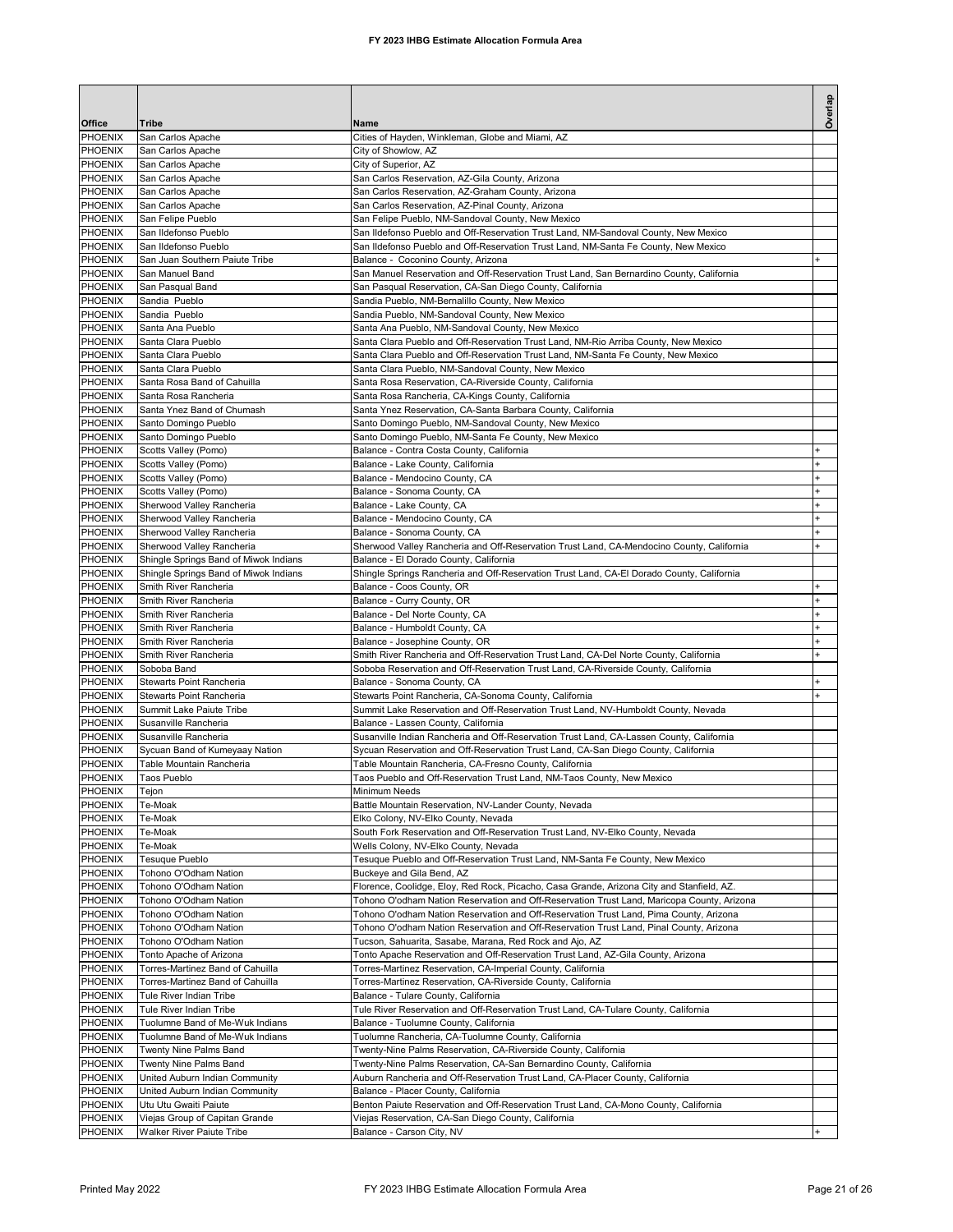| Office             | Tribe                                                     | Name                                                                                                                                                                     | Overlap                                       |
|--------------------|-----------------------------------------------------------|--------------------------------------------------------------------------------------------------------------------------------------------------------------------------|-----------------------------------------------|
| PHOENIX            | San Carlos Apache                                         | Cities of Hayden, Winkleman, Globe and Miami, AZ                                                                                                                         |                                               |
| PHOENIX            | San Carlos Apache                                         | City of Showlow, AZ                                                                                                                                                      |                                               |
| PHOENIX            | San Carlos Apache                                         | City of Superior, AZ                                                                                                                                                     |                                               |
| PHOENIX            | San Carlos Apache                                         | San Carlos Reservation, AZ-Gila County, Arizona                                                                                                                          |                                               |
| PHOENIX            | San Carlos Apache                                         | San Carlos Reservation, AZ-Graham County, Arizona                                                                                                                        |                                               |
| PHOENIX            | San Carlos Apache                                         | San Carlos Reservation, AZ-Pinal County, Arizona                                                                                                                         |                                               |
| PHOENIX<br>PHOENIX | San Felipe Pueblo<br>San Ildefonso Pueblo                 | San Felipe Pueblo, NM-Sandoval County, New Mexico<br>San Ildefonso Pueblo and Off-Reservation Trust Land, NM-Sandoval County, New Mexico                                 |                                               |
| PHOENIX            | San Ildefonso Pueblo                                      | San Ildefonso Pueblo and Off-Reservation Trust Land, NM-Santa Fe County, New Mexico                                                                                      |                                               |
| PHOENIX            | San Juan Southern Paiute Tribe                            | Balance - Coconino County, Arizona                                                                                                                                       |                                               |
| PHOENIX            | San Manuel Band                                           | San Manuel Reservation and Off-Reservation Trust Land, San Bernardino County, California                                                                                 |                                               |
| PHOENIX            | San Pasqual Band                                          | San Pasqual Reservation, CA-San Diego County, California                                                                                                                 |                                               |
| PHOENIX            | Sandia Pueblo                                             | Sandia Pueblo, NM-Bernalillo County, New Mexico                                                                                                                          |                                               |
| PHOENIX            | Sandia Pueblo                                             | Sandia Pueblo, NM-Sandoval County, New Mexico                                                                                                                            |                                               |
| PHOENIX            | Santa Ana Pueblo                                          | Santa Ana Pueblo, NM-Sandoval County, New Mexico                                                                                                                         |                                               |
| PHOENIX<br>PHOENIX | Santa Clara Pueblo<br>Santa Clara Pueblo                  | Santa Clara Pueblo and Off-Reservation Trust Land, NM-Rio Arriba County, New Mexico<br>Santa Clara Pueblo and Off-Reservation Trust Land, NM-Santa Fe County, New Mexico |                                               |
| PHOENIX            | Santa Clara Pueblo                                        | Santa Clara Pueblo, NM-Sandoval County, New Mexico                                                                                                                       |                                               |
| PHOENIX            | Santa Rosa Band of Cahuilla                               | Santa Rosa Reservation, CA-Riverside County, California                                                                                                                  |                                               |
| PHOENIX            | Santa Rosa Rancheria                                      | Santa Rosa Rancheria, CA-Kings County, California                                                                                                                        |                                               |
| PHOENIX            | Santa Ynez Band of Chumash                                | Santa Ynez Reservation, CA-Santa Barbara County, California                                                                                                              |                                               |
| PHOENIX            | Santo Domingo Pueblo                                      | Santo Domingo Pueblo, NM-Sandoval County, New Mexico                                                                                                                     |                                               |
| PHOENIX            | Santo Domingo Pueblo                                      | Santo Domingo Pueblo, NM-Santa Fe County, New Mexico                                                                                                                     |                                               |
| PHOENIX            | Scotts Valley (Pomo)                                      | Balance - Contra Costa County, California                                                                                                                                | $\pmb{+}$                                     |
| PHOENIX<br>PHOENIX | Scotts Valley (Pomo)<br>Scotts Valley (Pomo)              | Balance - Lake County, California<br>Balance - Mendocino County, CA                                                                                                      | $\ddot{}$<br>$\ddot{}$                        |
| PHOENIX            | Scotts Valley (Pomo)                                      | Balance - Sonoma County, CA                                                                                                                                              | $\ddot{}$                                     |
| PHOENIX            | Sherwood Valley Rancheria                                 | Balance - Lake County, CA                                                                                                                                                |                                               |
| PHOENIX            | Sherwood Valley Rancheria                                 | Balance - Mendocino County, CA                                                                                                                                           |                                               |
| PHOENIX            | Sherwood Valley Rancheria                                 | Balance - Sonoma County, CA                                                                                                                                              |                                               |
| PHOENIX            | Sherwood Valley Rancheria                                 | Sherwood Valley Rancheria and Off-Reservation Trust Land, CA-Mendocino County, California                                                                                | $\ddot{}$                                     |
| PHOENIX            | Shingle Springs Band of Miwok Indians                     | Balance - El Dorado County, California                                                                                                                                   |                                               |
| PHOENIX            | Shingle Springs Band of Miwok Indians                     | Shingle Springs Rancheria and Off-Reservation Trust Land, CA-El Dorado County, California                                                                                |                                               |
| PHOENIX            | Smith River Rancheria                                     | Balance - Coos County, OR                                                                                                                                                | $\ddot{}$                                     |
| PHOENIX            | Smith River Rancheria                                     | Balance - Curry County, OR                                                                                                                                               |                                               |
| PHOENIX<br>PHOENIX | Smith River Rancheria<br>Smith River Rancheria            | Balance - Del Norte County, CA<br>Balance - Humboldt County, CA                                                                                                          | $\ddot{}$<br>$\begin{array}{c} + \end{array}$ |
| PHOENIX            | Smith River Rancheria                                     | Balance - Josephine County, OR                                                                                                                                           | $\ddot{}$                                     |
| PHOENIX            | Smith River Rancheria                                     | Smith River Rancheria and Off-Reservation Trust Land, CA-Del Norte County, California                                                                                    | $\ddot{}$                                     |
| PHOENIX            | Soboba Band                                               | Soboba Reservation and Off-Reservation Trust Land, CA-Riverside County, California                                                                                       |                                               |
| PHOENIX            | Stewarts Point Rancheria                                  | Balance - Sonoma County, CA                                                                                                                                              |                                               |
| PHOENIX            | Stewarts Point Rancheria                                  | Stewarts Point Rancheria, CA-Sonoma County, California                                                                                                                   |                                               |
| PHOENIX            | Summit Lake Paiute Tribe                                  | Summit Lake Reservation and Off-Reservation Trust Land, NV-Humboldt County, Nevada                                                                                       |                                               |
| PHOENIX            | Susanville Rancheria                                      | Balance - Lassen County, California                                                                                                                                      |                                               |
| PHOENIX            | Susanville Rancheria                                      | Susanville Indian Rancheria and Off-Reservation Trust Land, CA-Lassen County, California                                                                                 |                                               |
| PHOENIX<br>PHOENIX | Sycuan Band of Kumeyaay Nation                            | Sycuan Reservation and Off-Reservation Trust Land, CA-San Diego County, California                                                                                       |                                               |
| PHOENIX            | Table Mountain Rancheria<br>Taos Pueblo                   | Table Mountain Rancheria, CA-Fresno County, California<br>Taos Pueblo and Off-Reservation Trust Land, NM-Taos County, New Mexico                                         |                                               |
| PHOENIX            | Tejon                                                     | Minimum Needs                                                                                                                                                            |                                               |
| PHOENIX            | Te-Moak                                                   | Battle Mountain Reservation, NV-Lander County, Nevada                                                                                                                    |                                               |
| PHOENIX            | Te-Moak                                                   | Elko Colony, NV-Elko County, Nevada                                                                                                                                      |                                               |
| PHOENIX            | Te-Moak                                                   | South Fork Reservation and Off-Reservation Trust Land, NV-Elko County, Nevada                                                                                            |                                               |
| PHOENIX            | Te-Moak                                                   | Wells Colony, NV-Elko County, Nevada                                                                                                                                     |                                               |
| PHOENIX            | Tesuque Pueblo                                            | Tesuque Pueblo and Off-Reservation Trust Land, NM-Santa Fe County, New Mexico                                                                                            |                                               |
| PHOENIX            | Tohono O'Odham Nation                                     | Buckeye and Gila Bend, AZ<br>Florence, Coolidge, Eloy, Red Rock, Picacho, Casa Grande, Arizona City and Stanfield, AZ.                                                   |                                               |
| PHOENIX<br>PHOENIX | Tohono O'Odham Nation<br>Tohono O'Odham Nation            | Tohono O'odham Nation Reservation and Off-Reservation Trust Land, Maricopa County, Arizona                                                                               |                                               |
| PHOENIX            | Tohono O'Odham Nation                                     | Tohono O'odham Nation Reservation and Off-Reservation Trust Land, Pima County, Arizona                                                                                   |                                               |
| PHOENIX            | Tohono O'Odham Nation                                     | Tohono O'odham Nation Reservation and Off-Reservation Trust Land, Pinal County, Arizona                                                                                  |                                               |
| PHOENIX            | Tohono O'Odham Nation                                     | Tucson, Sahuarita, Sasabe, Marana, Red Rock and Ajo, AZ                                                                                                                  |                                               |
| PHOENIX            | Tonto Apache of Arizona                                   | Tonto Apache Reservation and Off-Reservation Trust Land, AZ-Gila County, Arizona                                                                                         |                                               |
| PHOENIX            | Torres-Martinez Band of Cahuilla                          | Torres-Martinez Reservation, CA-Imperial County, California                                                                                                              |                                               |
| PHOENIX            | Torres-Martinez Band of Cahuilla                          | Torres-Martinez Reservation, CA-Riverside County, California                                                                                                             |                                               |
| PHOENIX            | Tule River Indian Tribe                                   | Balance - Tulare County, California                                                                                                                                      |                                               |
| PHOENIX            | Tule River Indian Tribe                                   | Tule River Reservation and Off-Reservation Trust Land, CA-Tulare County, California                                                                                      |                                               |
| PHOENIX<br>PHOENIX | Tuolumne Band of Me-Wuk Indians                           | Balance - Tuolumne County, California                                                                                                                                    |                                               |
| PHOENIX            | Tuolumne Band of Me-Wuk Indians<br>Twenty Nine Palms Band | Tuolumne Rancheria, CA-Tuolumne County, California<br>Twenty-Nine Palms Reservation, CA-Riverside County, California                                                     |                                               |
| PHOENIX            | Twenty Nine Palms Band                                    | Twenty-Nine Palms Reservation, CA-San Bernardino County, California                                                                                                      |                                               |
| PHOENIX            | United Auburn Indian Community                            | Auburn Rancheria and Off-Reservation Trust Land, CA-Placer County, California                                                                                            |                                               |
| PHOENIX            | United Auburn Indian Community                            | Balance - Placer County, California                                                                                                                                      |                                               |
| PHOENIX            | Utu Utu Gwaiti Paiute                                     | Benton Paiute Reservation and Off-Reservation Trust Land, CA-Mono County, California                                                                                     |                                               |
| PHOENIX            | Viejas Group of Capitan Grande                            | Viejas Reservation, CA-San Diego County, California                                                                                                                      |                                               |
| PHOENIX            | Walker River Paiute Tribe                                 | Balance - Carson City, NV                                                                                                                                                | $+$                                           |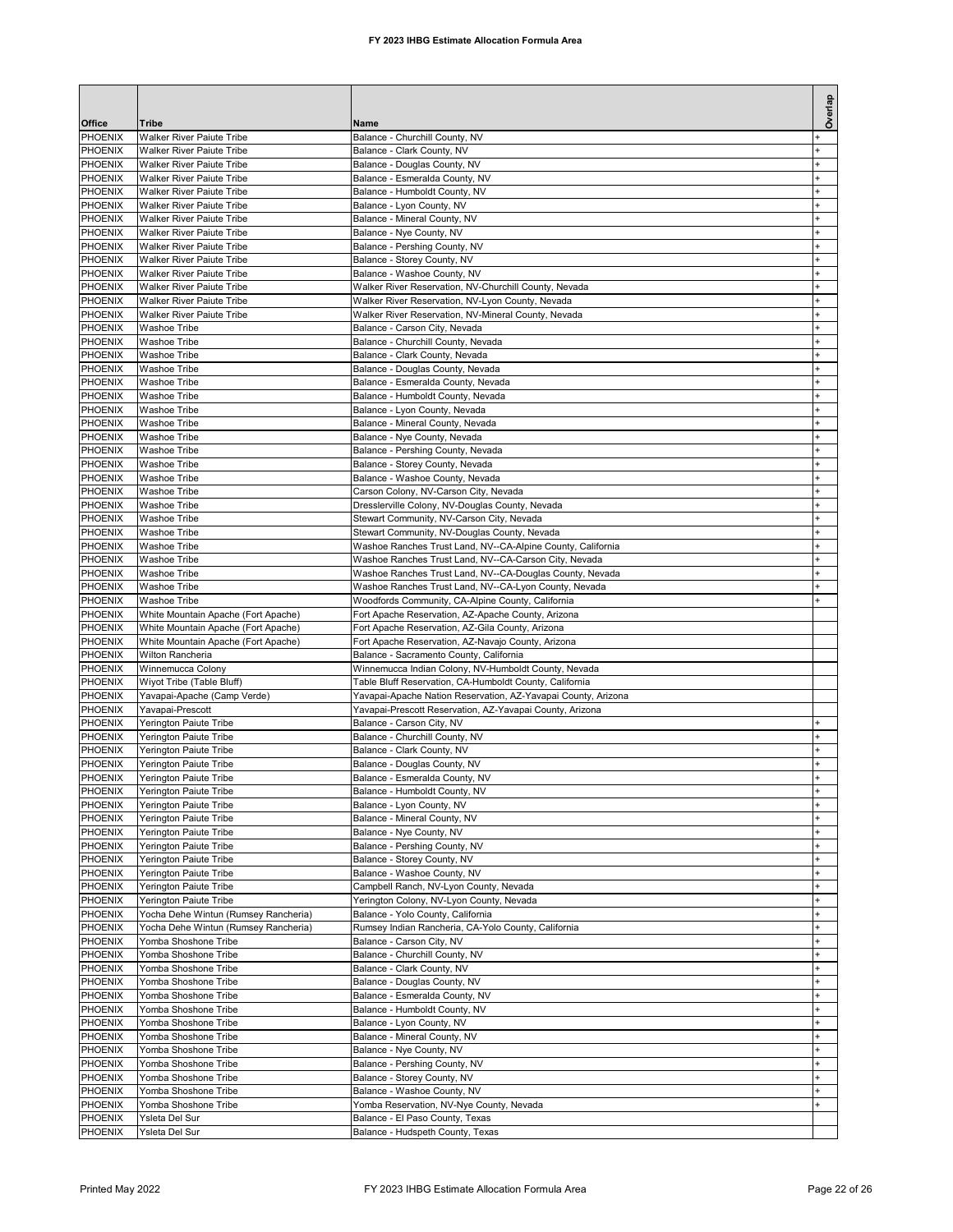| Office                    | Tribe                                                                | Name                                                                                                       | Overlap                |
|---------------------------|----------------------------------------------------------------------|------------------------------------------------------------------------------------------------------------|------------------------|
| PHOENIX                   | <b>Walker River Paiute Tribe</b>                                     | Balance - Churchill County, NV                                                                             |                        |
| <b>PHOENIX</b>            | <b>Walker River Paiute Tribe</b>                                     | Balance - Clark County, NV                                                                                 |                        |
| PHOENIX<br>PHOENIX        | <b>Walker River Paiute Tribe</b><br><b>Walker River Paiute Tribe</b> | Balance - Douglas County, NV<br>Balance - Esmeralda County, NV                                             |                        |
| PHOENIX                   | <b>Walker River Paiute Tribe</b>                                     | Balance - Humboldt County, NV                                                                              |                        |
| PHOENIX                   | <b>Walker River Paiute Tribe</b>                                     | Balance - Lyon County, NV                                                                                  |                        |
| PHOENIX                   | <b>Walker River Paiute Tribe</b>                                     | Balance - Mineral County, NV                                                                               |                        |
| PHOENIX<br>PHOENIX        | Walker River Paiute Tribe<br>Walker River Paiute Tribe               | Balance - Nye County, NV<br>Balance - Pershing County, NV                                                  |                        |
| PHOENIX                   | <b>Walker River Paiute Tribe</b>                                     | Balance - Storey County, NV                                                                                | $\ddot{}$              |
| PHOENIX                   | <b>Walker River Paiute Tribe</b>                                     | Balance - Washoe County, NV                                                                                |                        |
| PHOENIX                   | <b>Walker River Paiute Tribe</b>                                     | Walker River Reservation, NV-Churchill County, Nevada                                                      |                        |
| PHOENIX<br>PHOENIX        | <b>Walker River Paiute Tribe</b><br><b>Walker River Paiute Tribe</b> | Walker River Reservation, NV-Lyon County, Nevada<br>Walker River Reservation, NV-Mineral County, Nevada    |                        |
| PHOENIX                   | <b>Washoe Tribe</b>                                                  | Balance - Carson City, Nevada                                                                              |                        |
| PHOENIX                   | <b>Washoe Tribe</b>                                                  | Balance - Churchill County, Nevada                                                                         | $\ddot{}$              |
| PHOENIX                   | <b>Washoe Tribe</b>                                                  | Balance - Clark County, Nevada                                                                             | $\ddot{}$              |
| PHOENIX<br>PHOENIX        | <b>Washoe Tribe</b><br><b>Washoe Tribe</b>                           | Balance - Douglas County, Nevada                                                                           | $\ddot{}$<br>$\ddot{}$ |
| PHOENIX                   | <b>Washoe Tribe</b>                                                  | Balance - Esmeralda County, Nevada<br>Balance - Humboldt County, Nevada                                    | $\ddot{}$              |
| PHOENIX                   | <b>Washoe Tribe</b>                                                  | Balance - Lyon County, Nevada                                                                              | $\ddot{}$              |
| PHOENIX                   | <b>Washoe Tribe</b>                                                  | Balance - Mineral County, Nevada                                                                           | $\ddot{}$              |
| PHOENIX                   | <b>Washoe Tribe</b>                                                  | Balance - Nye County, Nevada                                                                               |                        |
| PHOENIX<br>PHOENIX        | <b>Washoe Tribe</b><br><b>Washoe Tribe</b>                           | Balance - Pershing County, Nevada<br>Balance - Storey County, Nevada                                       |                        |
| PHOENIX                   | <b>Washoe Tribe</b>                                                  | Balance - Washoe County, Nevada                                                                            |                        |
| PHOENIX                   | Washoe Tribe                                                         | Carson Colony, NV-Carson City, Nevada                                                                      |                        |
| PHOENIX                   | <b>Washoe Tribe</b>                                                  | Dresslerville Colony, NV-Douglas County, Nevada                                                            |                        |
| PHOENIX<br>PHOENIX        | <b>Washoe Tribe</b><br><b>Washoe Tribe</b>                           | Stewart Community, NV-Carson City, Nevada<br>Stewart Community, NV-Douglas County, Nevada                  |                        |
| PHOENIX                   | <b>Washoe Tribe</b>                                                  | Washoe Ranches Trust Land, NV--CA-Alpine County, California                                                | $\ddot{}$              |
| PHOENIX                   | <b>Washoe Tribe</b>                                                  | Washoe Ranches Trust Land, NV--CA-Carson City, Nevada                                                      |                        |
| PHOENIX                   | <b>Washoe Tribe</b>                                                  | Washoe Ranches Trust Land, NV--CA-Douglas County, Nevada                                                   |                        |
| PHOENIX<br>PHOENIX        | <b>Washoe Tribe</b><br><b>Washoe Tribe</b>                           | Washoe Ranches Trust Land, NV--CA-Lyon County, Nevada<br>Woodfords Community, CA-Alpine County, California |                        |
| PHOENIX                   | White Mountain Apache (Fort Apache)                                  | Fort Apache Reservation, AZ-Apache County, Arizona                                                         |                        |
| PHOENIX                   | White Mountain Apache (Fort Apache)                                  | Fort Apache Reservation, AZ-Gila County, Arizona                                                           |                        |
| PHOENIX                   | White Mountain Apache (Fort Apache)                                  | Fort Apache Reservation, AZ-Navajo County, Arizona                                                         |                        |
| PHOENIX<br>PHOENIX        | Wilton Rancheria<br>Winnemucca Colony                                | Balance - Sacramento County, California<br>Winnemucca Indian Colony, NV-Humboldt County, Nevada            |                        |
| PHOENIX                   | Wiyot Tribe (Table Bluff)                                            | Table Bluff Reservation, CA-Humboldt County, California                                                    |                        |
| <b>PHOENIX</b>            | Yavapai-Apache (Camp Verde)                                          | Yavapai-Apache Nation Reservation, AZ-Yavapai County, Arizona                                              |                        |
| PHOENIX                   | Yavapai-Prescott                                                     | Yavapai-Prescott Reservation, AZ-Yavapai County, Arizona                                                   |                        |
| <b>PHOENIX</b><br>PHOENIX | Yerington Paiute Tribe<br>Yerington Paiute Tribe                     | Balance - Carson City, NV<br>Balance - Churchill County, NV                                                | $\ddot{}$<br>$\ddot{}$ |
| PHOENIX                   | Yerington Paiute Tribe                                               | Balance - Clark County, NV                                                                                 |                        |
| PHOENIX                   | Yerington Paiute Tribe                                               | Balance - Douglas County, NV                                                                               | $\ddot{}$              |
| PHOENIX                   | Yerington Paiute Tribe                                               | Balance - Esmeralda County, NV                                                                             |                        |
| PHOENIX<br>PHOENIX        | <b>Yerington Paiute Tribe</b><br><b>Yerington Paiute Tribe</b>       | Balance - Humboldt County, NV                                                                              | +<br>$\ddot{}$         |
| PHOENIX                   | Yerington Paiute Tribe                                               | Balance - Lyon County, NV<br>Balance - Mineral County, NV                                                  |                        |
| PHOENIX                   | Yerington Paiute Tribe                                               | Balance - Nye County, NV                                                                                   |                        |
| PHOENIX                   | Yerington Paiute Tribe                                               | Balance - Pershing County, NV                                                                              |                        |
| PHOENIX                   | Yerington Paiute Tribe                                               | Balance - Storey County, NV<br>Balance - Washoe County, NV                                                 | $\ddot{}$              |
| PHOENIX<br>PHOENIX        | Yerington Paiute Tribe<br>Yerington Paiute Tribe                     | Campbell Ranch, NV-Lyon County, Nevada                                                                     | $\ddot{}$              |
| PHOENIX                   | Yerington Paiute Tribe                                               | Yerington Colony, NV-Lyon County, Nevada                                                                   | $\ddot{}$              |
| PHOENIX                   | Yocha Dehe Wintun (Rumsey Rancheria)                                 | Balance - Yolo County, California                                                                          |                        |
| PHOENIX                   | Yocha Dehe Wintun (Rumsey Rancheria)<br>Yomba Shoshone Tribe         | Rumsey Indian Rancheria, CA-Yolo County, California                                                        |                        |
| PHOENIX<br>PHOENIX        | Yomba Shoshone Tribe                                                 | Balance - Carson City, NV<br>Balance - Churchill County, NV                                                |                        |
| PHOENIX                   | Yomba Shoshone Tribe                                                 | Balance - Clark County, NV                                                                                 |                        |
| PHOENIX                   | Yomba Shoshone Tribe                                                 | Balance - Douglas County, NV                                                                               |                        |
| PHOENIX                   | Yomba Shoshone Tribe                                                 | Balance - Esmeralda County, NV                                                                             |                        |
| PHOENIX<br>PHOENIX        | Yomba Shoshone Tribe<br>Yomba Shoshone Tribe                         | Balance - Humboldt County, NV<br>Balance - Lyon County, NV                                                 |                        |
| PHOENIX                   | Yomba Shoshone Tribe                                                 | Balance - Mineral County, NV                                                                               | $\ddot{}$              |
| PHOENIX                   | Yomba Shoshone Tribe                                                 | Balance - Nye County, NV                                                                                   |                        |
| PHOENIX                   | Yomba Shoshone Tribe                                                 | Balance - Pershing County, NV                                                                              | $\ddot{}$              |
| PHOENIX<br>PHOENIX        | Yomba Shoshone Tribe<br>Yomba Shoshone Tribe                         | Balance - Storey County, NV<br>Balance - Washoe County, NV                                                 | $\ddot{}$              |
| PHOENIX                   | Yomba Shoshone Tribe                                                 | Yomba Reservation, NV-Nye County, Nevada                                                                   | $\ddot{}$              |
| PHOENIX                   | Ysleta Del Sur                                                       | Balance - El Paso County, Texas                                                                            |                        |
| PHOENIX                   | Ysleta Del Sur                                                       | Balance - Hudspeth County, Texas                                                                           |                        |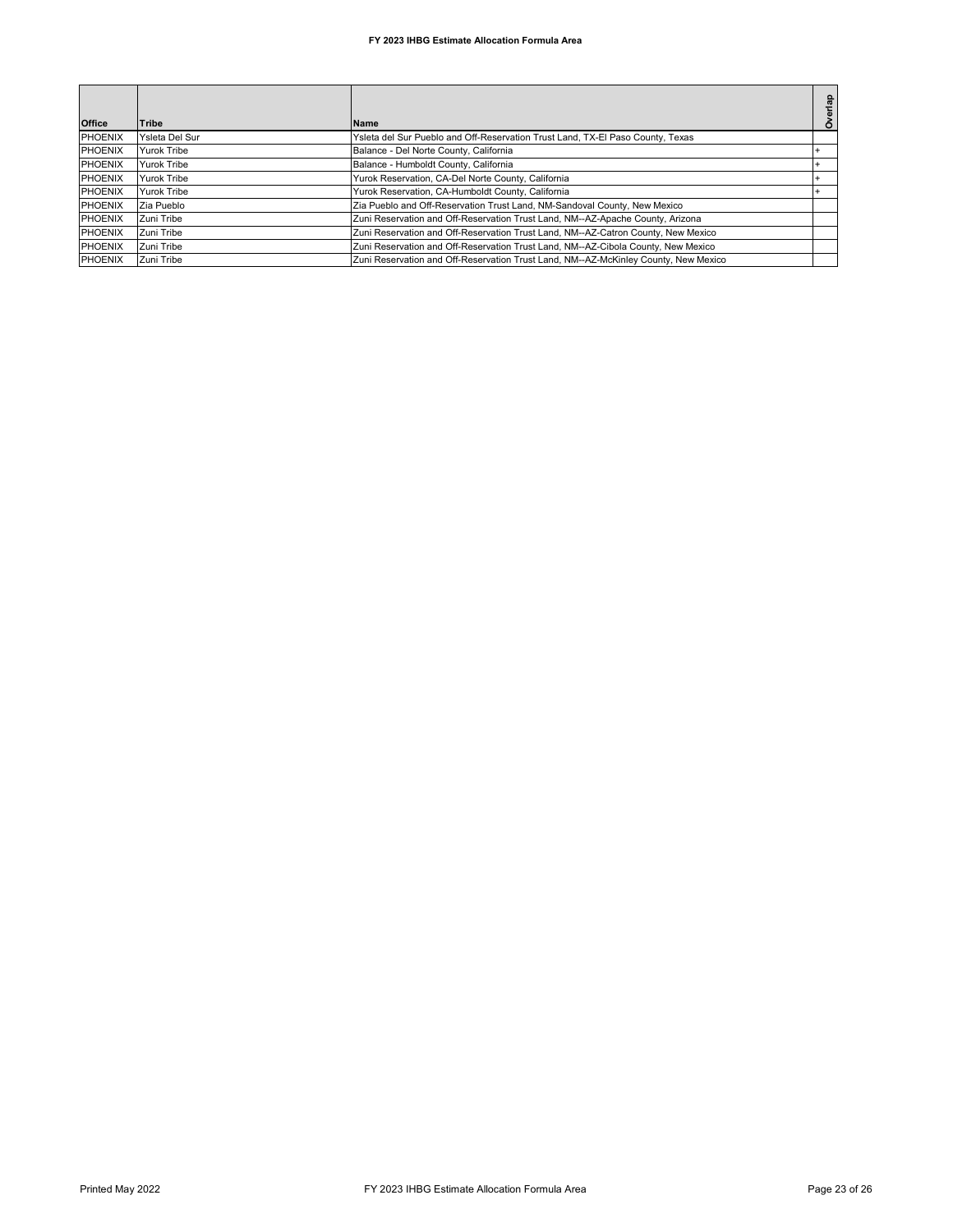## **FY 2023 IHBG Estimate Allocation Formula Area**

|                |                    |                                                                                     | verlap |
|----------------|--------------------|-------------------------------------------------------------------------------------|--------|
| <b>Office</b>  | <b>Tribe</b>       | <b>Name</b>                                                                         |        |
| <b>PHOENIX</b> | Ysleta Del Sur     | Ysleta del Sur Pueblo and Off-Reservation Trust Land, TX-El Paso County, Texas      |        |
| <b>PHOENIX</b> | <b>Yurok Tribe</b> | Balance - Del Norte County, California                                              |        |
| <b>PHOENIX</b> | <b>Yurok Tribe</b> | Balance - Humboldt County, California                                               |        |
| <b>PHOENIX</b> | <b>Yurok Tribe</b> | Yurok Reservation, CA-Del Norte County, California                                  |        |
| <b>PHOENIX</b> | Yurok Tribe        | Yurok Reservation, CA-Humboldt County, California                                   |        |
| <b>PHOENIX</b> | Zia Pueblo         | Zia Pueblo and Off-Reservation Trust Land, NM-Sandoval County, New Mexico           |        |
| PHOENIX        | Zuni Tribe         | Zuni Reservation and Off-Reservation Trust Land, NM--AZ-Apache County, Arizona      |        |
| <b>PHOENIX</b> | Zuni Tribe         | Zuni Reservation and Off-Reservation Trust Land, NM--AZ-Catron County, New Mexico   |        |
| <b>PHOENIX</b> | Zuni Tribe         | Zuni Reservation and Off-Reservation Trust Land, NM--AZ-Cibola County, New Mexico   |        |
| PHOENIX        | Zuni Tribe         | Zuni Reservation and Off-Reservation Trust Land, NM--AZ-McKinley County, New Mexico |        |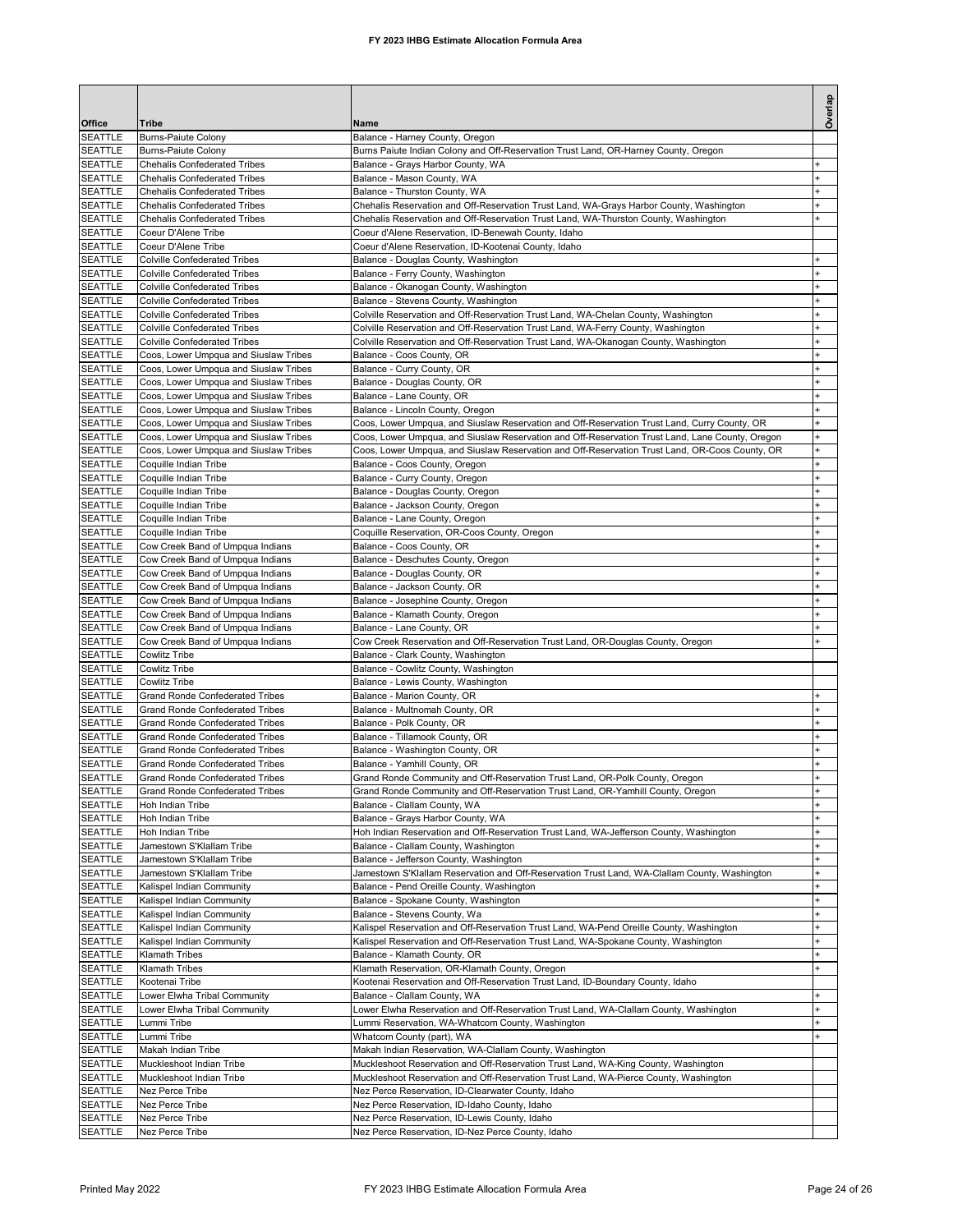| Office                           | <b>Tribe</b>                                                                     | Name                                                                                                                                                                                              | Overlap                          |
|----------------------------------|----------------------------------------------------------------------------------|---------------------------------------------------------------------------------------------------------------------------------------------------------------------------------------------------|----------------------------------|
| <b>SEATTLE</b>                   | <b>Burns-Paiute Colony</b>                                                       | Balance - Harney County, Oregon                                                                                                                                                                   |                                  |
| <b>SEATTLE</b>                   | <b>Burns-Paiute Colony</b>                                                       | Burns Paiute Indian Colony and Off-Reservation Trust Land, OR-Harney County, Oregon                                                                                                               |                                  |
| <b>SEATTLE</b>                   | <b>Chehalis Confederated Tribes</b><br><b>Chehalis Confederated Tribes</b>       | Balance - Grays Harbor County, WA<br>Balance - Mason County, WA                                                                                                                                   | $\ddot{}$                        |
| <b>SEATTLE</b><br>SEATTLE        | <b>Chehalis Confederated Tribes</b>                                              | Balance - Thurston County, WA                                                                                                                                                                     | $\ddot{}$                        |
| <b>SEATTLE</b>                   | <b>Chehalis Confederated Tribes</b>                                              | Chehalis Reservation and Off-Reservation Trust Land, WA-Grays Harbor County, Washington                                                                                                           | $\ddot{}$                        |
| <b>SEATTLE</b>                   | <b>Chehalis Confederated Tribes</b>                                              | Chehalis Reservation and Off-Reservation Trust Land, WA-Thurston County, Washington                                                                                                               | $\ddot{}$                        |
| <b>SEATTLE</b>                   | Coeur D'Alene Tribe                                                              | Coeur d'Alene Reservation, ID-Benewah County, Idaho                                                                                                                                               |                                  |
| <b>SEATTLE</b><br><b>SEATTLE</b> | Coeur D'Alene Tribe                                                              | Coeur d'Alene Reservation, ID-Kootenai County, Idaho                                                                                                                                              |                                  |
| <b>SEATTLE</b>                   | <b>Colville Confederated Tribes</b><br><b>Colville Confederated Tribes</b>       | Balance - Douglas County, Washington<br>Balance - Ferry County, Washington                                                                                                                        | $\ddot{}$                        |
| <b>SEATTLE</b>                   | <b>Colville Confederated Tribes</b>                                              | Balance - Okanogan County, Washington                                                                                                                                                             |                                  |
| <b>SEATTLE</b>                   | <b>Colville Confederated Tribes</b>                                              | Balance - Stevens County, Washington                                                                                                                                                              |                                  |
| <b>SEATTLE</b>                   | <b>Colville Confederated Tribes</b>                                              | Colville Reservation and Off-Reservation Trust Land, WA-Chelan County, Washington                                                                                                                 |                                  |
| <b>SEATTLE</b>                   | <b>Colville Confederated Tribes</b>                                              | Colville Reservation and Off-Reservation Trust Land, WA-Ferry County, Washington                                                                                                                  | $\ddot{}$                        |
| <b>SEATTLE</b><br><b>SEATTLE</b> | <b>Colville Confederated Tribes</b><br>Coos, Lower Umpqua and Siuslaw Tribes     | Colville Reservation and Off-Reservation Trust Land, WA-Okanogan County, Washington<br>Balance - Coos County, OR                                                                                  |                                  |
| <b>SEATTLE</b>                   | Coos, Lower Umpqua and Siuslaw Tribes                                            | Balance - Curry County, OR                                                                                                                                                                        | $\ddot{}$                        |
| <b>SEATTLE</b>                   | Coos, Lower Umpqua and Siuslaw Tribes                                            | Balance - Douglas County, OR                                                                                                                                                                      | ÷                                |
| <b>SEATTLE</b>                   | Coos, Lower Umpqua and Siuslaw Tribes                                            | Balance - Lane County, OR                                                                                                                                                                         | $\ddot{}$                        |
| <b>SEATTLE</b>                   | Coos, Lower Umpqua and Siuslaw Tribes                                            | Balance - Lincoln County, Oregon                                                                                                                                                                  | $\ddot{}$                        |
| SEATTLE<br><b>SEATTLE</b>        | Coos, Lower Umpqua and Siuslaw Tribes                                            | Coos, Lower Umpqua, and Siuslaw Reservation and Off-Reservation Trust Land, Curry County, OR                                                                                                      | $\ddot{}$                        |
| <b>SEATTLE</b>                   | Coos, Lower Umpqua and Siuslaw Tribes<br>Coos, Lower Umpqua and Siuslaw Tribes   | Coos, Lower Umpqua, and Siuslaw Reservation and Off-Reservation Trust Land, Lane County, Oregon<br>Coos, Lower Umpqua, and Siuslaw Reservation and Off-Reservation Trust Land, OR-Coos County, OR | $\ddot{}$                        |
| <b>SEATTLE</b>                   | Coquille Indian Tribe                                                            | Balance - Coos County, Oregon                                                                                                                                                                     |                                  |
| <b>SEATTLE</b>                   | Coquille Indian Tribe                                                            | Balance - Curry County, Oregon                                                                                                                                                                    |                                  |
| <b>SEATTLE</b>                   | Coquille Indian Tribe                                                            | Balance - Douglas County, Oregon                                                                                                                                                                  | $\ddot{}$                        |
| <b>SEATTLE</b>                   | Coquille Indian Tribe                                                            | Balance - Jackson County, Oregon                                                                                                                                                                  | $\ddot{}$                        |
| <b>SEATTLE</b>                   | Coquille Indian Tribe                                                            | Balance - Lane County, Oregon                                                                                                                                                                     | $\ddot{}$<br>$\ddot{}$           |
| <b>SEATTLE</b><br>SEATTLE        | Coquille Indian Tribe<br>Cow Creek Band of Umpqua Indians                        | Coquille Reservation, OR-Coos County, Oregon<br>Balance - Coos County, OR                                                                                                                         | $\ddot{}$                        |
| <b>SEATTLE</b>                   | Cow Creek Band of Umpqua Indians                                                 | Balance - Deschutes County, Oregon                                                                                                                                                                | $\ddot{}$                        |
| <b>SEATTLE</b>                   | Cow Creek Band of Umpqua Indians                                                 | Balance - Douglas County, OR                                                                                                                                                                      | $\begin{array}{c} + \end{array}$ |
| <b>SEATTLE</b>                   | Cow Creek Band of Umpqua Indians                                                 | Balance - Jackson County, OR                                                                                                                                                                      | $\ddot{}$                        |
| SEATTLE                          | Cow Creek Band of Umpqua Indians                                                 | Balance - Josephine County, Oregon                                                                                                                                                                |                                  |
| <b>SEATTLE</b><br><b>SEATTLE</b> | Cow Creek Band of Umpqua Indians<br>Cow Creek Band of Umpqua Indians             | Balance - Klamath County, Oregon<br>Balance - Lane County, OR                                                                                                                                     |                                  |
| <b>SEATTLE</b>                   | Cow Creek Band of Umpqua Indians                                                 | Cow Creek Reservation and Off-Reservation Trust Land, OR-Douglas County, Oregon                                                                                                                   |                                  |
| <b>SEATTLE</b>                   | <b>Cowlitz Tribe</b>                                                             | Balance - Clark County, Washington                                                                                                                                                                |                                  |
| <b>SEATTLE</b>                   | <b>Cowlitz Tribe</b>                                                             | Balance - Cowlitz County, Washington                                                                                                                                                              |                                  |
| <b>SEATTLE</b>                   | <b>Cowlitz Tribe</b>                                                             | Balance - Lewis County, Washington                                                                                                                                                                |                                  |
| <b>SEATTLE</b><br><b>SEATTLE</b> | <b>Grand Ronde Confederated Tribes</b><br><b>Grand Ronde Confederated Tribes</b> | Balance - Marion County, OR<br>Balance - Multnomah County, OR                                                                                                                                     | $\ddot{}$                        |
| SEATTLE                          | <b>Grand Ronde Confederated Tribes</b>                                           | Balance - Polk County, OR                                                                                                                                                                         | $\ddot{}$                        |
| <b>SEATTLE</b>                   | <b>Grand Ronde Confederated Tribes</b>                                           | Balance - Tillamook County, OR                                                                                                                                                                    | $\ddot{}$                        |
| <b>SEATTLE</b>                   | <b>Grand Ronde Confederated Tribes</b>                                           | Balance - Washington County, OR                                                                                                                                                                   | $\begin{array}{c} + \end{array}$ |
| SEATTLE                          | <b>Grand Ronde Confederated Tribes</b>                                           | Balance - Yamhill County, OR                                                                                                                                                                      | $\ddot{}$                        |
| <b>SEATTLE</b>                   | <b>Grand Ronde Confederated Tribes</b>                                           | Grand Ronde Community and Off-Reservation Trust Land, OR-Polk County, Oregon                                                                                                                      |                                  |
| SEATTLE<br><b>SEATTLE</b>        | Grand Ronde Confederated Tribes<br>Hoh Indian Tribe                              | Grand Ronde Community and Off-Reservation Trust Land, OR-Yamhill County, Oregon<br>Balance - Clallam County, WA                                                                                   | $\begin{array}{c} + \end{array}$ |
| SEATTLE                          | Hoh Indian Tribe                                                                 | Balance - Grays Harbor County, WA                                                                                                                                                                 | $\ddot{}$                        |
| <b>SEATTLE</b>                   | Hoh Indian Tribe                                                                 | Hoh Indian Reservation and Off-Reservation Trust Land, WA-Jefferson County, Washington                                                                                                            | $\ddot{}$                        |
| <b>SEATTLE</b>                   | Jamestown S'Klallam Tribe                                                        | Balance - Clallam County, Washington                                                                                                                                                              | $\ddot{}$                        |
| <b>SEATTLE</b>                   | Jamestown S'Klallam Tribe                                                        | Balance - Jefferson County, Washington                                                                                                                                                            | $\ddot{}$                        |
| <b>SEATTLE</b><br>SEATTLE        | Jamestown S'Klallam Tribe<br>Kalispel Indian Community                           | Jamestown S'Klallam Reservation and Off-Reservation Trust Land, WA-Clallam County, Washington<br>Balance - Pend Oreille County, Washington                                                        | $\ddot{}$<br>$\ddot{}$           |
| SEATTLE                          | Kalispel Indian Community                                                        | Balance - Spokane County, Washington                                                                                                                                                              | $\ddot{}$                        |
| SEATTLE                          | Kalispel Indian Community                                                        | Balance - Stevens County, Wa                                                                                                                                                                      | $\ddot{}$                        |
| SEATTLE                          | Kalispel Indian Community                                                        | Kalispel Reservation and Off-Reservation Trust Land, WA-Pend Oreille County, Washington                                                                                                           | $\ddot{}$                        |
| <b>SEATTLE</b>                   | Kalispel Indian Community                                                        | Kalispel Reservation and Off-Reservation Trust Land, WA-Spokane County, Washington                                                                                                                | ÷                                |
| <b>SEATTLE</b>                   | <b>Klamath Tribes</b>                                                            | Balance - Klamath County, OR                                                                                                                                                                      |                                  |
| SEATTLE<br><b>SEATTLE</b>        | Klamath Tribes<br>Kootenai Tribe                                                 | Klamath Reservation, OR-Klamath County, Oregon<br>Kootenai Reservation and Off-Reservation Trust Land, ID-Boundary County, Idaho                                                                  |                                  |
| <b>SEATTLE</b>                   | Lower Elwha Tribal Community                                                     | Balance - Clallam County, WA                                                                                                                                                                      |                                  |
| <b>SEATTLE</b>                   | Lower Elwha Tribal Community                                                     | Lower Elwha Reservation and Off-Reservation Trust Land, WA-Clallam County, Washington                                                                                                             | $\ddot{}$                        |
| <b>SEATTLE</b>                   | Lummi Tribe                                                                      | Lummi Reservation, WA-Whatcom County, Washington                                                                                                                                                  | $\ddot{}$                        |
| <b>SEATTLE</b>                   | Lummi Tribe                                                                      | Whatcom County (part), WA                                                                                                                                                                         |                                  |
| SEATTLE                          | Makah Indian Tribe                                                               | Makah Indian Reservation, WA-Clallam County, Washington                                                                                                                                           |                                  |
| <b>SEATTLE</b><br><b>SEATTLE</b> | Muckleshoot Indian Tribe<br>Muckleshoot Indian Tribe                             | Muckleshoot Reservation and Off-Reservation Trust Land, WA-King County, Washington<br>Muckleshoot Reservation and Off-Reservation Trust Land, WA-Pierce County, Washington                        |                                  |
| SEATTLE                          | Nez Perce Tribe                                                                  | Nez Perce Reservation, ID-Clearwater County, Idaho                                                                                                                                                |                                  |
| SEATTLE                          | Nez Perce Tribe                                                                  | Nez Perce Reservation, ID-Idaho County, Idaho                                                                                                                                                     |                                  |
| SEATTLE                          | Nez Perce Tribe                                                                  | Nez Perce Reservation, ID-Lewis County, Idaho                                                                                                                                                     |                                  |
| <b>SEATTLE</b>                   | Nez Perce Tribe                                                                  | Nez Perce Reservation, ID-Nez Perce County, Idaho                                                                                                                                                 |                                  |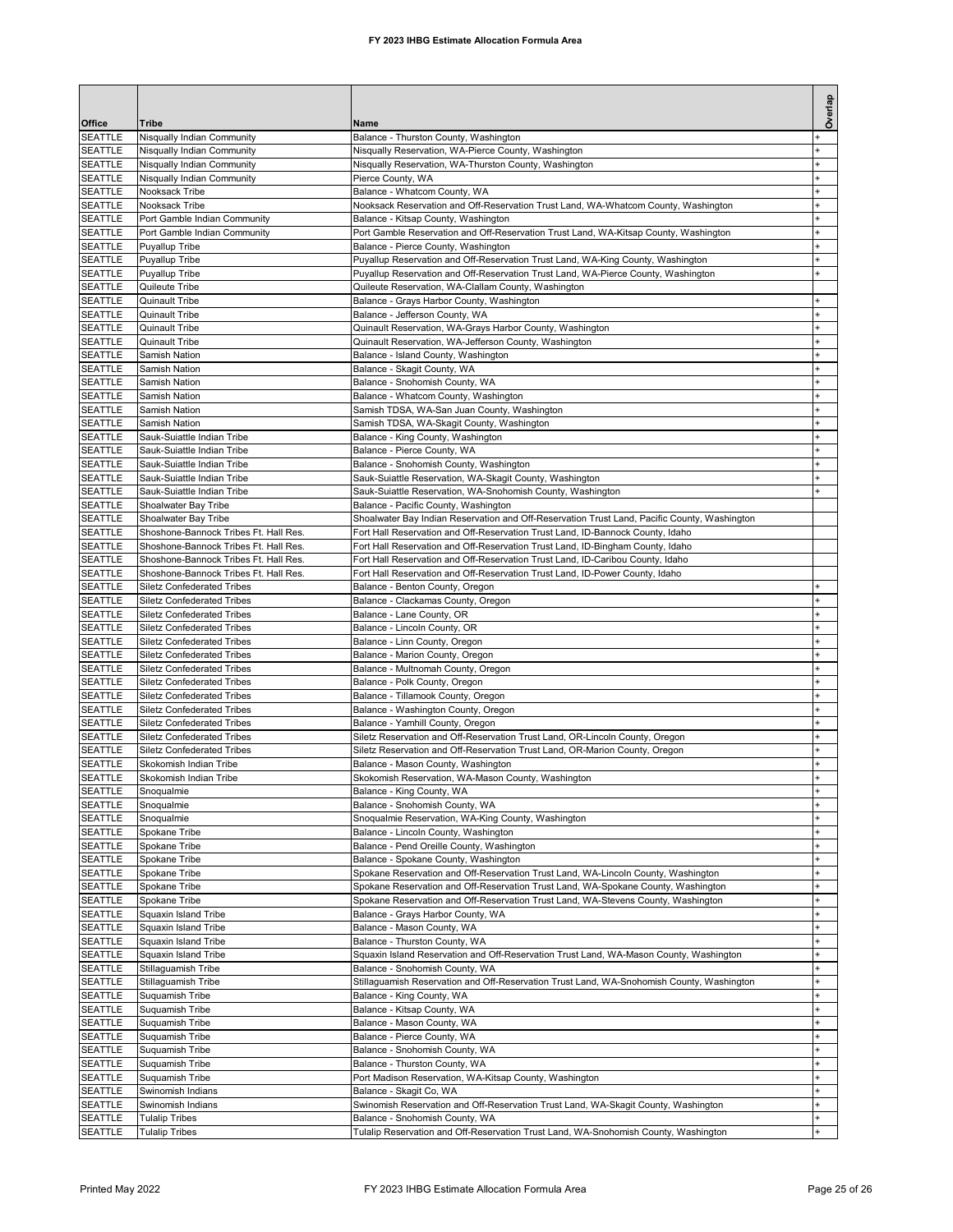|                                  |                                                                        |                                                                                                                                                                                | Overlap                |
|----------------------------------|------------------------------------------------------------------------|--------------------------------------------------------------------------------------------------------------------------------------------------------------------------------|------------------------|
| Office                           | <b>Tribe</b>                                                           | Name                                                                                                                                                                           |                        |
| <b>SEATTLE</b>                   | Nisqually Indian Community                                             | Balance - Thurston County, Washington                                                                                                                                          |                        |
| <b>SEATTLE</b>                   | Nisqually Indian Community                                             | Nisqually Reservation, WA-Pierce County, Washington                                                                                                                            | $\ddot{}$              |
| <b>SEATTLE</b><br><b>SEATTLE</b> | Nisqually Indian Community<br>Nisqually Indian Community               | Nisqually Reservation, WA-Thurston County, Washington<br>Pierce County, WA                                                                                                     | $\ddot{}$<br>$\ddot{}$ |
| <b>SEATTLE</b>                   | Nooksack Tribe                                                         | Balance - Whatcom County, WA                                                                                                                                                   | $\ddot{}$              |
| <b>SEATTLE</b>                   | Nooksack Tribe                                                         | Nooksack Reservation and Off-Reservation Trust Land, WA-Whatcom County, Washington                                                                                             | $\ddot{}$              |
| <b>SEATTLE</b>                   | Port Gamble Indian Community                                           | Balance - Kitsap County, Washington                                                                                                                                            | ÷                      |
| <b>SEATTLE</b><br><b>SEATTLE</b> | Port Gamble Indian Community<br>Puyallup Tribe                         | Port Gamble Reservation and Off-Reservation Trust Land, WA-Kitsap County, Washington<br>Balance - Pierce County, Washington                                                    | ÷                      |
| <b>SEATTLE</b>                   | Puyallup Tribe                                                         | Puyallup Reservation and Off-Reservation Trust Land, WA-King County, Washington                                                                                                |                        |
| <b>SEATTLE</b>                   | Puyallup Tribe                                                         | Puyallup Reservation and Off-Reservation Trust Land, WA-Pierce County, Washington                                                                                              |                        |
| <b>SEATTLE</b>                   | Quileute Tribe                                                         | Quileute Reservation, WA-Clallam County, Washington                                                                                                                            |                        |
| <b>SEATTLE</b><br><b>SEATTLE</b> | <b>Quinault Tribe</b><br>Quinault Tribe                                | Balance - Grays Harbor County, Washington<br>Balance - Jefferson County, WA                                                                                                    |                        |
| <b>SEATTLE</b>                   | Quinault Tribe                                                         | Quinault Reservation, WA-Grays Harbor County, Washington                                                                                                                       |                        |
| <b>SEATTLE</b>                   | Quinault Tribe                                                         | Quinault Reservation, WA-Jefferson County, Washington                                                                                                                          |                        |
| <b>SEATTLE</b>                   | Samish Nation                                                          | Balance - Island County, Washington                                                                                                                                            | ÷                      |
| <b>SEATTLE</b>                   | Samish Nation                                                          | Balance - Skagit County, WA                                                                                                                                                    | $\ddot{}$<br>$\ddot{}$ |
| <b>SEATTLE</b><br><b>SEATTLE</b> | Samish Nation<br>Samish Nation                                         | Balance - Snohomish County, WA<br>Balance - Whatcom County, Washington                                                                                                         | ÷                      |
| <b>SEATTLE</b>                   | Samish Nation                                                          | Samish TDSA, WA-San Juan County, Washington                                                                                                                                    |                        |
| <b>SEATTLE</b>                   | Samish Nation                                                          | Samish TDSA, WA-Skagit County, Washington                                                                                                                                      |                        |
| <b>SEATTLE</b>                   | Sauk-Suiattle Indian Tribe                                             | Balance - King County, Washington                                                                                                                                              |                        |
| <b>SEATTLE</b><br><b>SEATTLE</b> | Sauk-Suiattle Indian Tribe<br>Sauk-Suiattle Indian Tribe               | Balance - Pierce County, WA<br>Balance - Snohomish County, Washington                                                                                                          | $\ddot{}$              |
| <b>SEATTLE</b>                   | Sauk-Suiattle Indian Tribe                                             | Sauk-Suiattle Reservation, WA-Skagit County, Washington                                                                                                                        |                        |
| <b>SEATTLE</b>                   | Sauk-Suiattle Indian Tribe                                             | Sauk-Suiattle Reservation, WA-Snohomish County, Washington                                                                                                                     |                        |
| <b>SEATTLE</b>                   | Shoalwater Bay Tribe                                                   | Balance - Pacific County, Washington                                                                                                                                           |                        |
| <b>SEATTLE</b><br><b>SEATTLE</b> | Shoalwater Bay Tribe<br>Shoshone-Bannock Tribes Ft. Hall Res.          | Shoalwater Bay Indian Reservation and Off-Reservation Trust Land, Pacific County, Washington<br>Fort Hall Reservation and Off-Reservation Trust Land, ID-Bannock County, Idaho |                        |
| SEATTLE                          | Shoshone-Bannock Tribes Ft. Hall Res.                                  | Fort Hall Reservation and Off-Reservation Trust Land, ID-Bingham County, Idaho                                                                                                 |                        |
| <b>SEATTLE</b>                   | Shoshone-Bannock Tribes Ft. Hall Res.                                  | Fort Hall Reservation and Off-Reservation Trust Land, ID-Caribou County, Idaho                                                                                                 |                        |
| <b>SEATTLE</b>                   | Shoshone-Bannock Tribes Ft. Hall Res.                                  | Fort Hall Reservation and Off-Reservation Trust Land, ID-Power County, Idaho                                                                                                   |                        |
| <b>SEATTLE</b><br><b>SEATTLE</b> | <b>Siletz Confederated Tribes</b>                                      | Balance - Benton County, Oregon                                                                                                                                                |                        |
| <b>SEATTLE</b>                   | <b>Siletz Confederated Tribes</b><br><b>Siletz Confederated Tribes</b> | Balance - Clackamas County, Oregon<br>Balance - Lane County, OR                                                                                                                |                        |
| <b>SEATTLE</b>                   | <b>Siletz Confederated Tribes</b>                                      | Balance - Lincoln County, OR                                                                                                                                                   |                        |
| <b>SEATTLE</b>                   | <b>Siletz Confederated Tribes</b>                                      | Balance - Linn County, Oregon                                                                                                                                                  |                        |
| <b>SEATTLE</b><br><b>SEATTLE</b> | <b>Siletz Confederated Tribes</b><br><b>Siletz Confederated Tribes</b> | Balance - Marion County, Oregon<br>Balance - Multnomah County, Oregon                                                                                                          | ÷                      |
| <b>SEATTLE</b>                   | <b>Siletz Confederated Tribes</b>                                      | Balance - Polk County, Oregon                                                                                                                                                  |                        |
| <b>SEATTLE</b>                   | <b>Siletz Confederated Tribes</b>                                      | Balance - Tillamook County, Oregon                                                                                                                                             |                        |
| <b>SEATTLE</b>                   | <b>Siletz Confederated Tribes</b>                                      | Balance - Washington County, Oregon                                                                                                                                            | $\ddot{}$              |
| <b>SEATTLE</b><br><b>SEATTLE</b> | <b>Siletz Confederated Tribes</b><br><b>Siletz Confederated Tribes</b> | Balance - Yamhill County, Oregon<br>Siletz Reservation and Off-Reservation Trust Land, OR-Lincoln County, Oregon                                                               | ÷<br>$\ddot{}$         |
| <b>SEATTLE</b>                   | <b>Siletz Confederated Tribes</b>                                      | Siletz Reservation and Off-Reservation Trust Land, OR-Marion County, Oregon                                                                                                    |                        |
| <b>SEATTLE</b>                   | Skokomish Indian Tribe                                                 | Balance - Mason County, Washington                                                                                                                                             |                        |
| <b>SEATTLE</b>                   | Skokomish Indian Tribe                                                 | Skokomish Reservation, WA-Mason County, Washington                                                                                                                             |                        |
| SEATTLE                          | Snoqualmie                                                             | Balance - King County, WA                                                                                                                                                      | $\overline{1}$         |
| SEATTLE<br><b>SEATTLE</b>        | Snoqualmie<br>Snoqualmie                                               | Balance - Snohomish County, WA<br>Snoqualmie Reservation, WA-King County, Washington                                                                                           | $\ddot{}$              |
| <b>SEATTLE</b>                   | Spokane Tribe                                                          | Balance - Lincoln County, Washington                                                                                                                                           | $\ddot{}$              |
| SEATTLE                          | Spokane Tribe                                                          | Balance - Pend Oreille County, Washington                                                                                                                                      | $\ddot{}$              |
| SEATTLE                          | Spokane Tribe                                                          | Balance - Spokane County, Washington                                                                                                                                           | $\ddot{}$              |
| SEATTLE<br>SEATTLE               | Spokane Tribe<br>Spokane Tribe                                         | Spokane Reservation and Off-Reservation Trust Land, WA-Lincoln County, Washington<br>Spokane Reservation and Off-Reservation Trust Land, WA-Spokane County, Washington         | $\ddot{}$<br>$\ddot{}$ |
| SEATTLE                          | Spokane Tribe                                                          | Spokane Reservation and Off-Reservation Trust Land, WA-Stevens County, Washington                                                                                              | $\ddot{}$              |
| SEATTLE                          | Squaxin Island Tribe                                                   | Balance - Grays Harbor County, WA                                                                                                                                              | $\ddot{}$              |
| <b>SEATTLE</b>                   | Squaxin Island Tribe                                                   | Balance - Mason County, WA                                                                                                                                                     |                        |
| SEATTLE<br>SEATTLE               | Squaxin Island Tribe<br>Squaxin Island Tribe                           | Balance - Thurston County, WA<br>Squaxin Island Reservation and Off-Reservation Trust Land, WA-Mason County, Washington                                                        |                        |
| <b>SEATTLE</b>                   | Stillaguamish Tribe                                                    | Balance - Snohomish County, WA                                                                                                                                                 | $\ddot{}$              |
| SEATTLE                          | Stillaguamish Tribe                                                    | Stillaguamish Reservation and Off-Reservation Trust Land, WA-Snohomish County, Washington                                                                                      | ÷.                     |
| SEATTLE                          | Suquamish Tribe                                                        | Balance - King County, WA                                                                                                                                                      | $\ddot{}$              |
| SEATTLE<br>SEATTLE               | Suquamish Tribe<br>Suquamish Tribe                                     | Balance - Kitsap County, WA<br>Balance - Mason County, WA                                                                                                                      | $\ddot{}$              |
| SEATTLE                          | Suquamish Tribe                                                        | Balance - Pierce County, WA                                                                                                                                                    | $\ddot{}$              |
| SEATTLE                          | Suquamish Tribe                                                        | Balance - Snohomish County, WA                                                                                                                                                 | $\ddot{}$              |
| SEATTLE                          | Suquamish Tribe                                                        | Balance - Thurston County, WA                                                                                                                                                  | $\ddot{}$              |
| SEATTLE                          | Suquamish Tribe                                                        | Port Madison Reservation, WA-Kitsap County, Washington                                                                                                                         | $\ddot{}$<br>$\ddot{}$ |
| SEATTLE<br>SEATTLE               | Swinomish Indians<br>Swinomish Indians                                 | Balance - Skagit Co, WA<br>Swinomish Reservation and Off-Reservation Trust Land, WA-Skagit County, Washington                                                                  |                        |
| SEATTLE                          | <b>Tulalip Tribes</b>                                                  | Balance - Snohomish County, WA                                                                                                                                                 | $\ddot{}$              |
| SEATTLE                          | <b>Tulalip Tribes</b>                                                  | Tulalip Reservation and Off-Reservation Trust Land, WA-Snohomish County, Washington                                                                                            | $\ddot{}$              |